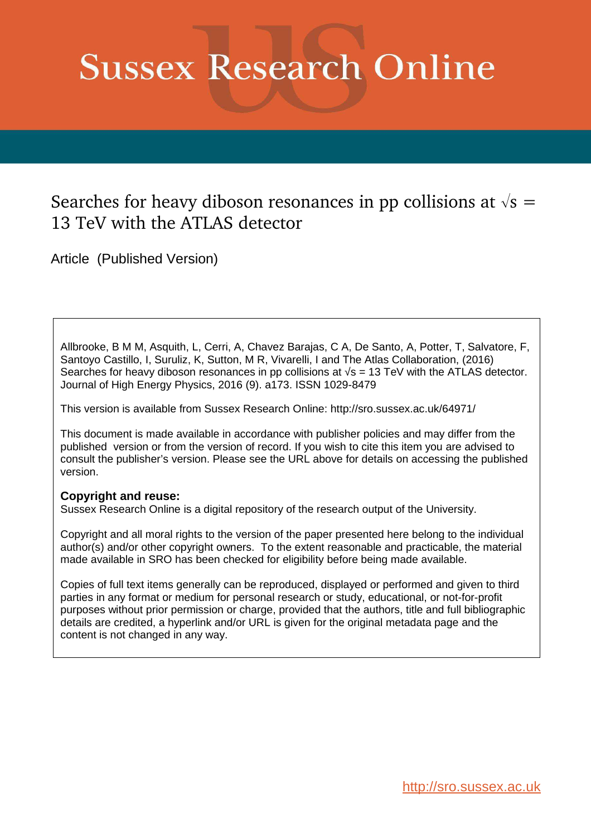# **Sussex Research Online**

## Searches for heavy diboson resonances in pp collisions at  $\sqrt{s} =$ 13 TeV with the ATLAS detector

Article (Published Version)

Allbrooke, B M M, Asquith, L, Cerri, A, Chavez Barajas, C A, De Santo, A, Potter, T, Salvatore, F, Santoyo Castillo, I, Suruliz, K, Sutton, M R, Vivarelli, I and The Atlas Collaboration, (2016) Searches for heavy diboson resonances in pp collisions at  $\sqrt{s}$  = 13 TeV with the ATLAS detector. Journal of High Energy Physics, 2016 (9). a173. ISSN 1029-8479

This version is available from Sussex Research Online: http://sro.sussex.ac.uk/64971/

This document is made available in accordance with publisher policies and may differ from the published version or from the version of record. If you wish to cite this item you are advised to consult the publisher's version. Please see the URL above for details on accessing the published version.

#### **Copyright and reuse:**

Sussex Research Online is a digital repository of the research output of the University.

Copyright and all moral rights to the version of the paper presented here belong to the individual author(s) and/or other copyright owners. To the extent reasonable and practicable, the material made available in SRO has been checked for eligibility before being made available.

Copies of full text items generally can be reproduced, displayed or performed and given to third parties in any format or medium for personal research or study, educational, or not-for-profit purposes without prior permission or charge, provided that the authors, title and full bibliographic details are credited, a hyperlink and/or URL is given for the original metadata page and the content is not changed in any way.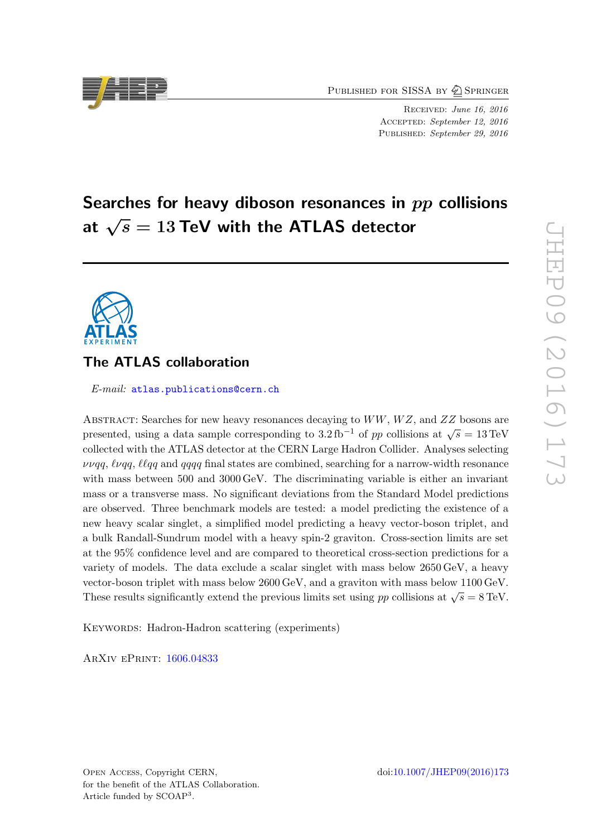PUBLISHED FOR SISSA BY 2 SPRINGER

RECEIVED: June 16, 2016 ACCEPTED: September 12, 2016 PUBLISHED: September 29, 2016

## Searches for heavy diboson resonances in pp collisions at  $\sqrt{s}=13$  TeV with the ATLAS detector

### The ATLAS collaboration

E-mail: [atlas.publications@cern.ch](mailto:atlas.publications@cern.ch)

<span id="page-1-0"></span>ABSTRACT: Searches for new heavy resonances decaying to  $WW, WZ$ , and  $ZZ$  bosons are presented, using a data sample corresponding to  $3.2\,\text{fb}^{-1}$  of pp collisions at  $\sqrt{s} = 13\,\text{TeV}$ collected with the ATLAS detector at the CERN Large Hadron Collider. Analyses selecting  $\nu\nu qq, \ell\nu qq, \ell\nu qq$  and  $qqqq$  final states are combined, searching for a narrow-width resonance with mass between 500 and 3000 GeV. The discriminating variable is either an invariant mass or a transverse mass. No significant deviations from the Standard Model predictions are observed. Three benchmark models are tested: a model predicting the existence of a new heavy scalar singlet, a simplified model predicting a heavy vector-boson triplet, and a bulk Randall-Sundrum model with a heavy spin-2 graviton. Cross-section limits are set at the 95% confidence level and are compared to theoretical cross-section predictions for a variety of models. The data exclude a scalar singlet with mass below 2650 GeV, a heavy vector-boson triplet with mass below 2600 GeV, and a graviton with mass below 1100 GeV. These results significantly extend the previous limits set using pp collisions at  $\sqrt{s} = 8 \,\text{TeV}$ .

KEYWORDS: Hadron-Hadron scattering (experiments)

<span id="page-1-1"></span>ArXiv ePrint: [1606.04833](http://arxiv.org/abs/1606.04833)

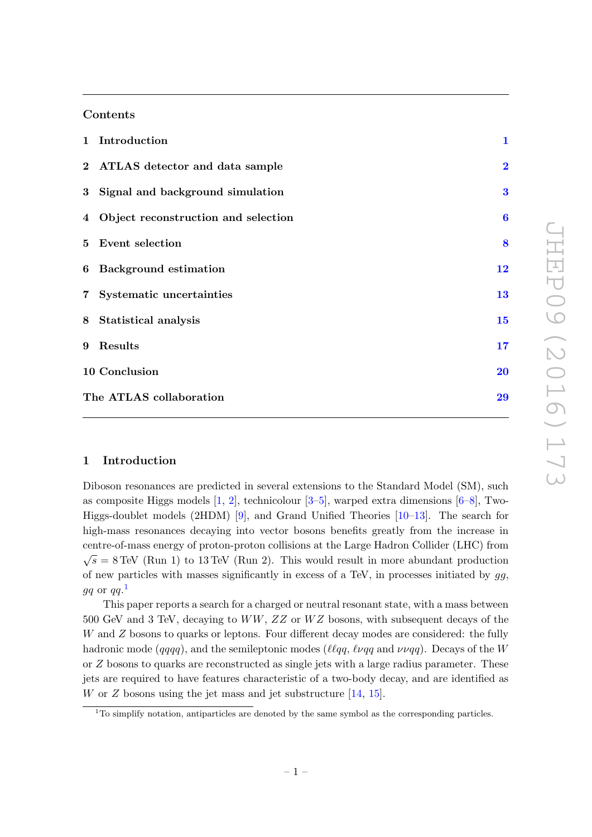#### Contents

| 1 Introduction                        | $\mathbf{1}$     |
|---------------------------------------|------------------|
| 2 ATLAS detector and data sample      | $\overline{2}$   |
| 3 Signal and background simulation    | 3                |
| 4 Object reconstruction and selection | $\boldsymbol{6}$ |
| 5 Event selection                     | 8                |
| 6 Background estimation               | 12               |
| 7 Systematic uncertainties            | 13               |
| 8 Statistical analysis                | 15               |
| 9 Results                             | 17               |
| 10 Conclusion                         | 20               |
| The ATLAS collaboration               | 29               |

#### <span id="page-2-0"></span>1 Introduction

Diboson resonances are predicted in several extensions to the Standard Model (SM), such as composite Higgs models [ [1](#page-23-0) , [2\]](#page-23-1), technicolour [ [3](#page-23-2) – [5\]](#page-24-0), warped extra dimensions [ [6](#page-24-1) – [8\]](#page-24-2), Two-Higgs-doublet models (2HDM) [\[9\]](#page-24-3), and Grand Unified Theories [\[10–](#page-24-4)[13\]](#page-24-5). The search for high-mass resonances decaying into vector bosons benefits greatly from the increase in centre-of-mass energy of proton-proton collisions at the Large Hadron Collider (LHC) from  $\sqrt{s} = 8$  TeV (Run 1) to 13 TeV (Run 2). This would result in more abundant production of new particles with masses significantly in excess of a TeV, in processes initiated by  $gg$ ,  $gq$  or  $qq.^{\mathbf{1}}$  $qq.^{\mathbf{1}}$  $qq.^{\mathbf{1}}$ 

<span id="page-2-1"></span>This paper reports a search for a charged or neutral resonant state, with a mass between  $500$  GeV and 3 TeV, decaying to  $WW, ZZ$  or  $WZ$  bosons, with subsequent decays of the W and Z bosons to quarks or leptons. Four different decay modes are considered: the fully hadronic mode  $(qqqq)$ , and the semileptonic modes  $(\ell \ell qq, \ell \nu qq$  and  $\nu \nu qq)$ . Decays of the W or Z bosons to quarks are reconstructed as single jets with a large radius parameter. These jets are required to have features characteristic of a two-body decay, and are identified as W or  $Z$  bosons using the jet mass and jet substructure  $[14, 15]$  $[14, 15]$ .

 $1$ <sup>T</sup>O simplify notation, antiparticles are denoted by the same symbol as the corresponding particles.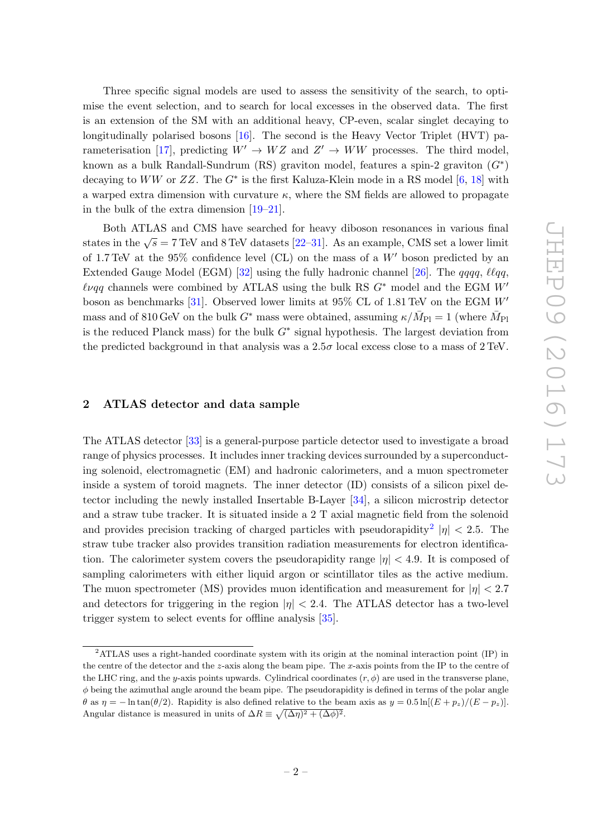Three specific signal models are used to assess the sensitivity of the search, to optimise the event selection, and to search for local excesses in the observed data. The first is an extension of the SM with an additional heavy, CP-even, scalar singlet decaying to longitudinally polarised bosons [\[16\]](#page-24-8). The second is the Heavy Vector Triplet (HVT) pa-rameterisation [\[17\]](#page-24-9), predicting  $W' \to WZ$  and  $Z' \to WW$  processes. The third model, known as a bulk Randall-Sundrum (RS) graviton model, features a spin-2 graviton  $(G^*)$ decaying to  $WW$  or  $ZZ$ . The  $G^*$  is the first Kaluza-Klein mode in a RS model [[6](#page-24-1), [18\]](#page-24-10) with a warped extra dimension with curvature  $\kappa$ , where the SM fields are allowed to propagate in the bulk of the extra dimension [\[19](#page-24-11) [–21\]](#page-24-12).

<span id="page-3-0"></span>Both ATLAS and CMS have searched for heavy diboson resonances in various final states in the  $\sqrt{s} = 7$  TeV and 8 TeV datasets [\[22](#page-24-13)[–31\]](#page-25-0). As an example, CMS set a lower limit of 1.7 TeV at the  $95\%$  confidence level (CL) on the mass of a  $W'$  boson predicted by an Extended Gauge Model (EGM) [\[32\]](#page-25-1) using the fully hadronic channel [\[26\]](#page-25-2). The  $qqqq, \ell lqq,$  $\ell\nu qq$  channels were combined by ATLAS using the bulk RS  $G^*$  model and the EGM  $W'$ boson as benchmarks  $[31]$ . Observed lower limits at 95% CL of 1.81 TeV on the EGM  $W'$ mass and of 810 GeV on the bulk  $G^*$  mass were obtained, assuming  $\kappa/\bar{M}_{\rm Pl} = 1$  (where  $\bar{M}_{\rm Pl}$ is the reduced Planck mass) for the bulk  $G^*$  signal hypothesis. The largest deviation from the predicted background in that analysis was a  $2.5\sigma$  local excess close to a mass of  $2 \text{ TeV}$ .

#### 2 ATLAS detector and data sample

The ATLAS detector [\[33\]](#page-25-3) is a general-purpose particle detector used to investigate a broad range of physics processes. It includes inner tracking devices surrounded by a superconducting solenoid, electromagnetic (EM) and hadronic calorimeters, and a muon spectrometer inside a system of toroid magnets. The inner detector (ID) consists of a silicon pixel detector including the newly installed Insertable B-Layer [\[34\]](#page-25-4), a silicon microstrip detector and a straw tube tracker. It is situated inside a 2 T axial magnetic field from the solenoid and provides precision tracking of charged particles with pseudorapidity<sup>[2](#page-2-1)</sup>  $|\eta|$  < 2.5. The straw tube tracker also provides transition radiation measurements for electron identification. The calorimeter system covers the pseudorapidity range  $|\eta| < 4.9$ . It is composed of sampling calorimeters with either liquid argon or scintillator tiles as the active medium. The muon spectrometer (MS) provides muon identification and measurement for  $|\eta| < 2.7$ and detectors for triggering in the region  $|\eta| < 2.4$ . The ATLAS detector has a two-level trigger system to select events for offline analysis [\[35\]](#page-25-5).

<sup>2</sup>ATLAS uses a right-handed coordinate system with its origin at the nominal interaction point (IP) in the centre of the detector and the z-axis along the beam pipe. The x-axis points from the IP to the centre of the LHC ring, and the y-axis points upwards. Cylindrical coordinates  $(r, \phi)$  are used in the transverse plane,  $\phi$  being the azimuthal angle around the beam pipe. The pseudorapidity is defined in terms of the polar angle  $\theta$  as  $\eta = -\ln \tan(\theta/2)$ . Rapidity is also defined relative to the beam axis as  $y = 0.5 \ln[(E + p_z)/(E - p_z)]$ . Angular distance is measured in units of  $\Delta R \equiv \sqrt{(\Delta \eta)^2 + (\Delta \phi)^2}$ .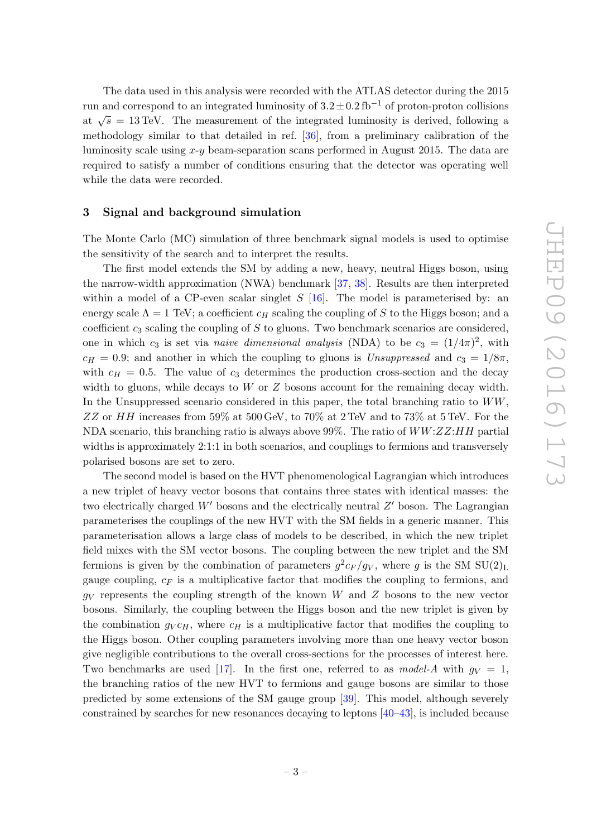The data used in this analysis were recorded with the ATLAS detector during the 2015 run and correspond to an integrated luminosity of  $3.2 \pm 0.2$  fb<sup>-1</sup> of proton-proton collisions at  $\sqrt{s} = 13 \,\text{TeV}$ . The measurement of the integrated luminosity is derived, following a methodology similar to that detailed in ref. [\[36\]](#page-25-6), from a preliminary calibration of the luminosity scale using x - y beam-separation scans performed in August 2015. The data are required to satisfy a number of conditions ensuring that the detector was operating well while the data were recorded.

#### 3 Signal and background simulation

The Monte Carlo (MC) simulation of three benchmark signal models is used to optimise the sensitivity of the search and to interpret the results.

The first model extends the SM by adding a new, heavy, neutral Higgs boson, using the narrow-width approximation (NWA) benchmark [\[37](#page-25-7) , [38\]](#page-25-8). Results are then interpreted within a model of a CP-even scalar singlet  $S$  [\[16\]](#page-24-8). The model is parameterised by: an energy scale  $\Lambda = 1$  TeV; a coefficient  $c_H$  scaling the coupling of S to the Higgs boson; and a coefficient  $c_3$  scaling the coupling of S to gluons. Two benchmark scenarios are considered, one in which  $c_3$  is set via *naive dimensional analysis* (NDA) to be  $c_3 = (1/4\pi)^2$ , with  $c_H = 0.9$ ; and another in which the coupling to gluons is Unsuppressed and  $c_3 = 1/8\pi$ , with  $c_H = 0.5$ . The value of  $c_3$  determines the production cross-section and the decay width to gluons, while decays to W or Z bosons account for the remaining decay width. In the Unsuppressed scenario considered in this paper, the total branching ratio to  $WW$ , ZZ or HH increases from 59% at 500 GeV, to 70% at 2 TeV and to 73% at 5 TeV. For the NDA scenario, this branching ratio is always above 99%. The ratio of  $WW$ : $ZZ$ : $HH$  partial widths is approximately 2:1:1 in both scenarios, and couplings to fermions and transversely polarised bosons are set to zero.

The second model is based on the HVT phenomenological Lagrangian which introduces a new triplet of heavy vector bosons that contains three states with identical masses: the two electrically charged  $W'$  bosons and the electrically neutral  $Z'$  boson. The Lagrangian parameterises the couplings of the new HVT with the SM fields in a generic manner. This parameterisation allows a large class of models to be described, in which the new triplet field mixes with the SM vector bosons. The coupling between the new triplet and the SM fermions is given by the combination of parameters  $g^2 c_F / g_V$ , where g is the SM SU(2)<sub>L</sub> gauge coupling,  $c_F$  is a multiplicative factor that modifies the coupling to fermions, and  $g_V$  represents the coupling strength of the known W and Z bosons to the new vector bosons. Similarly, the coupling between the Higgs boson and the new triplet is given by the combination  $g_V c_H$ , where  $c_H$  is a multiplicative factor that modifies the coupling to the Higgs boson. Other coupling parameters involving more than one heavy vector boson give negligible contributions to the overall cross-sections for the processes of interest here. Two benchmarks are used [\[17\]](#page-24-9). In the first one, referred to as *model-A* with  $g_V = 1$ , the branching ratios of the new HVT to fermions and gauge bosons are similar to those predicted by some extensions of the SM gauge group [\[39\]](#page-25-9). This model, although severely constrained by searches for new resonances decaying to leptons [\[40](#page-25-10) [–43\]](#page-26-0), is included because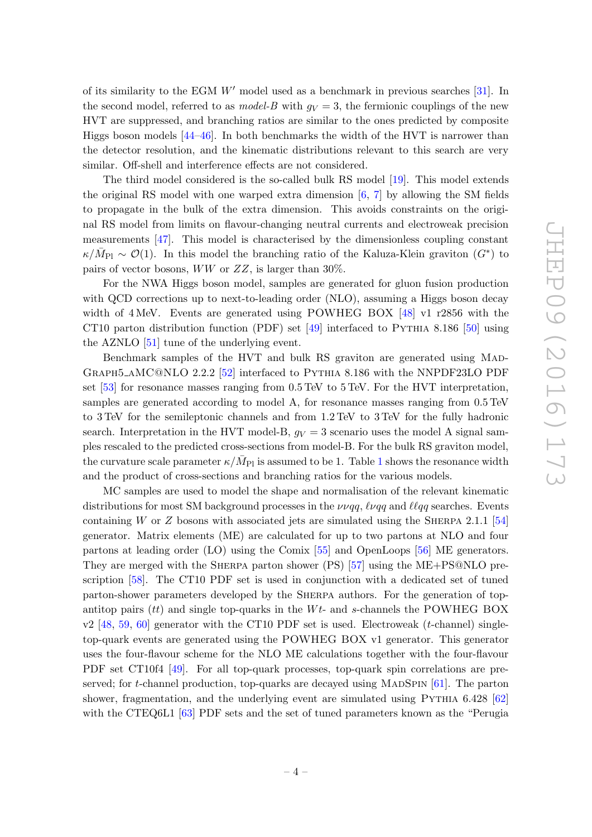<span id="page-5-0"></span>of its similarity to the EGM  $W'$  model used as a benchmark in previous searches [\[31\]](#page-25-0). In the second model, referred to as *model-B* with  $g_V = 3$ , the fermionic couplings of the new HVT are suppressed, and branching ratios are similar to the ones predicted by composite Higgs boson models [\[44](#page-26-1) [–46\]](#page-26-2). In both benchmarks the width of the HVT is narrower than the detector resolution, and the kinematic distributions relevant to this search are very similar. Off-shell and interference effects are not considered.

The third model considered is the so-called bulk RS model [\[19\]](#page-24-11). This model extends the original RS model with one warped extra dimension [ [6](#page-24-1) , [7\]](#page-24-14) by allowing the SM fields to propagate in the bulk of the extra dimension. This avoids constraints on the original RS model from limits on flavour-changing neutral currents and electroweak precision measurements [\[47\]](#page-26-3). This model is characterised by the dimensionless coupling constant  $\kappa/\bar{M}_{\rm Pl} \sim \mathcal{O}(1)$ . In this model the branching ratio of the Kaluza-Klein graviton  $(G^*)$  to pairs of vector bosons,  $WW$  or  $ZZ$ , is larger than 30%.

For the NWA Higgs boson model, samples are generated for gluon fusion production with QCD corrections up to next-to-leading order (NLO), assuming a Higgs boson decay width of 4 MeV. Events are generated using POWHEG BOX [\[48\]](#page-26-4) v1 r2856 with the CT10 parton distribution function (PDF) set  $[49]$  interfaced to PYTHIA 8.186 [\[50\]](#page-26-6) using the AZNLO [\[51\]](#page-26-7) tune of the underlying event.

Benchmark samples of the HVT and bulk RS graviton are generated using MAD-Graph5 aMC@NLO 2.2.2 [\[52\]](#page-26-8) interfaced to Pythia 8.186 with the NNPDF23LO PDF set [\[53\]](#page-26-9) for resonance masses ranging from 0.5 TeV to 5 TeV. For the HVT interpretation, samples are generated according to model A, for resonance masses ranging from 0.5 TeV to 3 TeV for the semileptonic channels and from 1.2 TeV to 3 TeV for the fully hadronic search. Interpretation in the HVT model-B,  $g_V = 3$  scenario uses the model A signal samples rescaled to the predicted cross-sections from model-B. For the bulk RS graviton model, the curvature scale parameter  $\kappa/\bar{M}_{\rm Pl}$  is assumed to be [1](#page-5-0). Table 1 shows the resonance width and the product of cross-sections and branching ratios for the various models.

MC samples are used to model the shape and normalisation of the relevant kinematic distributions for most SM background processes in the  $\nu\nu qq$ ,  $\ell\nu qq$  and  $\ell\nq qq$  searches. Events containing W or Z bosons with associated jets are simulated using the SHERPA 2.1.1 [\[54](#page-26-10)] generator. Matrix elements (ME) are calculated for up to two partons at NLO and four partons at leading order (LO) using the Comix [\[55\]](#page-26-11) and OpenLoops [\[56\]](#page-26-12) ME generators. They are merged with the Sherpa parton shower (PS) [\[57\]](#page-26-13) using the ME+PS@NLO prescription [\[58\]](#page-26-14). The CT10 PDF set is used in conjunction with a dedicated set of tuned parton-shower parameters developed by the SHERPA authors. For the generation of topantitop pairs (*tt*) and single top-quarks in the  $Wt$ - and s-channels the POWHEG BOX v2 [\[48](#page-26-4), [59](#page-26-15), [60\]](#page-27-0) generator with the CT10 PDF set is used. Electroweak (*t*-channel) singletop-quark events are generated using the POWHEG BOX v1 generator. This generator uses the four-flavour scheme for the NLO ME calculations together with the four-flavour PDF set CT10f4 [\[49\]](#page-26-5). For all top-quark processes, top-quark spin correlations are preserved; for t-channel production, top-quarks are decayed using MADSPIN  $[61]$ . The parton shower, fragmentation, and the underlying event are simulated using PYTHIA 6.428 [\[62](#page-27-2)] with the CTEQ6L1 [\[63\]](#page-27-3) PDF sets and the set of tuned parameters known as the "Perugia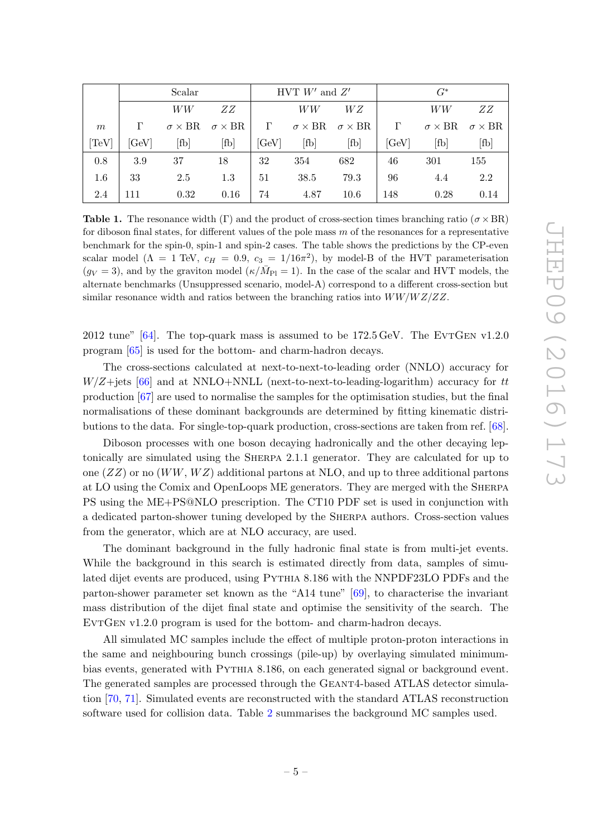<span id="page-6-1"></span>

|       | Scalar           |      |                                           | HVT $W'$ and $Z'$ |      |                                           | $G^*$    |                           |                           |
|-------|------------------|------|-------------------------------------------|-------------------|------|-------------------------------------------|----------|---------------------------|---------------------------|
|       |                  | WW   | ZΖ                                        |                   | WW   | W Z                                       |          | WW                        | ZΖ                        |
| m     | $\Gamma$         |      | $\sigma \times BR \quad \sigma \times BR$ | $\Gamma$          |      | $\sigma \times BR \quad \sigma \times BR$ | $\Gamma$ | $\sigma \times \text{BR}$ | $\sigma \times \text{BR}$ |
| [TeV] | $[\mathrm{GeV}]$ | [fb] | [fb]                                      | [GeV]             | [fb] | [fb]                                      | [GeV]    | [fb]                      | [fb]                      |
| 0.8   | 3.9              | 37   | 18                                        | 32                | 354  | 682                                       | 46       | 301                       | 155                       |
| 1.6   | 33               | 2.5  | 1.3                                       | 51                | 38.5 | 79.3                                      | 96       | 4.4                       | 2.2                       |
| 2.4   | 111              | 0.32 | 0.16                                      | 74                | 4.87 | 10.6                                      | 148      | 0.28                      | 0.14                      |

<span id="page-6-0"></span>**Table 1.** The resonance width ( $\Gamma$ ) and the product of cross-section times branching ratio ( $\sigma \times BR$ ) for diboson final states, for different values of the pole mass  $m$  of the resonances for a representative benchmark for the spin-0, spin-1 and spin-2 cases. The table shows the predictions by the CP-even scalar model ( $\Lambda = 1$  TeV,  $c_H = 0.9$ ,  $c_3 = 1/16\pi^2$ ), by model-B of the HVT parameterisation  $(g_V = 3)$ , and by the graviton model  $(\kappa/\bar{M}_{\rm Pl} = 1)$ . In the case of the scalar and HVT models, the alternate benchmarks (Unsuppressed scenario, model-A) correspond to a different cross-section but similar resonance width and ratios between the branching ratios into  $WW/WZ/ZZ$ .

2012 tune"  $[64]$ . The top-quark mass is assumed to be 172.5 GeV. The EVTGEN v1.2.0 program [\[65\]](#page-27-5) is used for the bottom- and charm-hadron decays.

The cross-sections calculated at next-to-next-to-leading order (NNLO) accuracy for  $W/Z + \text{jets}$  [\[66\]](#page-27-6) and at NNLO+NNLL (next-to-next-to-leading-logarithm) accuracy for tt production [\[67\]](#page-27-7) are used to normalise the samples for the optimisation studies, but the final normalisations of these dominant backgrounds are determined by fitting kinematic distributions to the data. For single-top-quark production, cross-sections are taken from ref. [\[68\]](#page-27-8).

Diboson processes with one boson decaying hadronically and the other decaying leptonically are simulated using the Sherpa 2.1.1 generator. They are calculated for up to one  $(ZZ)$  or no  $(WW, WZ)$  additional partons at NLO, and up to three additional partons at LO using the Comix and OpenLoops ME generators. They are merged with the Sherpa PS using the ME+PS@NLO prescription. The CT10 PDF set is used in conjunction with a dedicated parton-shower tuning developed by the Sherpa authors. Cross-section values from the generator, which are at NLO accuracy, are used.

The dominant background in the fully hadronic final state is from multi-jet events. While the background in this search is estimated directly from data, samples of simulated dijet events are produced, using Pythia 8.186 with the NNPDF23LO PDFs and the parton-shower parameter set known as the "A14 tune" [\[69\]](#page-27-9), to characterise the invariant mass distribution of the dijet final state and optimise the sensitivity of the search. The EVTGEN  $v1.2.0$  program is used for the bottom- and charm-hadron decays.

<span id="page-6-2"></span>All simulated MC samples include the effect of multiple proton-proton interactions in the same and neighbouring bunch crossings (pile-up) by overlaying simulated minimumbias events, generated with Pythia 8.186, on each generated signal or background event. The generated samples are processed through the GEANT4-based ATLAS detector simulation [\[70,](#page-27-10) [71\]](#page-27-11). Simulated events are reconstructed with the standard ATLAS reconstruction software used for collision data. Table [2](#page-6-1) summarises the background MC samples used.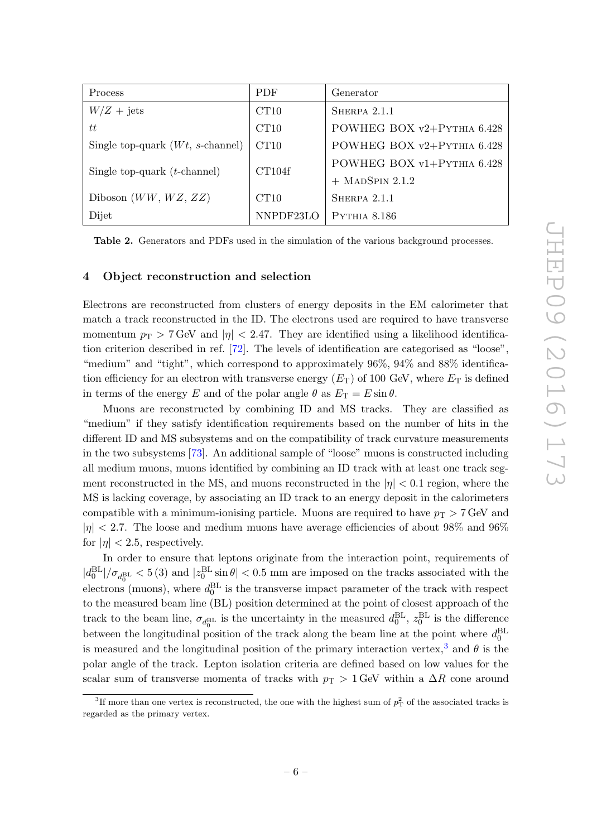| <b>Process</b>                            | <b>PDF</b> | Generator                  |  |  |
|-------------------------------------------|------------|----------------------------|--|--|
| $W/Z + \text{jets}$                       | CT10       | SHERPA $2.1.1$             |  |  |
| tt                                        | CT10       | POWHEG BOX v2+PYTHIA 6.428 |  |  |
| Single top-quark $(Wt, s\text{-channel})$ | CT10       | POWHEG BOX v2+PYTHIA 6.428 |  |  |
| Single top-quark $(t$ -channel)           | CT104f     | POWHEG BOX v1+PYTHIA 6.428 |  |  |
|                                           |            | $+$ MADSPIN 2.1.2          |  |  |
| Diboson $(WW, WZ, ZZ)$                    | CT10       | SHERPA 2.1.1               |  |  |
| Dijet                                     | NNPDF23LO  | <b>PYTHIA 8.186</b>        |  |  |

Table 2. Generators and PDFs used in the simulation of the various background processes.

#### 4 Object reconstruction and selection

Electrons are reconstructed from clusters of energy deposits in the EM calorimeter that match a track reconstructed in the ID. The electrons used are required to have transverse momentum  $p_{\text{T}} > 7 \,\text{GeV}$  and  $|\eta| < 2.47$ . They are identified using a likelihood identification criterion described in ref. [\[72\]](#page-27-12). The levels of identification are categorised as "loose", "medium" and "tight", which correspond to approximately 96%, 94% and 88% identification efficiency for an electron with transverse energy  $(E_T)$  of 100 GeV, where  $E_T$  is defined in terms of the energy E and of the polar angle  $\theta$  as  $E_T = E \sin \theta$ .

Muons are reconstructed by combining ID and MS tracks. They are classified as "medium" if they satisfy identification requirements based on the number of hits in the different ID and MS subsystems and on the compatibility of track curvature measurements in the two subsystems [\[73\]](#page-27-13). An additional sample of "loose" muons is constructed including all medium muons, muons identified by combining an ID track with at least one track segment reconstructed in the MS, and muons reconstructed in the  $|\eta| < 0.1$  region, where the MS is lacking coverage, by associating an ID track to an energy deposit in the calorimeters compatible with a minimum-ionising particle. Muons are required to have  $p_T > 7$  GeV and  $|\eta|$  < 2.7. The loose and medium muons have average efficiencies of about 98% and 96% for  $|\eta|$  < 2.5, respectively.

In order to ensure that leptons originate from the interaction point, requirements of  $|d_0^{\text{BL}}|/\sigma_{d_0^{\text{BL}}}$  < 5 (3) and  $|z_0^{\text{BL}}\sin\theta|$  < 0.5 mm are imposed on the tracks associated with the electrons (muons), where  $d_0^{\text{BL}}$  is the transverse impact parameter of the track with respect to the measured beam line (BL) position determined at the point of closest approach of the track to the beam line,  $\sigma_{d_0^{\text{BL}}}$  is the uncertainty in the measured  $d_0^{\text{BL}}$ ,  $z_0^{\text{BL}}$  is the difference between the longitudinal position of the track along the beam line at the point where  $d_0^{\text{BL}}$ is measured and the longitudinal position of the primary interaction vertex,<sup>[3](#page-6-2)</sup> and  $\theta$  is the polar angle of the track. Lepton isolation criteria are defined based on low values for the scalar sum of transverse momenta of tracks with  $p_T > 1$  GeV within a  $\Delta R$  cone around

<sup>&</sup>lt;sup>3</sup>If more than one vertex is reconstructed, the one with the highest sum of  $p_T^2$  of the associated tracks is regarded as the primary vertex.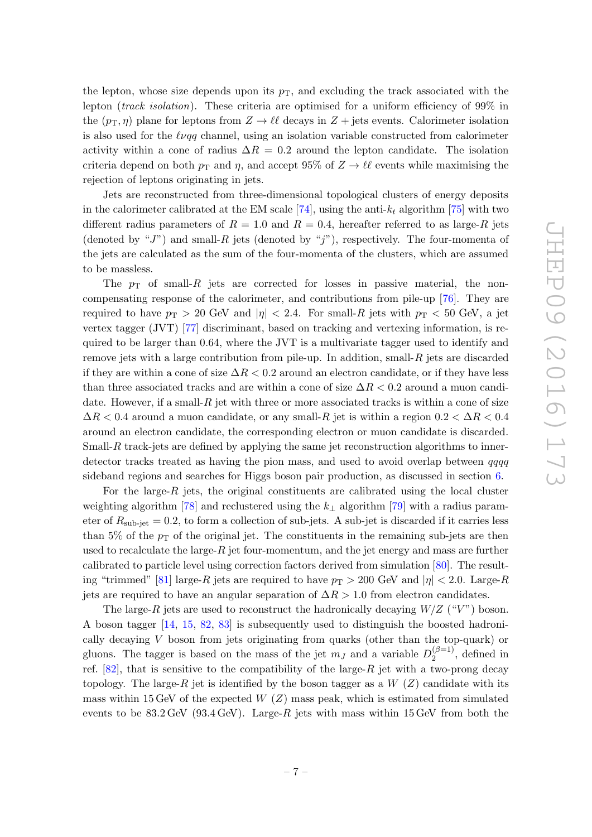the lepton, whose size depends upon its  $p<sub>T</sub>$ , and excluding the track associated with the lepton (*track isolation*). These criteria are optimised for a uniform efficiency of  $99\%$  in the  $(p_T, \eta)$  plane for leptons from  $Z \to \ell \ell$  decays in  $Z + \text{jets}$  events. Calorimeter isolation is also used for the  $\ell \nu qq$  channel, using an isolation variable constructed from calorimeter activity within a cone of radius  $\Delta R = 0.2$  around the lepton candidate. The isolation criteria depend on both  $p<sub>T</sub>$  and  $\eta$ , and accept 95% of  $Z \to \ell \ell$  events while maximising the rejection of leptons originating in jets.

Jets are reconstructed from three-dimensional topological clusters of energy deposits in the calorimeter calibrated at the EM scale [\[74\]](#page-27-14), using the anti- $k_t$  algorithm [\[75\]](#page-27-15) with two different radius parameters of  $R = 1.0$  and  $R = 0.4$ , hereafter referred to as large-R jets (denoted by "J") and small-R jets (denoted by "j"), respectively. The four-momenta of the jets are calculated as the sum of the four-momenta of the clusters, which are assumed to be massless.

The  $p_T$  of small- $R$  jets are corrected for losses in passive material, the noncompensating response of the calorimeter, and contributions from pile-up [\[76\]](#page-27-16). They are required to have  $p_T > 20$  GeV and  $|\eta| < 2.4$ . For small-R jets with  $p_T < 50$  GeV, a jet vertex tagger (JVT) [\[77\]](#page-27-17) discriminant, based on tracking and vertexing information, is required to be larger than 0.64, where the JVT is a multivariate tagger used to identify and remove jets with a large contribution from pile-up. In addition, small- $R$  jets are discarded if they are within a cone of size  $\Delta R < 0.2$  around an electron candidate, or if they have less than three associated tracks and are within a cone of size  $\Delta R < 0.2$  around a muon candidate. However, if a small- $R$  jet with three or more associated tracks is within a cone of size  $\Delta R < 0.4$  around a muon candidate, or any small-R jet is within a region  $0.2 < \Delta R < 0.4$ around an electron candidate, the corresponding electron or muon candidate is discarded. Small-R track-jets are defined by applying the same jet reconstruction algorithms to innerdetector tracks treated as having the pion mass, and used to avoid overlap between qqqq sideband regions and searches for Higgs boson pair production, as discussed in section [6](#page-12-0).

<span id="page-8-0"></span>For the large-R jets, the original constituents are calibrated using the local cluster weighting algorithm [\[78\]](#page-27-18) and reclustered using the  $k_{\perp}$  algorithm [\[79\]](#page-27-19) with a radius parameter of  $R_{\text{sub-jet}} = 0.2$ , to form a collection of sub-jets. A sub-jet is discarded if it carries less than 5% of the  $p_T$  of the original jet. The constituents in the remaining sub-jets are then used to recalculate the large- $R$  jet four-momentum, and the jet energy and mass are further calibrated to particle level using correction factors derived from simulation [\[80\]](#page-28-0). The result-ing "trimmed" [\[81\]](#page-28-1) large-R jets are required to have  $p_T > 200$  GeV and  $|\eta| < 2.0$ . Large-R jets are required to have an angular separation of  $\Delta R > 1.0$  from electron candidates.

The large-R jets are used to reconstruct the hadronically decaying  $W/Z$  ("V") boson. A boson tagger [\[14](#page-24-6), [15](#page-24-7), [82](#page-28-2), [83\]](#page-28-3) is subsequently used to distinguish the boosted hadronically decaying V boson from jets originating from quarks (other than the top-quark) or gluons. The tagger is based on the mass of the jet  $m_J$  and a variable  $D_2^{(\beta=1)}$  $a_2^{(\rho-1)}$ , defined in ref.  $[82]$ , that is sensitive to the compatibility of the large- $R$  jet with a two-prong decay topology. The large- $R$  jet is identified by the boson tagger as a  $W(Z)$  candidate with its mass within 15 GeV of the expected  $W(Z)$  mass peak, which is estimated from simulated events to be  $83.2 \,\text{GeV}$  (93.4 GeV). Large-R jets with mass within 15 GeV from both the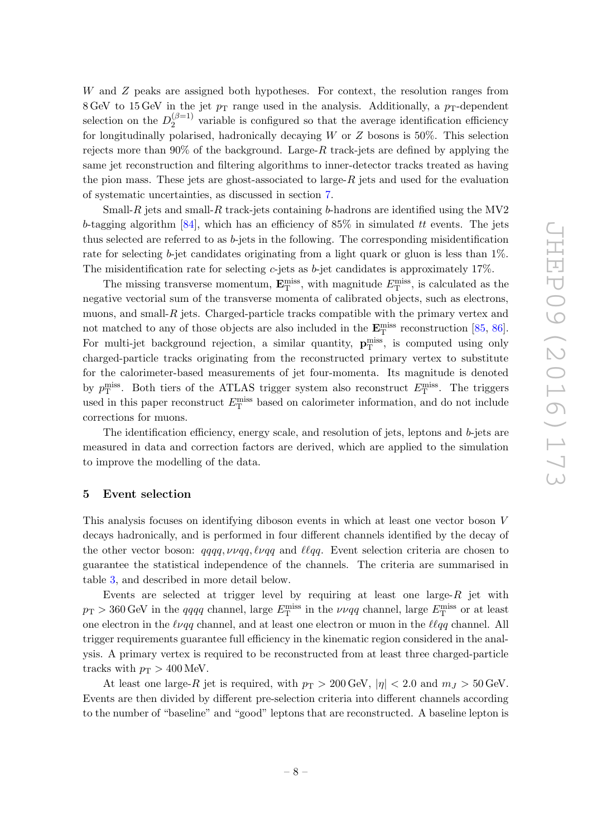W and Z peaks are assigned both hypotheses. For context, the resolution ranges from  $8 \text{ GeV}$  to  $15 \text{ GeV}$  in the jet  $p_T$  range used in the analysis. Additionally, a  $p_T$ -dependent selection on the  $D_2^{(\beta=1)}$  $\frac{1}{2}$  variable is configured so that the average identification efficiency for longitudinally polarised, hadronically decaying W or Z bosons is 50%. This selection rejects more than 90% of the background. Large- $R$  track-jets are defined by applying the same jet reconstruction and filtering algorithms to inner-detector tracks treated as having the pion mass. These jets are ghost-associated to large- $R$  jets and used for the evaluation of systematic uncertainties, as discussed in section [7](#page-13-0) .

Small-R jets and small-R track-jets containing b-hadrons are identified using the MV2 b-tagging algorithm [\[84\]](#page-28-4), which has an efficiency of  $85\%$  in simulated tt events. The jets thus selected are referred to as b-jets in the following. The corresponding misidentification rate for selecting *b*-jet candidates originating from a light quark or gluon is less than 1%. The misidentification rate for selecting c-jets as b-jet candidates is approximately 17%.

The missing transverse momentum,  $\mathbf{E}_{\text{T}}^{\text{miss}}$ , with magnitude  $E_{\text{T}}^{\text{miss}}$ , is calculated as the negative vectorial sum of the transverse momenta of calibrated objects, such as electrons, muons, and small- $R$  jets. Charged-particle tracks compatible with the primary vertex and not matched to any of those objects are also included in the  $\mathbf{E}_{\mathrm{T}}^{\mathrm{miss}}$  reconstruction [\[85](#page-28-5), [86\]](#page-28-6). For multi-jet background rejection, a similar quantity,  $\mathbf{p}_T^{\text{miss}}$ , is computed using only charged-particle tracks originating from the reconstructed primary vertex to substitute for the calorimeter-based measurements of jet four-momenta. Its magnitude is denoted by  $p_T^{\text{miss}}$ . Both tiers of the ATLAS trigger system also reconstruct  $E_T^{\text{miss}}$ . The triggers used in this paper reconstruct  $E_{\rm T}^{\rm miss}$  based on calorimeter information, and do not include corrections for muons.

The identification efficiency, energy scale, and resolution of jets, leptons and b-jets are measured in data and correction factors are derived, which are applied to the simulation to improve the modelling of the data.

#### 5 Event selection

This analysis focuses on identifying diboson events in which at least one vector boson V decays hadronically, and is performed in four different channels identified by the decay of the other vector boson:  $qqqq, \nu \nu qq, \ell \nu qq$  and  $\ell \ell qq$ . Event selection criteria are chosen to guarantee the statistical independence of the channels. The criteria are summarised in table [3,](#page-10-0) and described in more detail below.

Events are selected at trigger level by requiring at least one large- $R$  jet with  $p_{\text{T}} > 360 \,\text{GeV}$  in the qqqq channel, large  $E_{\text{T}}^{\text{miss}}$  in the  $\nu \nu qq$  channel, large  $E_{\text{T}}^{\text{miss}}$  or at least one electron in the  $\ell \nu q q$  channel, and at least one electron or muon in the  $\ell \ell q q$  channel. All trigger requirements guarantee full efficiency in the kinematic region considered in the analysis. A primary vertex is required to be reconstructed from at least three charged-particle tracks with  $p_T > 400$  MeV.

<span id="page-9-0"></span>At least one large-R jet is required, with  $p_T > 200 \,\text{GeV}, |\eta| < 2.0$  and  $m_J > 50 \,\text{GeV}.$ Events are then divided by different pre-selection criteria into different channels according to the number of "baseline" and "good" leptons that are reconstructed. A baseline lepton is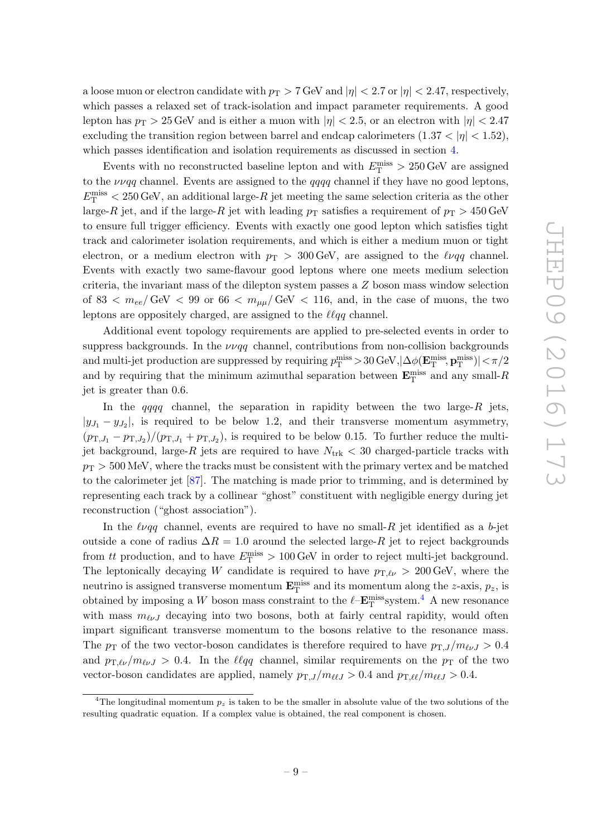<span id="page-10-0"></span>a loose muon or electron candidate with  $p_T > 7$  GeV and  $|\eta| < 2.7$  or  $|\eta| < 2.47$ , respectively, which passes a relaxed set of track-isolation and impact parameter requirements. A good lepton has  $p_T > 25 \,\text{GeV}$  and is either a muon with  $|\eta| < 2.5$ , or an electron with  $|\eta| < 2.47$ excluding the transition region between barrel and endcap calorimeters  $(1.37 < |\eta| < 1.52)$ , which passes identification and isolation requirements as discussed in section [4](#page-6-0).

Events with no reconstructed baseline lepton and with  $E_{\rm T}^{\rm miss} > 250\,\text{GeV}$  are assigned to the  $\nu \nu q \rho$  channel. Events are assigned to the *qqqq* channel if they have no good leptons,  $E_{\rm T}^{\rm miss}$  < 250 GeV, an additional large-R jet meeting the same selection criteria as the other large-R jet, and if the large-R jet with leading  $p<sub>T</sub>$  satisfies a requirement of  $p<sub>T</sub> > 450 \text{ GeV}$ to ensure full trigger efficiency. Events with exactly one good lepton which satisfies tight track and calorimeter isolation requirements, and which is either a medium muon or tight electron, or a medium electron with  $p_T > 300 \,\text{GeV}$ , are assigned to the  $\ell \nu q \bar{q}$  channel. Events with exactly two same-flavour good leptons where one meets medium selection criteria, the invariant mass of the dilepton system passes a Z boson mass window selection of 83  $< m_{ee}/\text{GeV} < 99$  or 66  $< m_{\mu\mu}/\text{GeV} < 116$ , and, in the case of muons, the two leptons are oppositely charged, are assigned to the  $\ell \ell \overline{q}q$  channel.

Additional event topology requirements are applied to pre-selected events in order to suppress backgrounds. In the  $\nu \nu qq$  channel, contributions from non-collision backgrounds and multi-jet production are suppressed by requiring  $p_T^{\text{miss}} > 30$  GeV,  $|\Delta\phi(\mathbf{E}_T^{\text{miss}}, \mathbf{p}_T^{\text{miss}})| < \pi/2$ and by requiring that the minimum azimuthal separation between  $\mathbf{E}^{\text{miss}}_{\text{T}}$  and any small- $R$ jet is greater than 0.6.

In the  $qqqq$  channel, the separation in rapidity between the two large- $R$  jets,  $|y_{J_1} - y_{J_2}|$ , is required to be below 1.2, and their transverse momentum asymmetry,  $(p_{\text{T},J_1} - p_{\text{T},J_2})/(p_{\text{T},J_1} + p_{\text{T},J_2})$ , is required to be below 0.15. To further reduce the multijet background, large-R jets are required to have  $N_{\text{trk}} < 30$  charged-particle tracks with  $p_T > 500$  MeV, where the tracks must be consistent with the primary vertex and be matched to the calorimeter jet [\[87\]](#page-28-7). The matching is made prior to trimming, and is determined by representing each track by a collinear "ghost" constituent with negligible energy during jet reconstruction ("ghost association").

In the  $\ell \nu qq$  channel, events are required to have no small- $R$  jet identified as a b-jet outside a cone of radius  $\Delta R = 1.0$  around the selected large- $R$  jet to reject backgrounds from *tt* production, and to have  $E_{\rm T}^{\rm miss} > 100 \,\text{GeV}$  in order to reject multi-jet background. The leptonically decaying W candidate is required to have  $p_{\text{T},\ell\nu} > 200 \,\text{GeV}$ , where the neutrino is assigned transverse momentum  $\mathbf{E}_{\text{T}}^{\text{miss}}$  and its momentum along the *z*-axis,  $p_z$ , is obtained by imposing a W boson mass constraint to the  $\ell$ -**E**<sup>miss</sup> system.<sup>[4](#page-9-0)</sup> A new resonance with mass  $m_{\ell\nu}J$  decaying into two bosons, both at fairly central rapidity, would often impart significant transverse momentum to the bosons relative to the resonance mass. The  $p_T$  of the two vector-boson candidates is therefore required to have  $p_{T,J}/m_{\ell\nu}$  > 0.4 and  $p_{\text{T},\ell\nu}/m_{\ell\nu}$  > 0.4. In the  $\ell\ell qq$  channel, similar requirements on the  $p_{\text{T}}$  of the two vector-boson candidates are applied, namely  $p_{T,J}/m_{\ell\ell J} > 0.4$  and  $p_{T,\ell\ell}/m_{\ell\ell J} > 0.4$ .

<sup>&</sup>lt;sup>4</sup>The longitudinal momentum  $p_z$  is taken to be the smaller in absolute value of the two solutions of the resulting quadratic equation. If a complex value is obtained, the real component is chosen.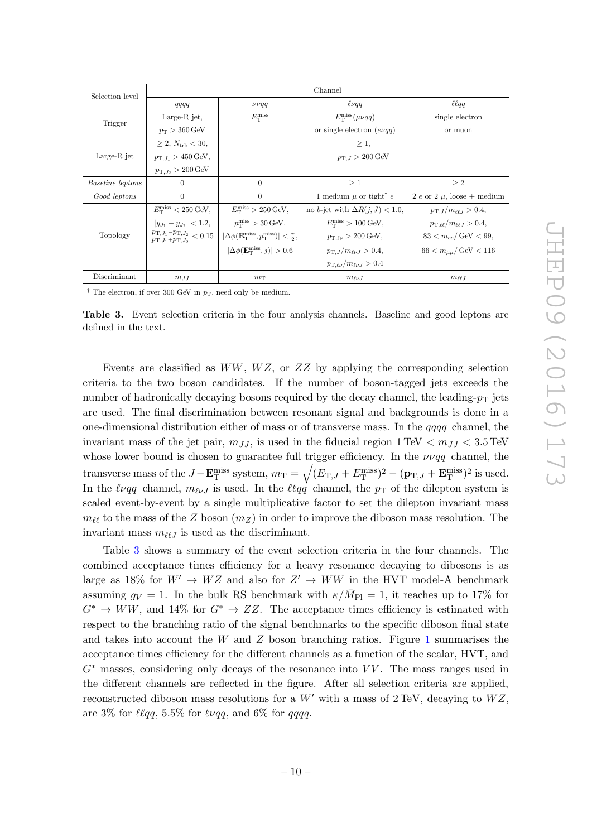<span id="page-11-0"></span>

| Selection level         | Channel                                                                              |                                                                                                          |                                            |                                            |  |  |  |
|-------------------------|--------------------------------------------------------------------------------------|----------------------------------------------------------------------------------------------------------|--------------------------------------------|--------------------------------------------|--|--|--|
|                         | qqqq                                                                                 | $\nu\nu qq$                                                                                              | $\ell\nu qq$                               | $\ell \ell q q$                            |  |  |  |
| Trigger                 | Large-R jet,                                                                         | $E_{\rm T}^{\rm miss}$                                                                                   | $E_{\rm T}^{\rm miss}(\mu\nu qq)$          | single electron                            |  |  |  |
|                         | $p_T > 360 \,\text{GeV}$                                                             |                                                                                                          | or single electron $(e\nu qq)$             | or muon                                    |  |  |  |
|                         | $> 2, N_{trk} < 30,$                                                                 |                                                                                                          | $>1$ ,                                     |                                            |  |  |  |
| Large- $R$ jet          | $p_{\text{T},J_1} > 450 \,\text{GeV},$                                               | $p_{\text{T},J} > 200 \,\text{GeV}$                                                                      |                                            |                                            |  |  |  |
|                         | $p_{\text{T},J_2} > 200 \,\text{GeV}$                                                |                                                                                                          |                                            |                                            |  |  |  |
| <i>Baseline leptons</i> | $\Omega$                                                                             | $\overline{0}$                                                                                           | $\geq 1$                                   | $\geq 2$                                   |  |  |  |
| Good leptons            | $\Omega$                                                                             | $\Omega$                                                                                                 | 1 medium $\mu$ or tight $e$                | 2 e or 2 $\mu$ , loose + medium            |  |  |  |
|                         | $E_{\rm T}^{\rm miss} < 250$ GeV,                                                    | $E_{\rm T}^{\rm miss} > 250$ GeV,                                                                        | no b-jet with $\Delta R(j, J) < 1.0$ ,     | $p_{\rm T,J}/m_{\ell\ell,J} > 0.4$ ,       |  |  |  |
|                         | $ y_{J_1} - y_{J_2}  < 1.2,$                                                         | $p_T^{\text{miss}} > 30 \,\text{GeV},$                                                                   | $E_{\rm T}^{\rm miss} > 100 \,\text{GeV},$ | $p_{\rm T,\ell\ell}/m_{\ell\ell J} > 0.4,$ |  |  |  |
| Topology                | $\frac{p_{\text{T},J_1}-p_{\text{T},J_2}}{p_{\text{T},J_1}+p_{\text{T},J_2}} < 0.15$ | $ \Delta\phi(\mathbf{E}_{\mathrm{T}}^{\mathrm{miss}}, p_{\mathrm{T}}^{\mathrm{miss}})  < \frac{\pi}{2},$ | $p_{\rm T, \ell\nu} > 200 \,\text{GeV},$   | $83 < m_{ee}$ GeV $< 99$ ,                 |  |  |  |
|                         |                                                                                      | $ \Delta\phi(\mathbf{E}_\text{T}^\text{miss},j)  > 0.6$                                                  | $p_{\text{T},J}/m_{\ell\nu J} > 0.4,$      | $66 < m_{\mu\mu}/\text{GeV} < 116$         |  |  |  |
|                         |                                                                                      |                                                                                                          | $p_{\rm T,\ell\nu}/m_{\ell\nu}$ $> 0.4$    |                                            |  |  |  |
| Discriminant            | $m_{JJ}$                                                                             | $m_T$                                                                                                    | $m_{\ell\nu}$                              | $m_{\ell\ell,I}$                           |  |  |  |

<sup>†</sup> The electron, if over 300 GeV in  $p_T$ , need only be medium.

Table 3. Event selection criteria in the four analysis channels. Baseline and good leptons are defined in the text.

Events are classified as  $WW$ ,  $WZ$ , or  $ZZ$  by applying the corresponding selection criteria to the two boson candidates. If the number of boson-tagged jets exceeds the number of hadronically decaying bosons required by the decay channel, the leading- $p_T$  jets are used. The final discrimination between resonant signal and backgrounds is done in a one-dimensional distribution either of mass or of transverse mass. In the  $qqqq$  channel, the invariant mass of the jet pair,  $m_{JJ}$ , is used in the fiducial region  $1 \text{ TeV} < m_{JJ} < 3.5 \text{ TeV}$ whose lower bound is chosen to guarantee full trigger efficiency. In the  $\nu\nu q\bar{q}$  channel, the transverse mass of the  $J - \mathbf{E}_\text{T}^{\text{miss}}$  system,  $m_\text{T} = \sqrt{(E_\text{T,J} + E_\text{T}^{\text{miss}})^2 - (\mathbf{p}_\text{T,J} + \mathbf{E}_\text{T}^{\text{miss}})^2}$  is used. In the  $\ell \nu qq$  channel,  $m_{\ell \nu J}$  is used. In the  $\ell \ell qq$  channel, the  $p_T$  of the dilepton system is scaled event-by-event by a single multiplicative factor to set the dilepton invariant mass  $m_{\ell\ell}$  to the mass of the Z boson  $(m_Z)$  in order to improve the diboson mass resolution. The invariant mass  $m_{\ell\ell J}$  is used as the discriminant.

Table [3](#page-10-0) shows a summary of the event selection criteria in the four channels. The combined acceptance times efficiency for a heavy resonance decaying to dibosons is as large as 18% for  $W' \to WZ$  and also for  $Z' \to WW$  in the HVT model-A benchmark assuming  $g_V = 1$ . In the bulk RS benchmark with  $\kappa/\bar{M}_{\text{Pl}} = 1$ , it reaches up to 17% for  $G^* \to WW$ , and 14% for  $G^* \to ZZ$ . The acceptance times efficiency is estimated with respect to the branching ratio of the signal benchmarks to the specific diboson final state and takes into account the W and Z boson branching ratios. Figure [1](#page-11-0) summarises the acceptance times efficiency for the different channels as a function of the scalar, HVT, and  $G^*$  masses, considering only decays of the resonance into VV. The mass ranges used in the different channels are reflected in the figure. After all selection criteria are applied, reconstructed diboson mass resolutions for a  $W'$  with a mass of  $2 \text{ TeV}$ , decaying to  $WZ$ , are  $3\%$  for  $\ell \ell qq$ ,  $5.5\%$  for  $\ell \nu qq$ , and  $6\%$  for  $qqqq$ .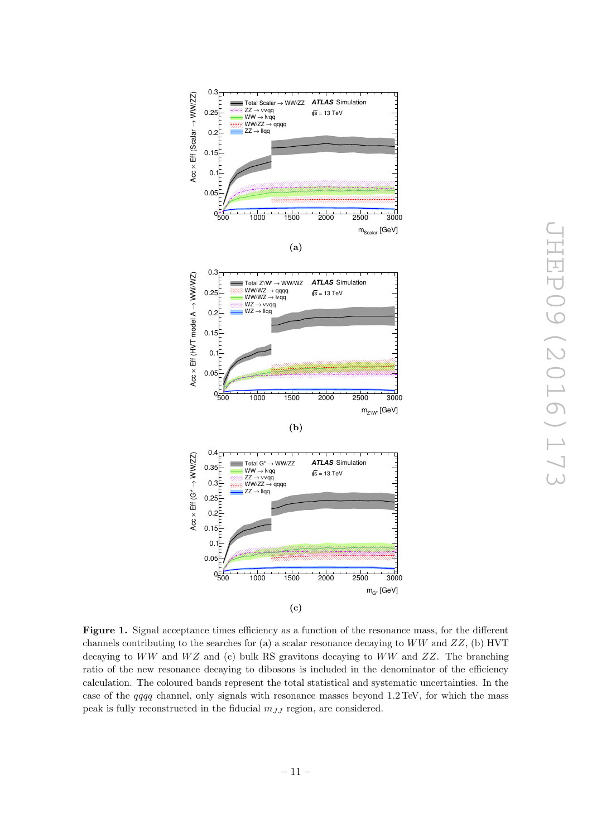<span id="page-12-1"></span><span id="page-12-0"></span>

Figure 1. Signal acceptance times efficiency as a function of the resonance mass, for the different channels contributing to the searches for (a) a scalar resonance decaying to  $WW$  and  $ZZ$ , (b) HVT decaying to  $WW$  and  $WZ$  and (c) bulk RS gravitons decaying to  $WW$  and  $ZZ$ . The branching ratio of the new resonance decaying to dibosons is included in the denominator of the efficiency calculation. The coloured bands represent the total statistical and systematic uncertainties. In the case of the *qqqq* channel, only signals with resonance masses beyond 1.2 TeV, for which the mass peak is fully reconstructed in the fiducial  $m_{JJ}$  region, are considered.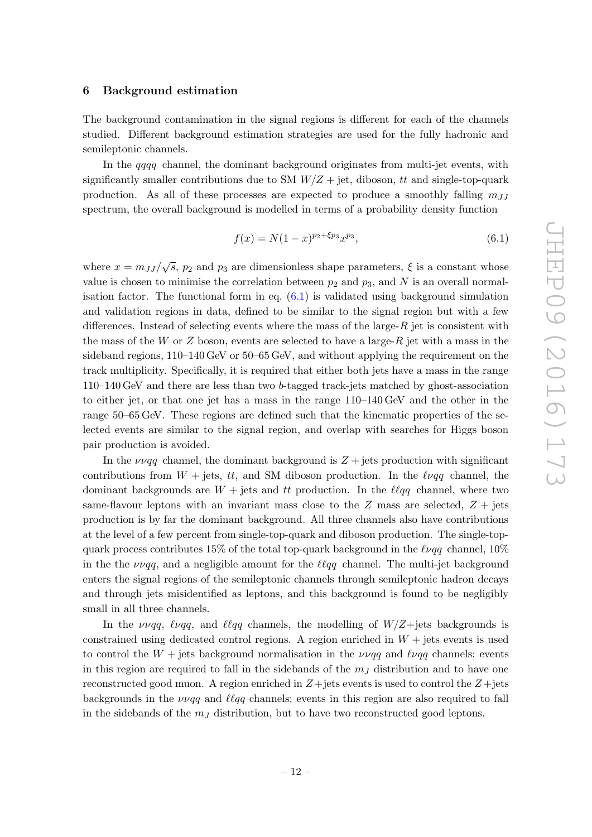#### 6 Background estimation

The background contamination in the signal regions is different for each of the channels studied. Different background estimation strategies are used for the fully hadronic and semileptonic channels.

In the *qqqq* channel, the dominant background originates from multi-jet events, with significantly smaller contributions due to SM  $W/Z + jet$ , diboson, tt and single-top-quark production. As all of these processes are expected to produce a smoothly falling  $m_{JJ}$ spectrum, the overall background is modelled in terms of a probability density function

$$
f(x) = N(1-x)^{p_2 + \xi p_3} x^{p_3},
$$
\n(6.1)

<span id="page-13-0"></span>where  $x = m_{JJ}/\sqrt{s}$ ,  $p_2$  and  $p_3$  are dimensionless shape parameters,  $\xi$  is a constant whose value is chosen to minimise the correlation between  $p_2$  and  $p_3$ , and N is an overall normalisation factor. The functional form in eq.  $(6.1)$  is validated using background simulation and validation regions in data, defined to be similar to the signal region but with a few differences. Instead of selecting events where the mass of the large- $R$  jet is consistent with the mass of the W or Z boson, events are selected to have a large- $R$  jet with a mass in the sideband regions,  $110-140 \text{ GeV}$  or  $50-65 \text{ GeV}$ , and without applying the requirement on the track multiplicity. Specifically, it is required that either both jets have a mass in the range 110–140 GeV and there are less than two b-tagged track-jets matched by ghost-association to either jet, or that one jet has a mass in the range 110–140 GeV and the other in the range 50–65 GeV. These regions are defined such that the kinematic properties of the selected events are similar to the signal region, and overlap with searches for Higgs boson pair production is avoided.

In the  $\nu\nu qq$  channel, the dominant background is  $Z +$  jets production with significant contributions from  $W + jets$ , tt, and SM diboson production. In the  $\ell \nu qq$  channel, the dominant backgrounds are  $W +$  jets and tt production. In the  $\ell \ell q q$  channel, where two same-flavour leptons with an invariant mass close to the  $Z$  mass are selected,  $Z + j$  jets production is by far the dominant background. All three channels also have contributions at the level of a few percent from single-top-quark and diboson production. The single-topquark process contributes 15% of the total top-quark background in the  $\ell \nu qq$  channel, 10% in the the  $\nu \nu qq$ , and a negligible amount for the  $\ell \ell qq$  channel. The multi-jet background enters the signal regions of the semileptonic channels through semileptonic hadron decays and through jets misidentified as leptons, and this background is found to be negligibly small in all three channels.

In the  $\nu \nu qq$ ,  $\ell \nu qq$ , and  $\ell \ell qq$  channels, the modelling of  $W/Z +$ jets backgrounds is constrained using dedicated control regions. A region enriched in  $W + j$ ets events is used to control the  $W +$  jets background normalisation in the  $\nu \nu q \bar{q}$  and  $\ell \nu q \bar{q}$  channels; events in this region are required to fall in the sidebands of the  $m<sub>J</sub>$  distribution and to have one reconstructed good muon. A region enriched in  $Z+{\rm jets}$  events is used to control the  $Z+{\rm jets}$ backgrounds in the  $\nu \nu q \rho$  and  $\ell \ell q \rho$  channels; events in this region are also required to fall in the sidebands of the  $m<sub>J</sub>$  distribution, but to have two reconstructed good leptons.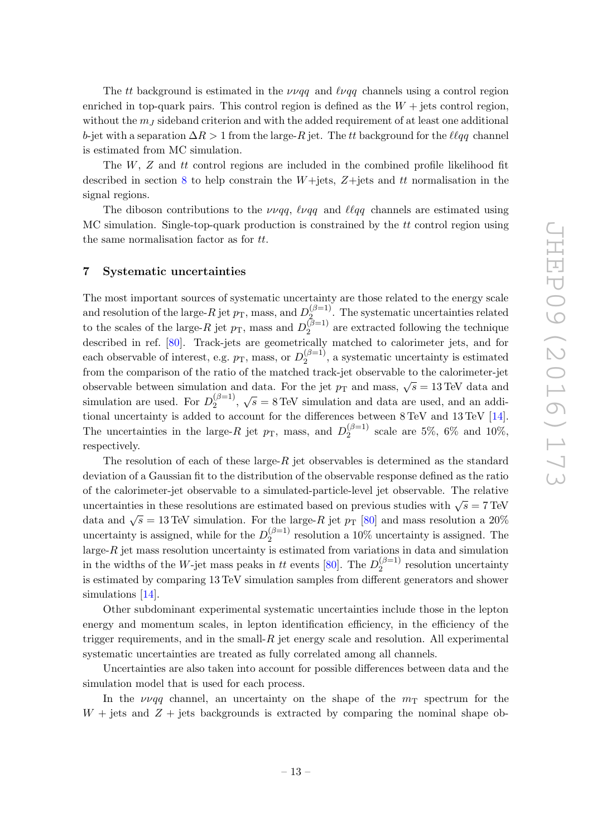The tt background is estimated in the  $\nu \nu q \rho$  and  $\ell \nu q \rho$  channels using a control region enriched in top-quark pairs. This control region is defined as the  $W +$  jets control region, without the  $m<sub>J</sub>$  sideband criterion and with the added requirement of at least one additional b-jet with a separation  $\Delta R > 1$  from the large- $R$  jet. The  $tt$  background for the  $\ell\ell qq$  channel is estimated from MC simulation.

The  $W$ ,  $Z$  and  $tt$  control regions are included in the combined profile likelihood fit described in section [8](#page-15-0) to help constrain the W+jets, Z+jets and tt normalisation in the signal regions.

The diboson contributions to the  $\nu \nu qq$ ,  $\ell \nu qq$  and  $\ell \ell qq$  channels are estimated using  $MC$  simulation. Single-top-quark production is constrained by the  $tt$  control region using the same normalisation factor as for tt .

#### 7 Systematic uncertainties

The most important sources of systematic uncertainty are those related to the energy scale and resolution of the large- $R$  jet  $p_T$ , mass, and  $D_2^{(\beta=1)}$  $2^{(p-1)}$ . The systematic uncertainties related to the scales of the large- $R$  jet  $p<sub>T</sub>$ , mass and  $D_2^{(\beta=1)}$  $2^{(p-1)}$  are extracted following the technique described in ref. [\[80\]](#page-28-0). Track-jets are geometrically matched to calorimeter jets, and for each observable of interest, e.g.  $p<sub>T</sub>$ , mass, or  $D_2^{(\beta=1)}$  $2^{(p-1)}$ , a systematic uncertainty is estimated from the comparison of the ratio of the matched track-jet observable to the calorimeter-jet observable between simulation and data. For the jet  $p_T$  and mass,  $\sqrt{s} = 13 \text{ TeV}$  data and simulation are used. For  $D_2^{(\beta=1)}$  $\chi_2^{(\beta=1)}$ ,  $\sqrt{s} = 8 \text{ TeV}$  simulation and data are used, and an additional uncertainty is added to account for the differences between 8 TeV and 13 TeV [\[14\]](#page-24-6). The uncertainties in the large- $R$  jet  $p<sub>T</sub>$ , mass, and  $D_2^{(\beta=1)}$  $2^{(p-1)}$  scale are 5%, 6% and 10%, respectively.

The resolution of each of these large- $R$  jet observables is determined as the standard deviation of a Gaussian fit to the distribution of the observable response defined as the ratio of the calorimeter-jet observable to a simulated-particle-level jet observable. The relative uncertainties in these resolutions are estimated based on previous studies with  $\sqrt{s} = 7 \text{ TeV}$ data and  $\sqrt{s} = 13 \text{ TeV}$  simulation. For the large-R jet  $p_T$  [\[80\]](#page-28-0) and mass resolution a 20% uncertainty is assigned, while for the  $D_2^{(\beta=1)}$  $2^{(p-1)}$  resolution a 10% uncertainty is assigned. The large- $R$  jet mass resolution uncertainty is estimated from variations in data and simulation in the widths of the W-jet mass peaks in tt events [\[80\]](#page-28-0). The  $D_2^{(\beta=1)}$  $2^{(p-1)}$  resolution uncertainty is estimated by comparing 13 TeV simulation samples from different generators and shower simulations [\[14\]](#page-24-6).

Other subdominant experimental systematic uncertainties include those in the lepton energy and momentum scales, in lepton identification efficiency, in the efficiency of the trigger requirements, and in the small- $R$  jet energy scale and resolution. All experimental systematic uncertainties are treated as fully correlated among all channels.

Uncertainties are also taken into account for possible differences between data and the simulation model that is used for each process.

In the  $\nu \nu q q$  channel, an uncertainty on the shape of the  $m<sub>T</sub>$  spectrum for the  $W +$  jets and  $Z +$  jets backgrounds is extracted by comparing the nominal shape ob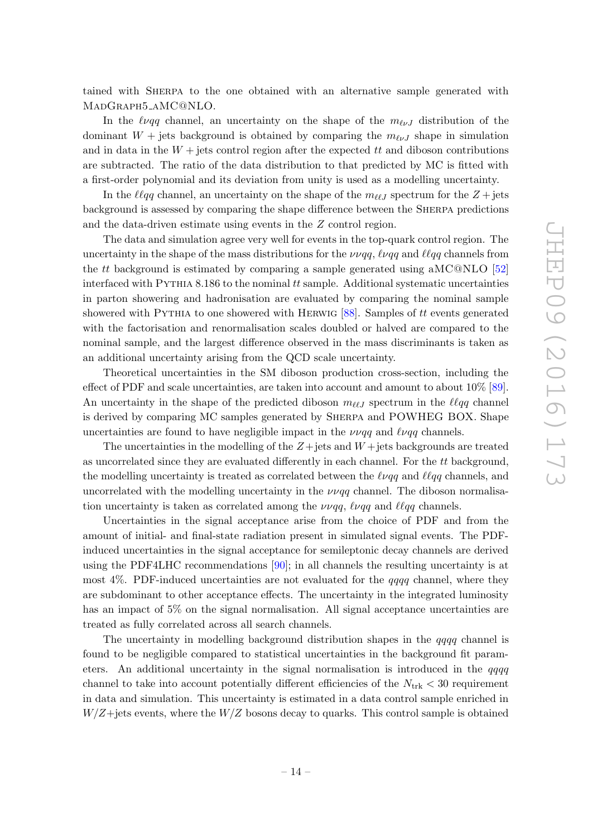<span id="page-15-1"></span>tained with Sherpa to the one obtained with an alternative sample generated with MADGRAPH5\_AMC@NLO.

In the  $\ell \nu q \bar{q}$  channel, an uncertainty on the shape of the  $m_{\ell \nu}$  distribution of the dominant  $W +$  jets background is obtained by comparing the  $m_{\ell\nu}$  shape in simulation and in data in the  $W + j$  ets control region after the expected  $tt$  and diboson contributions are subtracted. The ratio of the data distribution to that predicted by MC is fitted with a first-order polynomial and its deviation from unity is used as a modelling uncertainty.

In the  $\ell \ell qq$  channel, an uncertainty on the shape of the  $m_{\ell \ell J}$  spectrum for the  $Z + \text{jets}$ background is assessed by comparing the shape difference between the Sherpa predictions and the data-driven estimate using events in the Z control region.

The data and simulation agree very well for events in the top-quark control region. The uncertainty in the shape of the mass distributions for the  $\nu\nu qq$ ,  $\ell\nu qq$  and  $\ell l qq$  channels from the *tt* background is estimated by comparing a sample generated using aMC@NLO  $[52]$  $[52]$ interfaced with PYTHIA 8.186 to the nominal tt sample. Additional systematic uncertainties in parton showering and hadronisation are evaluated by comparing the nominal sample showered with PYTHIA to one showered with HERWIG  $[88]$ . Samples of tt events generated with the factorisation and renormalisation scales doubled or halved are compared to the nominal sample, and the largest difference observed in the mass discriminants is taken as an additional uncertainty arising from the QCD scale uncertainty.

Theoretical uncertainties in the SM diboson production cross-section, including the effect of PDF and scale uncertainties, are taken into account and amount to about 10% [\[89\]](#page-28-9). An uncertainty in the shape of the predicted diboson  $m_{\ell\ell}$  spectrum in the  $\ell\ell qq$  channel is derived by comparing MC samples generated by Sherpa and POWHEG BOX. Shape uncertainties are found to have negligible impact in the  $\nu \nu qq$  and  $\ell \nu qq$  channels.

The uncertainties in the modelling of the  $Z +$  jets and  $W +$  jets backgrounds are treated as uncorrelated since they are evaluated differently in each channel. For the tt background, the modelling uncertainty is treated as correlated between the  $\ell \nu q \bar{q}$  and  $\ell \ell q \bar{q}$  channels, and uncorrelated with the modelling uncertainty in the  $\nu \nu qq$  channel. The diboson normalisation uncertainty is taken as correlated among the  $\nu \nu qq$ ,  $\ell \nu qq$  and  $\ell \ell qq$  channels.

<span id="page-15-0"></span>Uncertainties in the signal acceptance arise from the choice of PDF and from the amount of initial- and final-state radiation present in simulated signal events. The PDFinduced uncertainties in the signal acceptance for semileptonic decay channels are derived using the PDF4LHC recommendations [\[90\]](#page-28-10); in all channels the resulting uncertainty is at most  $4\%$ . PDF-induced uncertainties are not evaluated for the  $qqqq$  channel, where they are subdominant to other acceptance effects. The uncertainty in the integrated luminosity has an impact of 5% on the signal normalisation. All signal acceptance uncertainties are treated as fully correlated across all search channels.

The uncertainty in modelling background distribution shapes in the qqqq channel is found to be negligible compared to statistical uncertainties in the background fit parameters. An additional uncertainty in the signal normalisation is introduced in the  $qqqq$ channel to take into account potentially different efficiencies of the  $N_{\text{trk}} < 30$  requirement in data and simulation. This uncertainty is estimated in a data control sample enriched in  $W/Z +$ jets events, where the  $W/Z$  bosons decay to quarks. This control sample is obtained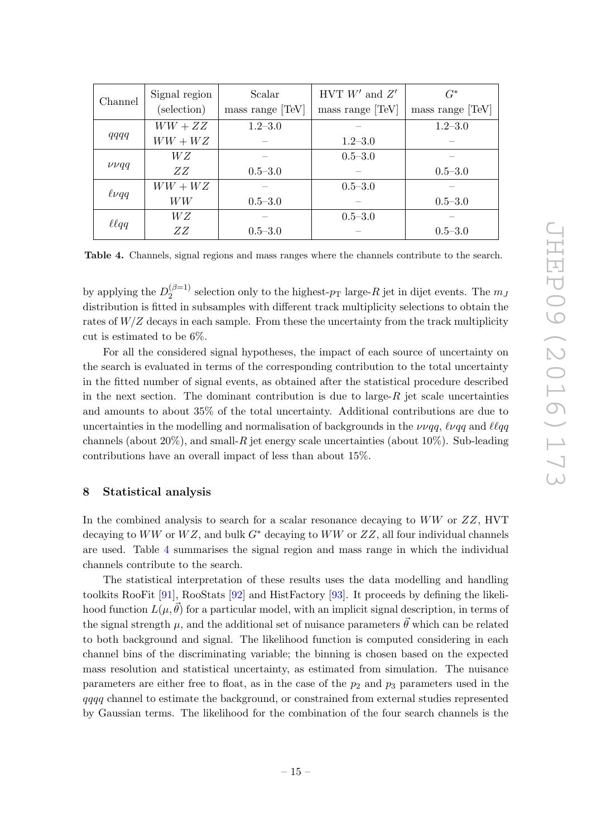| Channel        | Signal region<br>(selection) | Scalar<br>mass range [TeV] | HVT $W'$ and $Z'$<br>mass range [TeV] | $G^*$<br>mass range [TeV] |  |
|----------------|------------------------------|----------------------------|---------------------------------------|---------------------------|--|
|                | $WW+ZZ$                      | $1.2 - 3.0$                |                                       | $1.2 - 3.0$               |  |
| qqqq           | $WW+WZ$                      |                            | $1.2 - 3.0$                           |                           |  |
|                | W Z                          |                            | $0.5 - 3.0$                           |                           |  |
| $\nu\nu qq$    | ZΖ                           | $0.5 - 3.0$                |                                       | $0.5 - 3.0$               |  |
|                | $WW + WZ$                    |                            | $0.5 - 3.0$                           |                           |  |
| $\ell\nu qq$   | WW                           | $0.5 - 3.0$                |                                       | $0.5 - 3.0$               |  |
| $\ell \ell qq$ | W Z                          |                            | $0.5 - 3.0$                           |                           |  |
|                | ZZ                           | $0.5 - 3.0$                |                                       | $0.5 - 3.0$               |  |

Table 4. Channels, signal regions and mass ranges where the channels contribute to the search.

by applying the  $D_2^{(\beta=1)}$  $\frac{1}{2}$  selection only to the highest- $p_T$  large- $R$  jet in dijet events. The  $m_j$ distribution is fitted in subsamples with different track multiplicity selections to obtain the rates of  $W/Z$  decays in each sample. From these the uncertainty from the track multiplicity cut is estimated to be 6%.

<span id="page-16-0"></span>For all the considered signal hypotheses, the impact of each source of uncertainty on the search is evaluated in terms of the corresponding contribution to the total uncertainty in the fitted number of signal events, as obtained after the statistical procedure described in the next section. The dominant contribution is due to large- $R$  jet scale uncertainties and amounts to about 35% of the total uncertainty. Additional contributions are due to uncertainties in the modelling and normalisation of backgrounds in the  $\nu\nu qq$ ,  $\ell\nu qq$  and  $\ell l qq$ channels (about 20%), and small- $R$  jet energy scale uncertainties (about 10%). Sub-leading contributions have an overall impact of less than about 15%.

#### 8 Statistical analysis

In the combined analysis to search for a scalar resonance decaying to WW or ZZ, HVT decaying to  $WW$  or  $WZ$ , and bulk  $G^*$  decaying to  $WW$  or  $ZZ$ , all four individual channels are used. Table [4](#page-15-1) summarises the signal region and mass range in which the individual channels contribute to the search.

The statistical interpretation of these results uses the data modelling and handling toolkits RooFit [\[91\]](#page-28-11), RooStats [\[92\]](#page-28-12) and HistFactory [\[93\]](#page-28-13). It proceeds by defining the likelihood function  $L(\mu, \vec{\theta})$  for a particular model, with an implicit signal description, in terms of the signal strength  $\mu$ , and the additional set of nuisance parameters  $\vec{\theta}$  which can be related to both background and signal. The likelihood function is computed considering in each channel bins of the discriminating variable; the binning is chosen based on the expected mass resolution and statistical uncertainty, as estimated from simulation. The nuisance parameters are either free to float, as in the case of the  $p_2$  and  $p_3$  parameters used in the qqqq channel to estimate the background, or constrained from external studies represented by Gaussian terms. The likelihood for the combination of the four search channels is the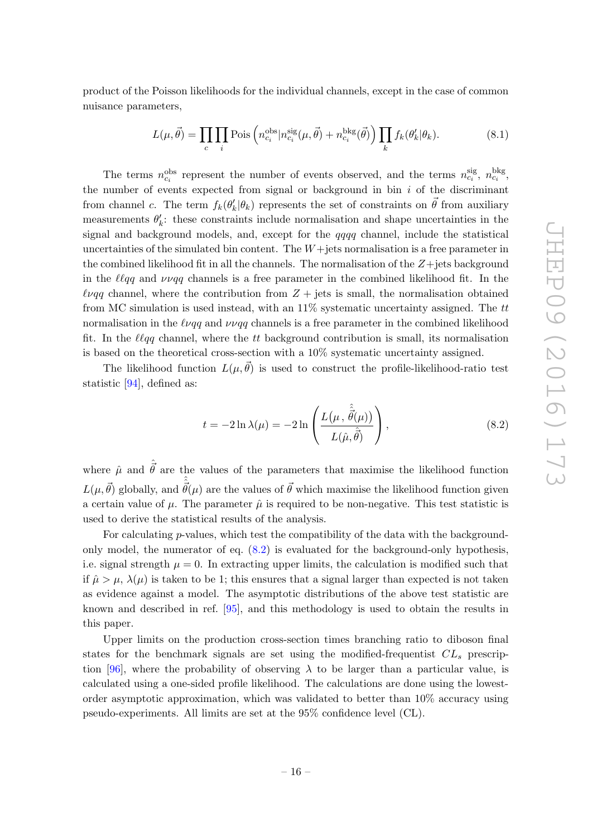<span id="page-17-1"></span>product of the Poisson likelihoods for the individual channels, except in the case of common nuisance parameters,

$$
L(\mu, \vec{\theta}) = \prod_c \prod_i \text{Pois}\left(n_{c_i}^{\text{obs}}|n_{c_i}^{\text{sig}}(\mu, \vec{\theta}) + n_{c_i}^{\text{bkg}}(\vec{\theta})\right) \prod_k f_k(\theta'_k|\theta_k). \tag{8.1}
$$

The terms  $n_{c_i}^{\text{obs}}$  represent the number of events observed, and the terms  $n_{c_i}^{\text{sig}}$ ,  $n_{c_i}^{\text{bkg}}$ , the number of events expected from signal or background in bin  $i$  of the discriminant from channel c. The term  $f_k(\theta'_k|\theta_k)$  represents the set of constraints on  $\vec{\theta}$  from auxiliary measurements  $\theta'_k$ : these constraints include normalisation and shape uncertainties in the signal and background models, and, except for the qqqq channel, include the statistical uncertainties of the simulated bin content. The  $W+{\rm jets}$  normalisation is a free parameter in the combined likelihood fit in all the channels. The normalisation of the  $Z +$ jets background in the  $\ell \ell qq$  and  $\nu \nu qq$  channels is a free parameter in the combined likelihood fit. In the  $\ell\nu qq$  channel, where the contribution from  $Z +$  jets is small, the normalisation obtained from MC simulation is used instead, with an  $11\%$  systematic uncertainty assigned. The tt normalisation in the  $\ell \nu qq$  and  $\nu \nu qq$  channels is a free parameter in the combined likelihood fit. In the  $\ell \ell qq$  channel, where the  $tt$  background contribution is small, its normalisation is based on the theoretical cross-section with a 10% systematic uncertainty assigned.

<span id="page-17-0"></span>The likelihood function  $L(\mu, \vec{\theta})$  is used to construct the profile-likelihood-ratio test statistic [\[94\]](#page-28-14), defined as:

$$
t = -2\ln\lambda(\mu) = -2\ln\left(\frac{L(\mu, \hat{\hat{\theta}}(\mu))}{L(\hat{\mu}, \hat{\hat{\theta}})}\right),
$$
\n(8.2)

where  $\hat{\mu}$  and  $\hat{\vec{\theta}}$  are the values of the parameters that maximise the likelihood function  $L(\mu, \vec{\theta})$  globally, and  $\hat{\hat{\vec{\theta}}}(\mu)$  are the values of  $\vec{\theta}$  which maximise the likelihood function given a certain value of  $\mu$ . The parameter  $\hat{\mu}$  is required to be non-negative. This test statistic is used to derive the statistical results of the analysis.

For calculating p-values, which test the compatibility of the data with the backgroundonly model, the numerator of eq. [\(8.2\)](#page-16-0) is evaluated for the background-only hypothesis, i.e. signal strength  $\mu = 0$ . In extracting upper limits, the calculation is modified such that if  $\hat{\mu} > \mu$ ,  $\lambda(\mu)$  is taken to be 1; this ensures that a signal larger than expected is not taken as evidence against a model. The asymptotic distributions of the above test statistic are known and described in ref. [\[95\]](#page-28-15), and this methodology is used to obtain the results in this paper.

Upper limits on the production cross-section times branching ratio to diboson final states for the benchmark signals are set using the modified-frequentist  $CL<sub>s</sub>$  prescrip-tion [\[96\]](#page-28-16), where the probability of observing  $\lambda$  to be larger than a particular value, is calculated using a one-sided profile likelihood. The calculations are done using the lowestorder asymptotic approximation, which was validated to better than 10% accuracy using pseudo-experiments. All limits are set at the 95% confidence level (CL).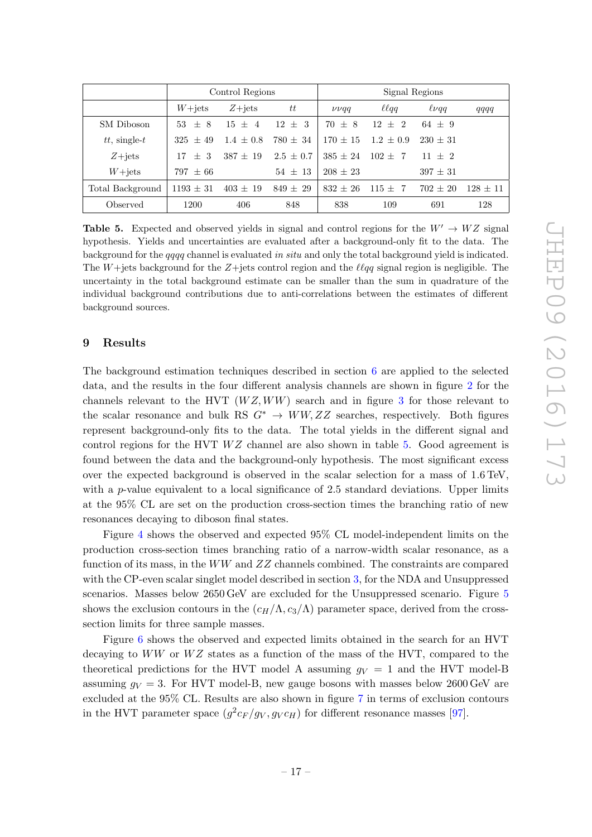<span id="page-18-0"></span>

|                    | Control Regions |              |               | Signal Regions |                 |              |              |
|--------------------|-----------------|--------------|---------------|----------------|-----------------|--------------|--------------|
|                    | $W+{\rm jets}$  | $Z + jets$   | tt            | $\nu\nu qq$    | $\ell \ell q q$ | $\ell\nu qq$ | qqqq         |
| SM Diboson         | $53 + 8$        | $15 + 4$     | $12 + 3$      | $70 \pm 8$     | $12 \pm 2$      | $64 \pm 9$   |              |
| $tt$ , single- $t$ | $325 + 49$      | $1.4 + 0.8$  | $780 \pm 34$  | $170 + 15$     | $1.2 \pm 0.9$   | $230 + 31$   |              |
| $Z + jets$         | $+3$<br>17      | $387 \pm 19$ | $2.5 \pm 0.7$ | $385 \pm 24$   | $102 + 7$       | $11 + 2$     |              |
| $W+{\rm jets}$     | $797 + 66$      |              | $54 + 13$     | $208 \pm 23$   |                 | $397 \pm 31$ |              |
| Total Background   | $1193 \pm 31$   | $403 \pm 19$ | $849 \pm 29$  | $832 + 26$     | $115 \pm 7$     | $702 \pm 20$ | $128 \pm 11$ |
| Observed           | 1200            | 406          | 848           | 838            | 109             | 691          | 128          |

Table 5. Expected and observed yields in signal and control regions for the  $W' \to WZ$  signal hypothesis. Yields and uncertainties are evaluated after a background-only fit to the data. The background for the qqqq channel is evaluated in situ and only the total background yield is indicated. The  $W +$ jets background for the  $Z +$ jets control region and the  $\ell \ell qq$  signal region is negligible. The uncertainty in the total background estimate can be smaller than the sum in quadrature of the individual background contributions due to anti-correlations between the estimates of different background sources.

#### 9 Results

The background estimation techniques described in section [6](#page-12-0) are applied to the selected data, and the results in the four different analysis channels are shown in figure [2](#page-18-0) for the channels relevant to the HVT  $(WZ, WW)$  search and in figure [3](#page-19-0) for those relevant to the scalar resonance and bulk RS  $G^* \to WW, ZZ$  searches, respectively. Both figures represent background-only fits to the data. The total yields in the different signal and control regions for the HVT  $WZ$  channel are also shown in table [5.](#page-17-1) Good agreement is found between the data and the background-only hypothesis. The most significant excess over the expected background is observed in the scalar selection for a mass of 1 .6 TeV, with a *p*-value equivalent to a local significance of 2.5 standard deviations. Upper limits at the 95% CL are set on the production cross-section times the branching ratio of new resonances decaying to diboson final states.

Figure [4](#page-20-1) shows the observed and expected 95% CL model-independent limits on the production cross-section times branching ratio of a narrow-width scalar resonance, as a function of its mass, in the  $WW$  and  $ZZ$  channels combined. The constraints are compared with the CP-even scalar singlet model described in section [3,](#page-3-0) for the NDA and Unsuppressed scenarios. Masses below 26[5](#page-21-0)0 GeV are excluded for the Unsuppressed scenario. Figure 5 shows the exclusion contours in the  $(c_H/\Lambda, c_3/\Lambda)$  parameter space, derived from the crosssection limits for three sample masses.

Figure [6](#page-22-0) shows the observed and expected limits obtained in the search for an HVT decaying to  $WW$  or  $WZ$  states as a function of the mass of the HVT, compared to the theoretical predictions for the HVT model A assuming  $g_V = 1$  and the HVT model-B assuming  $g_V = 3$ . For HVT model-B, new gauge bosons with masses below 2600 GeV are excluded at the 95% CL. Results are also shown in figure [7](#page-22-1) in terms of exclusion contours in the HVT parameter space  $(g^2c_F/g_V, g_Vc_H)$  for different resonance masses [\[97\]](#page-28-17).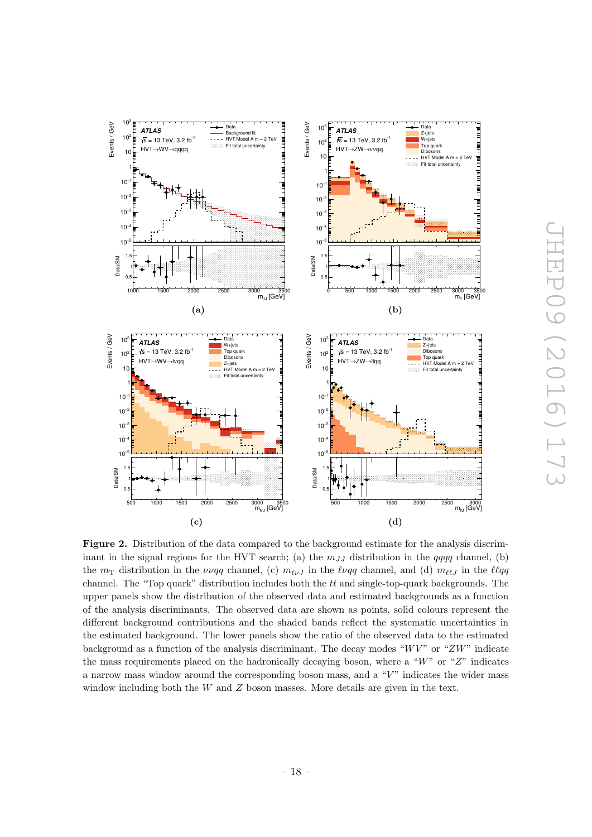<span id="page-19-0"></span>

Figure 2. Distribution of the data compared to the background estimate for the analysis discriminant in the signal regions for the HVT search; (a) the  $m_{JJ}$  distribution in the qqqq channel, (b) the  $m_{\rm T}$  distribution in the  $\nu \nu qq$  channel, (c)  $m_{\ell \nu} j$  in the  $\ell \nu qq$  channel, and (d)  $m_{\ell \ell} j$  in the  $\ell \ell qq$ channel. The "Top quark" distribution includes both the  $tt$  and single-top-quark backgrounds. The upper panels show the distribution of the observed data and estimated backgrounds as a function of the analysis discriminants. The observed data are shown as points, solid colours represent the different background contributions and the shaded bands reflect the systematic uncertainties in the estimated background. The lower panels show the ratio of the observed data to the estimated background as a function of the analysis discriminant. The decay modes " $W V$ " or " $ZW$ " indicate the mass requirements placed on the hadronically decaying boson, where a "W" or "Z" indicates a narrow mass window around the corresponding boson mass, and a "V" indicates the wider mass window including both the W and Z boson masses. More details are given in the text.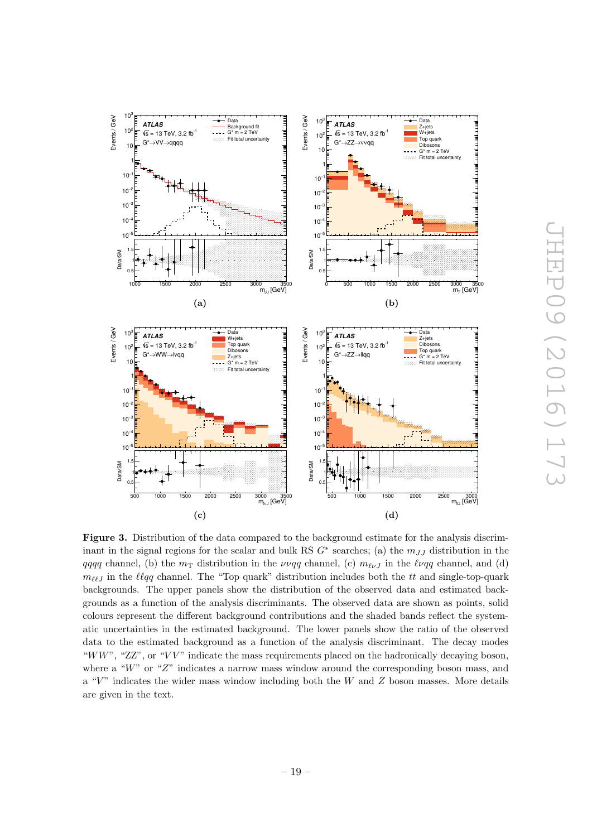<span id="page-20-1"></span>

<span id="page-20-0"></span>Figure 3. Distribution of the data compared to the background estimate for the analysis discriminant in the signal regions for the scalar and bulk RS  $G^*$  searches; (a) the  $m_{JJ}$  distribution in the qqqq channel, (b) the  $m<sub>T</sub>$  distribution in the  $\nu\nu qq$  channel, (c)  $m_{\ell\nu}$  in the  $\ell\nu qq$  channel, and (d)  $m_{\ell\ell J}$  in the  $\ell \ell qq$  channel. The "Top quark" distribution includes both the tt and single-top-quark backgrounds. The upper panels show the distribution of the observed data and estimated backgrounds as a function of the analysis discriminants. The observed data are shown as points, solid colours represent the different background contributions and the shaded bands reflect the systematic uncertainties in the estimated background. The lower panels show the ratio of the observed data to the estimated background as a function of the analysis discriminant. The decay modes "WW", " $ZZ$ ", or "VV" indicate the mass requirements placed on the hadronically decaying boson, where a "W" or "Z" indicates a narrow mass window around the corresponding boson mass, and a " $V$ " indicates the wider mass window including both the W and Z boson masses. More details are given in the text.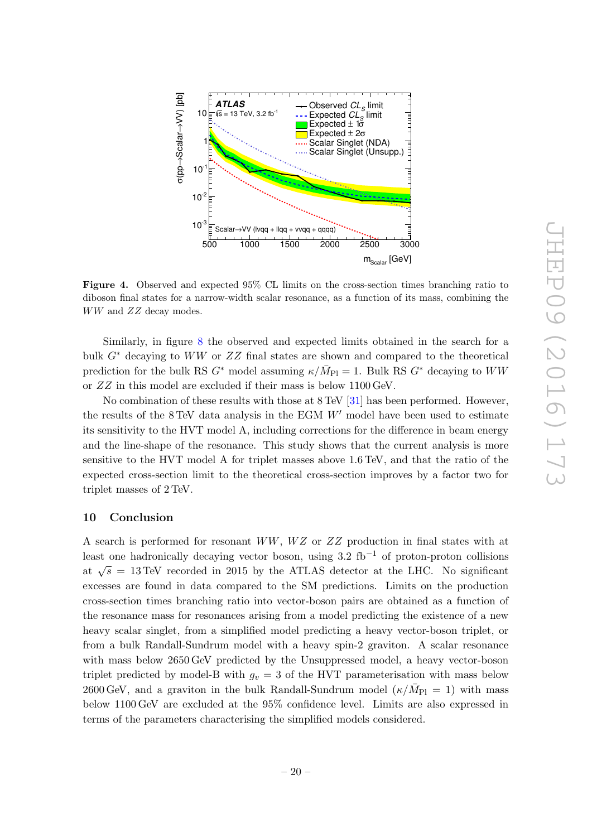<span id="page-21-0"></span>

Figure 4. Observed and expected 95% CL limits on the cross-section times branching ratio to diboson final states for a narrow-width scalar resonance, as a function of its mass, combining the WW and ZZ decay modes.

Similarly, in figure [8](#page-23-3) the observed and expected limits obtained in the search for a bulk  $G^*$  decaying to  $WW$  or  $ZZ$  final states are shown and compared to the theoretical prediction for the bulk RS  $G^*$  model assuming  $\kappa/\bar{M}_{\rm Pl} = 1$ . Bulk RS  $G^*$  decaying to  $WW$ or ZZ in this model are excluded if their mass is below 1100 GeV.

No combination of these results with those at 8 TeV [\[31\]](#page-25-0) has been performed. However, the results of the  $8 \text{ TeV}$  data analysis in the EGM  $W'$  model have been used to estimate its sensitivity to the HVT model A, including corrections for the difference in beam energy and the line-shape of the resonance. This study shows that the current analysis is more sensitive to the HVT model A for triplet masses above 1.6 TeV, and that the ratio of the expected cross-section limit to the theoretical cross-section improves by a factor two for triplet masses of 2 TeV.

#### 10 Conclusion

A search is performed for resonant  $WW$ ,  $WZ$  or  $ZZ$  production in final states with at least one hadronically decaying vector boson, using  $3.2 \text{ fb}^{-1}$  of proton-proton collisions at  $\sqrt{s}$  = 13 TeV recorded in 2015 by the ATLAS detector at the LHC. No significant excesses are found in data compared to the SM predictions. Limits on the production cross-section times branching ratio into vector-boson pairs are obtained as a function of the resonance mass for resonances arising from a model predicting the existence of a new heavy scalar singlet, from a simplified model predicting a heavy vector-boson triplet, or from a bulk Randall-Sundrum model with a heavy spin-2 graviton. A scalar resonance with mass below 2650 GeV predicted by the Unsuppressed model, a heavy vector-boson triplet predicted by model-B with  $g_v = 3$  of the HVT parameterisation with mass below 2600 GeV, and a graviton in the bulk Randall-Sundrum model  $(\kappa/\bar{M}_{\rm Pl} = 1)$  with mass below 1100 GeV are excluded at the 95% confidence level. Limits are also expressed in terms of the parameters characterising the simplified models considered.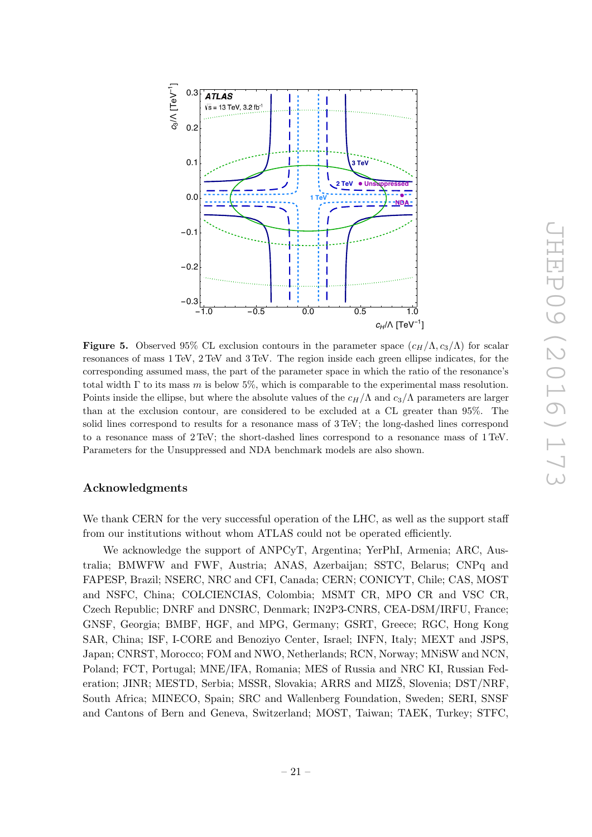<span id="page-22-0"></span>

<span id="page-22-1"></span>**Figure 5.** Observed 95% CL exclusion contours in the parameter space  $(c_H/\Lambda, c_3/\Lambda)$  for scalar resonances of mass 1 TeV, 2 TeV and 3 TeV. The region inside each green ellipse indicates, for the corresponding assumed mass, the part of the parameter space in which the ratio of the resonance's total width  $\Gamma$  to its mass m is below 5%, which is comparable to the experimental mass resolution. Points inside the ellipse, but where the absolute values of the  $c_H/\Lambda$  and  $c_3/\Lambda$  parameters are larger than at the exclusion contour, are considered to be excluded at a CL greater than 95%. The solid lines correspond to results for a resonance mass of 3 TeV; the long-dashed lines correspond to a resonance mass of 2 TeV; the short-dashed lines correspond to a resonance mass of 1 TeV. Parameters for the Unsuppressed and NDA benchmark models are also shown.

#### Acknowledgments

We thank CERN for the very successful operation of the LHC, as well as the support staff from our institutions without whom ATLAS could not be operated efficiently.

We acknowledge the support of ANPCyT, Argentina; YerPhI, Armenia; ARC, Australia; BMWFW and FWF, Austria; ANAS, Azerbaijan; SSTC, Belarus; CNPq and FAPESP, Brazil; NSERC, NRC and CFI, Canada; CERN; CONICYT, Chile; CAS, MOST and NSFC, China; COLCIENCIAS, Colombia; MSMT CR, MPO CR and VSC CR, Czech Republic; DNRF and DNSRC, Denmark; IN2P3-CNRS, CEA-DSM/IRFU, France; GNSF, Georgia; BMBF, HGF, and MPG, Germany; GSRT, Greece; RGC, Hong Kong SAR, China; ISF, I-CORE and Benoziyo Center, Israel; INFN, Italy; MEXT and JSPS, Japan; CNRST, Morocco; FOM and NWO, Netherlands; RCN, Norway; MNiSW and NCN, Poland; FCT, Portugal; MNE/IFA, Romania; MES of Russia and NRC KI, Russian Federation; JINR; MESTD, Serbia; MSSR, Slovakia; ARRS and MIZŠ, Slovenia; DST/NRF, South Africa; MINECO, Spain; SRC and Wallenberg Foundation, Sweden; SERI, SNSF and Cantons of Bern and Geneva, Switzerland; MOST, Taiwan; TAEK, Turkey; STFC,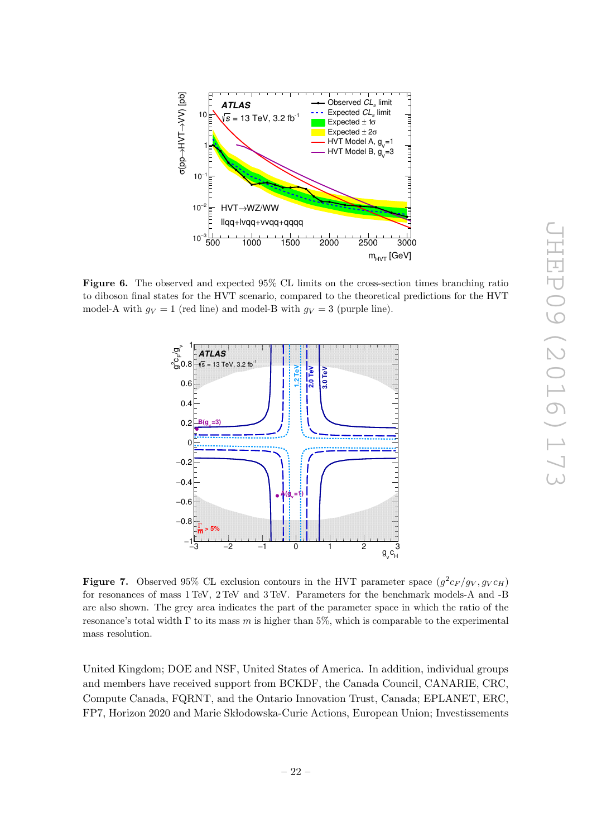<span id="page-23-3"></span>

Figure 6. The observed and expected 95% CL limits on the cross-section times branching ratio to diboson final states for the HVT scenario, compared to the theoretical predictions for the HVT model-A with  $g_V = 1$  (red line) and model-B with  $g_V = 3$  (purple line).



<span id="page-23-0"></span>**Figure 7.** Observed 95% CL exclusion contours in the HVT parameter space  $(g^2c_F/g_V, g_Vc_H)$ for resonances of mass 1 TeV, 2 TeV and 3 TeV. Parameters for the benchmark models-A and -B are also shown. The grey area indicates the part of the parameter space in which the ratio of the resonance's total width  $\Gamma$  to its mass m is higher than 5%, which is comparable to the experimental mass resolution.

<span id="page-23-2"></span><span id="page-23-1"></span>United Kingdom; DOE and NSF, United States of America. In addition, individual groups and members have received support from BCKDF, the Canada Council, CANARIE, CRC, Compute Canada, FQRNT, and the Ontario Innovation Trust, Canada; EPLANET, ERC, FP7, Horizon 2020 and Marie Skłodowska-Curie Actions, European Union; Investissements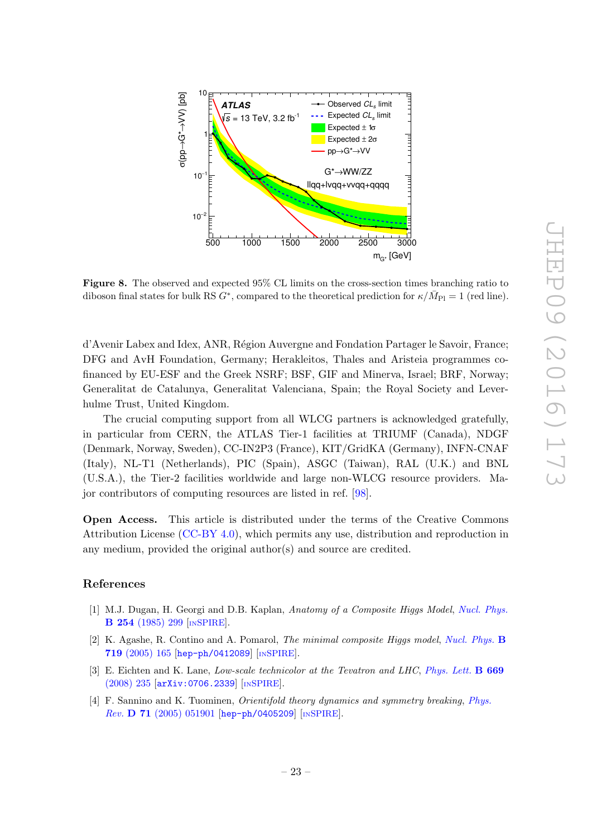<span id="page-24-14"></span><span id="page-24-1"></span><span id="page-24-0"></span>

<span id="page-24-4"></span><span id="page-24-3"></span><span id="page-24-2"></span>Figure 8. The observed and expected 95% CL limits on the cross-section times branching ratio to diboson final states for bulk RS  $G^*$ , compared to the theoretical prediction for  $\kappa/\bar{M}_{\text{Pl}} = 1$  (red line).

<span id="page-24-6"></span><span id="page-24-5"></span>d'Avenir Labex and Idex, ANR, R´egion Auvergne and Fondation Partager le Savoir, France; DFG and AvH Foundation, Germany; Herakleitos, Thales and Aristeia programmes cofinanced by EU-ESF and the Greek NSRF; BSF, GIF and Minerva, Israel; BRF, Norway; Generalitat de Catalunya, Generalitat Valenciana, Spain; the Royal Society and Leverhulme Trust, United Kingdom.

<span id="page-24-8"></span><span id="page-24-7"></span>The crucial computing support from all WLCG partners is acknowledged gratefully, in particular from CERN, the ATLAS Tier-1 facilities at TRIUMF (Canada), NDGF (Denmark, Norway, Sweden), CC-IN2P3 (France), KIT/GridKA (Germany), INFN-CNAF (Italy), NL-T1 (Netherlands), PIC (Spain), ASGC (Taiwan), RAL (U.K.) and BNL (U.S.A.), the Tier-2 facilities worldwide and large non-WLCG resource providers. Major contributors of computing resources are listed in ref. [\[98\]](#page-28-18).

<span id="page-24-11"></span><span id="page-24-10"></span><span id="page-24-9"></span>Open Access. This article is distributed under the terms of the Creative Commons Attribution License [\(CC-BY 4.0\)](http://creativecommons.org/licenses/by/4.0/), which permits any use, distribution and reproduction in any medium, provided the original author(s) and source are credited.

#### References

- <span id="page-24-12"></span>[1] M.J. Dugan, H. Georgi and D.B. Kaplan, Anatomy of a Composite Higgs Model, [Nucl. Phys.](http://dx.doi.org/10.1016/0550-3213(85)90221-4) B 254 [\(1985\) 299](http://dx.doi.org/10.1016/0550-3213(85)90221-4) [IN[SPIRE](http://inspirehep.net/search?p=find+J+%22Nucl.Phys.,B254,299%22)].
- <span id="page-24-13"></span>[2] K. Agashe, R. Contino and A. Pomarol, *The minimal composite Higgs model*, *[Nucl. Phys.](http://dx.doi.org/10.1016/j.nuclphysb.2005.04.035)* **B** 719 [\(2005\) 165](http://dx.doi.org/10.1016/j.nuclphysb.2005.04.035) [[hep-ph/0412089](http://arxiv.org/abs/hep-ph/0412089)] [IN[SPIRE](http://inspirehep.net/search?p=find+EPRINT+hep-ph/0412089)].
- [3] E. Eichten and K. Lane, Low-scale technicolor at the Tevatron and LHC, [Phys. Lett.](http://dx.doi.org/10.1016/j.physletb.2008.09.047) **B 669** [\(2008\) 235](http://dx.doi.org/10.1016/j.physletb.2008.09.047) [[arXiv:0706.2339](http://arxiv.org/abs/0706.2339)] [IN[SPIRE](http://inspirehep.net/search?p=find+EPRINT+arXiv:0706.2339)].
- [4] F. Sannino and K. Tuominen, Orientifold theory dynamics and symmetry breaking , [Phys.](http://dx.doi.org/10.1103/PhysRevD.71.051901) Rev. **D** 71 [\(2005\) 051901](http://dx.doi.org/10.1103/PhysRevD.71.051901) [[hep-ph/0405209](http://arxiv.org/abs/hep-ph/0405209)] [IN[SPIRE](http://inspirehep.net/search?p=find+EPRINT+hep-ph/0405209)].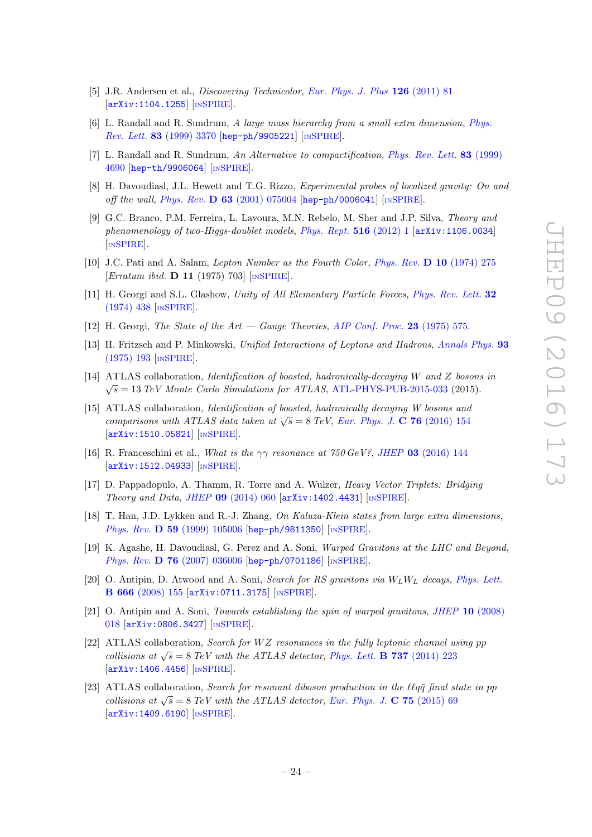- [5] J.R. Andersen et al., *Discovering Technicolor*, *[Eur. Phys. J. Plus](http://dx.doi.org/10.1140/epjp/i2011-11081-1)* 126 (2011) 81 [[arXiv:1104.1255](http://arxiv.org/abs/1104.1255)] [IN[SPIRE](http://inspirehep.net/search?p=find+EPRINT+arXiv:1104.1255)].
- [6] L. Randall and R. Sundrum, A large mass hierarchy from a small extra dimension, [Phys.](http://dx.doi.org/10.1103/PhysRevLett.83.3370) Rev. Lett. 83 [\(1999\) 3370](http://dx.doi.org/10.1103/PhysRevLett.83.3370) [[hep-ph/9905221](http://arxiv.org/abs/hep-ph/9905221)] [IN[SPIRE](http://inspirehep.net/search?p=find+EPRINT+hep-ph/9905221)].
- [7] L. Randall and R. Sundrum, An Alternative to compactification, [Phys. Rev. Lett.](http://dx.doi.org/10.1103/PhysRevLett.83.4690)  $83$  (1999) [4690](http://dx.doi.org/10.1103/PhysRevLett.83.4690) [[hep-th/9906064](http://arxiv.org/abs/hep-th/9906064)] [IN[SPIRE](http://inspirehep.net/search?p=find+EPRINT+hep-th/9906064)].
- <span id="page-25-2"></span>[8] H. Davoudiasl, J.L. Hewett and T.G. Rizzo, Experimental probes of localized gravity: On and off the wall, Phys. Rev. D 63 [\(2001\) 075004](http://dx.doi.org/10.1103/PhysRevD.63.075004) [[hep-ph/0006041](http://arxiv.org/abs/hep-ph/0006041)] [IN[SPIRE](http://inspirehep.net/search?p=find+EPRINT+hep-ph/0006041)].
- [9] G.C. Branco, P.M. Ferreira, L. Lavoura, M.N. Rebelo, M. Sher and J.P. Silva, Theory and phenomenology of two-Higgs-doublet models, [Phys. Rept.](http://dx.doi.org/10.1016/j.physrep.2012.02.002)  $516$  (2012) 1 [[arXiv:1106.0034](http://arxiv.org/abs/1106.0034)] [IN[SPIRE](http://inspirehep.net/search?p=find+EPRINT+arXiv:1106.0034)].
- [10] J.C. Pati and A. Salam, Lepton Number as the Fourth Color, [Phys. Rev.](http://dx.doi.org/10.1103/PhysRevD.10.275) D 10 (1974) 275 [*Erratum ibid.* **D 11** (1975) 703] [IN[SPIRE](http://inspirehep.net/search?p=find+J+%22Phys.Rev.,D10,275%22)].
- [11] H. Georgi and S.L. Glashow, Unity of All Elementary Particle Forces, [Phys. Rev. Lett.](http://dx.doi.org/10.1103/PhysRevLett.32.438) 32 [\(1974\) 438](http://dx.doi.org/10.1103/PhysRevLett.32.438) [IN[SPIRE](http://inspirehep.net/search?p=find+J+%22Phys.Rev.Lett.,32,438%22)].
- [12] H. Georgi, The State of the  $Art Gauge$  Theories, [AIP Conf. Proc.](http://dx.doi.org/10.1063/1.2947450) 23 (1975) 575.
- [13] H. Fritzsch and P. Minkowski, Unified Interactions of Leptons and Hadrons, [Annals Phys.](http://dx.doi.org/10.1016/0003-4916(75)90211-0) 93 [\(1975\) 193](http://dx.doi.org/10.1016/0003-4916(75)90211-0) [IN[SPIRE](http://inspirehep.net/search?p=find+J+%22AnnalsPhys.,93,193%22)].
- <span id="page-25-0"></span>[14] ATLAS collaboration, *Identification of boosted, hadronically-decaying W and Z bosons in*  $\sqrt{s} = 13 \; TeV$  Monte Carlo Simulations for ATLAS, [ATL-PHYS-PUB-2015-033](http://cds.cern.ch/record/2041461) (2015).
- <span id="page-25-1"></span>[15] ATLAS collaboration, Identification of boosted, hadronically decaying W bosons and comparisons with ATLAS data taken at  $\sqrt{s} = 8$  TeV, [Eur. Phys. J.](http://dx.doi.org/10.1140/epjc/s10052-016-3978-z) C 76 (2016) 154 [[arXiv:1510.05821](http://arxiv.org/abs/1510.05821)] [IN[SPIRE](http://inspirehep.net/search?p=find+EPRINT+arXiv:1510.05821)].
- <span id="page-25-3"></span>[16] R. Franceschini et al., What is the  $\gamma\gamma$  resonance at 750 GeV?, JHEP 03 [\(2016\) 144](http://dx.doi.org/10.1007/JHEP03(2016)144) [[arXiv:1512.04933](http://arxiv.org/abs/1512.04933)] [IN[SPIRE](http://inspirehep.net/search?p=find+J+%22JHEP,1603,144%22)].
- <span id="page-25-4"></span>[17] D. Pappadopulo, A. Thamm, R. Torre and A. Wulzer, Heavy Vector Triplets: Bridging Theory and Data , JHEP 09 [\(2014\) 060](http://dx.doi.org/10.1007/JHEP09(2014)060) [[arXiv:1402.4431](http://arxiv.org/abs/1402.4431)] [IN[SPIRE](http://inspirehep.net/search?p=find+EPRINT+arXiv:1402.4431)].
- <span id="page-25-5"></span>[18] T. Han, J.D. Lykken and R.-J. Zhang, On Kaluza-Klein states from large extra dimensions, Phys. Rev. D 59 [\(1999\) 105006](http://dx.doi.org/10.1103/PhysRevD.59.105006) [[hep-ph/9811350](http://arxiv.org/abs/hep-ph/9811350)] [IN[SPIRE](http://inspirehep.net/search?p=find+EPRINT+hep-ph/9811350)].
- <span id="page-25-6"></span>[19] K. Agashe, H. Davoudiasl, G. Perez and A. Soni, *Warped Gravitons at the LHC and Beyond*, Phys. Rev. **D 76** [\(2007\) 036006](http://dx.doi.org/10.1103/PhysRevD.76.036006) [[hep-ph/0701186](http://arxiv.org/abs/hep-ph/0701186)] [IN[SPIRE](http://inspirehep.net/search?p=find+EPRINT+hep-ph/0701186)].
- <span id="page-25-7"></span>[20] O. Antipin, D. Atwood and A. Soni, *Search for RS gravitons via*  $W_L W_L$  decays, *[Phys. Lett.](http://dx.doi.org/10.1016/j.physletb.2008.07.009)* B 666 [\(2008\) 155](http://dx.doi.org/10.1016/j.physletb.2008.07.009) [[arXiv:0711.3175](http://arxiv.org/abs/0711.3175)] [IN[SPIRE](http://inspirehep.net/search?p=find+EPRINT+arXiv:0711.3175)].
- <span id="page-25-8"></span>[21] O. Antipin and A. Soni, *Towards establishing the spin of warped gravitons*, *JHEP* 10 [\(2008\)](http://dx.doi.org/10.1088/1126-6708/2008/10/018) [018](http://dx.doi.org/10.1088/1126-6708/2008/10/018) [[arXiv:0806.3427](http://arxiv.org/abs/0806.3427)] [IN[SPIRE](http://inspirehep.net/search?p=find+EPRINT+arXiv:0806.3427)].
- <span id="page-25-9"></span>[22] ATLAS collaboration, Search for  $WZ$  resonances in the fully leptonic channel using pp collisions at  $\sqrt{s} = 8$  TeV with the ATLAS detector, [Phys. Lett.](http://dx.doi.org/10.1016/j.physletb.2014.08.039) **B 737** (2014) 223 [[arXiv:1406.4456](http://arxiv.org/abs/1406.4456)] [IN[SPIRE](http://inspirehep.net/search?p=find+EPRINT+arXiv:1406.4456)].
- <span id="page-25-10"></span>[23] ATLAS collaboration, Search for resonant diboson production in the  $\ell \ell q \bar{q}$  final state in pp collisions at  $\sqrt{s} = 8$  TeV with the ATLAS detector, [Eur. Phys. J.](http://dx.doi.org/10.1140/epjc/s10052-015-3261-8) C 75 (2015) 69 [[arXiv:1409.6190](http://arxiv.org/abs/1409.6190)] [IN[SPIRE](http://inspirehep.net/search?p=find+EPRINT+arXiv:1409.6190)].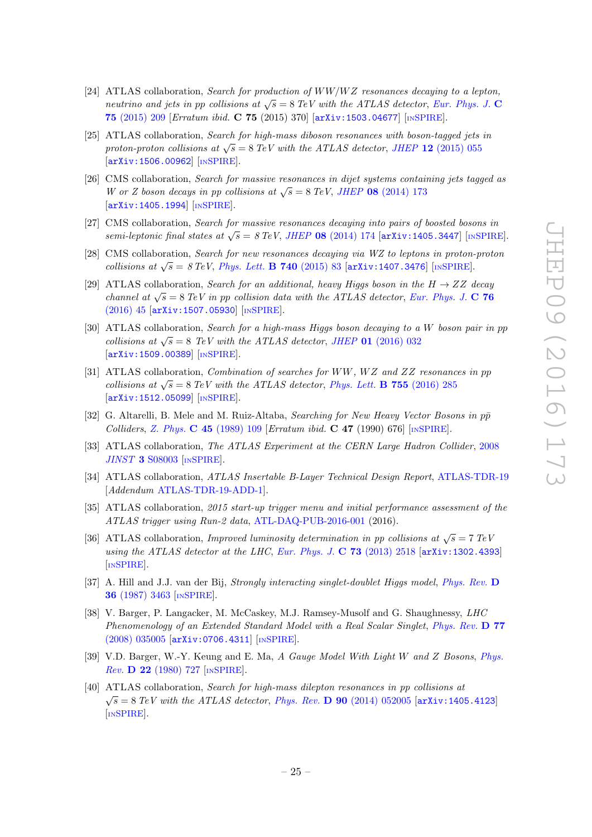- [24] ATLAS collaboration, Search for production of  $WW/WZ$  resonances decaying to a lepton, neutrino and jets in pp collisions at  $\sqrt{s} = 8$  TeV with the ATLAS detector, [Eur. Phys. J.](http://dx.doi.org/10.1140/epjc/s10052-015-3593-4) C 75 [\(2015\) 209](http://dx.doi.org/10.1140/epjc/s10052-015-3593-4) [Erratum ibid. C 75 (2015) 370] [[arXiv:1503.04677](http://arxiv.org/abs/1503.04677)] [IN[SPIRE](http://inspirehep.net/search?p=find+J+%22Eur.Phys.J.,C75,209%22)].
- [25] ATLAS collaboration, Search for high-mass diboson resonances with boson-tagged jets in proton-proton collisions at  $\sqrt{s} = 8 \text{ TeV}$  with the ATLAS detector, JHEP 12 [\(2015\) 055](http://dx.doi.org/10.1007/JHEP12(2015)055) [[arXiv:1506.00962](http://arxiv.org/abs/1506.00962)] [IN[SPIRE](http://inspirehep.net/search?p=find+J+%22JHEP,1512,055%22)].
- <span id="page-26-0"></span>[26] CMS collaboration, Search for massive resonances in dijet systems containing jets tagged as W or Z boson decays in pp collisions at  $\sqrt{s} = 8 \text{ TeV}$ , JHEP 08 [\(2014\) 173](http://dx.doi.org/10.1007/JHEP08(2014)173) [[arXiv:1405.1994](http://arxiv.org/abs/1405.1994)] [IN[SPIRE](http://inspirehep.net/search?p=find+EPRINT+arXiv:1405.1994)].
- <span id="page-26-1"></span>[27] CMS collaboration, Search for massive resonances decaying into pairs of boosted bosons in semi-leptonic final states at  $\sqrt{s} = 8 \text{ TeV}$ , JHEP 08 [\(2014\) 174](http://dx.doi.org/10.1007/JHEP08(2014)174) [arXiv: 1405.3447] [IN[SPIRE](http://inspirehep.net/search?p=find+EPRINT+arXiv:1405.3447)].
- <span id="page-26-2"></span>[28] CMS collaboration, Search for new resonances decaying via WZ to leptons in proton-proton collisions at  $\sqrt{s} = 8 \text{ TeV}$ , *[Phys. Lett.](http://dx.doi.org/10.1016/j.physletb.2014.11.026)* **B 740** (2015) 83 [[arXiv:1407.3476](http://arxiv.org/abs/1407.3476)] [IN[SPIRE](http://inspirehep.net/search?p=find+EPRINT+arXiv:1407.3476)].
- <span id="page-26-3"></span>[29] ATLAS collaboration, Search for an additional, heavy Higgs boson in the  $H \rightarrow ZZ$  decay channel at  $\sqrt{s} = 8$  TeV in pp collision data with the ATLAS detector, [Eur. Phys. J.](http://dx.doi.org/10.1140/epjc/s10052-015-3820-z) C 76 [\(2016\) 45](http://dx.doi.org/10.1140/epjc/s10052-015-3820-z) [[arXiv:1507.05930](http://arxiv.org/abs/1507.05930)] [IN[SPIRE](http://inspirehep.net/search?p=find+J+%22Eur.Phys.J.,C76,45%22)].
- <span id="page-26-4"></span>[30] ATLAS collaboration, Search for a high-mass Higgs boson decaying to a W boson pair in pp collisions at  $\sqrt{s} = 8$  TeV with the ATLAS detector, JHEP 01 [\(2016\) 032](http://dx.doi.org/10.1007/JHEP01(2016)032) [[arXiv:1509.00389](http://arxiv.org/abs/1509.00389)] [IN[SPIRE](http://inspirehep.net/search?p=find+EPRINT+arXiv:1509.00389)].
- <span id="page-26-5"></span>[31] ATLAS collaboration, *Combination of searches for WW*,  $WZ$  and ZZ resonances in pp collisions at  $\sqrt{s} = 8 \text{ TeV}$  with the ATLAS detector, [Phys. Lett.](http://dx.doi.org/10.1016/j.physletb.2016.02.015) **B 755** (2016) 285 [[arXiv:1512.05099](http://arxiv.org/abs/1512.05099)] [IN[SPIRE](http://inspirehep.net/search?p=find+J+%22Phys.Lett.,B755,285%22)].
- <span id="page-26-7"></span><span id="page-26-6"></span>[32] G. Altarelli, B. Mele and M. Ruiz-Altaba, Searching for New Heavy Vector Bosons in  $p\bar{p}$ Colliders, Z. Phys. C 45 [\(1989\) 109](http://dx.doi.org/10.1007/BF01552335) [Erratum ibid. C 47 (1990) 676] [IN[SPIRE](http://inspirehep.net/search?p=find+%22Z.Phys,C45,109%22)].
- [33] ATLAS collaboration, The ATLAS Experiment at the CERN Large Hadron Collider, [2008](http://dx.doi.org/10.1088/1748-0221/3/08/S08003) JINST 3 [S08003](http://dx.doi.org/10.1088/1748-0221/3/08/S08003) [IN[SPIRE](http://inspirehep.net/search?p=find+J+%22JINST,3,S08003%22)].
- <span id="page-26-8"></span>[34] ATLAS collaboration, *ATLAS Insertable B-Layer Technical Design Report*, [ATLAS-TDR-19](http://cds.cern.ch/record/1291633) [Addendum [ATLAS-TDR-19-ADD-1\]](http://cds.cern.ch/record/1451888).
- <span id="page-26-9"></span>[35] ATLAS collaboration, 2015 start-up trigger menu and initial performance assessment of the ATLAS trigger using Run-2 data , [ATL-DAQ-PUB-2016-001](http://cds.cern.ch/record/2136007) (2016).
- <span id="page-26-10"></span>[36] ATLAS collaboration, *Improved luminosity determination in pp collisions at*  $\sqrt{s} = 7 \text{ TeV}$ using the ATLAS detector at the LHC, [Eur. Phys. J.](http://dx.doi.org/10.1140/epjc/s10052-013-2518-3)  $\bf{C}$  73 (2013) 2518 [[arXiv:1302.4393](http://arxiv.org/abs/1302.4393)] [IN[SPIRE](http://inspirehep.net/search?p=find+EPRINT+arXiv:1302.4393)].
- <span id="page-26-11"></span>[37] A. Hill and J.J. van der Bij, *Strongly interacting singlet-doublet Higgs model, [Phys. Rev.](http://dx.doi.org/10.1103/PhysRevD.36.3463)* D 36 [\(1987\) 3463](http://dx.doi.org/10.1103/PhysRevD.36.3463) [IN[SPIRE](http://inspirehep.net/search?p=find+J+%22Phys.Rev.,D36,3463%22)].
- <span id="page-26-13"></span><span id="page-26-12"></span>[38] V. Barger, P. Langacker, M. McCaskey, M.J. Ramsey-Musolf and G. Shaughnessy, LHC Phenomenology of an Extended Standard Model with a Real Scalar Singlet, [Phys. Rev.](http://dx.doi.org/10.1103/PhysRevD.77.035005) D 77 [\(2008\) 035005](http://dx.doi.org/10.1103/PhysRevD.77.035005) [[arXiv:0706.4311](http://arxiv.org/abs/0706.4311)] [IN[SPIRE](http://inspirehep.net/search?p=find+EPRINT+arXiv:0706.4311)].
- <span id="page-26-14"></span>[39] V.D. Barger, W.-Y. Keung and E. Ma, A Gauge Model With Light W and Z Bosons, [Phys.](http://dx.doi.org/10.1103/PhysRevD.22.727) Rev. **D 22** [\(1980\) 727](http://dx.doi.org/10.1103/PhysRevD.22.727) [IN[SPIRE](http://inspirehep.net/search?p=find+J+%22Phys.Rev.,D22,727%22)].
- <span id="page-26-15"></span>[40] ATLAS collaboration, *Search for high-mass dilepton resonances in pp collisions at*  $\sqrt{s} = 8 \text{ TeV}$  with the ATLAS detector, *Phys. Rev.* **D** 90 [\(2014\) 052005](http://dx.doi.org/10.1103/PhysRevD.90.052005) [[arXiv:1405.4123](http://arxiv.org/abs/1405.4123)] [IN[SPIRE](http://inspirehep.net/search?p=find+EPRINT+arXiv:1405.4123)].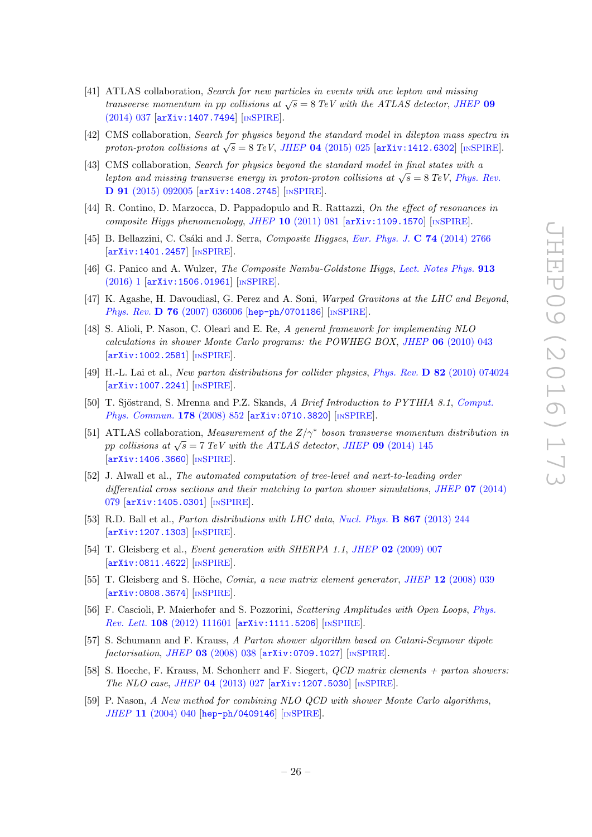- <span id="page-27-0"></span>[41] ATLAS collaboration, Search for new particles in events with one lepton and missing transverse momentum in pp collisions at  $\sqrt{s} = 8$  TeV with the ATLAS detector, [JHEP](http://dx.doi.org/10.1007/JHEP09(2014)037) 09 [\(2014\) 037](http://dx.doi.org/10.1007/JHEP09(2014)037) [[arXiv:1407.7494](http://arxiv.org/abs/1407.7494)] [IN[SPIRE](http://inspirehep.net/search?p=find+EPRINT+arXiv:1407.7494)].
- <span id="page-27-1"></span>[42] CMS collaboration, Search for physics beyond the standard model in dilepton mass spectra in proton-proton collisions at  $\sqrt{s} = 8 \text{ TeV}$ , JHEP 04 [\(2015\) 025](http://dx.doi.org/10.1007/JHEP04(2015)025) [[arXiv:1412.6302](http://arxiv.org/abs/1412.6302)] [IN[SPIRE](http://inspirehep.net/search?p=find+EPRINT+arXiv:1412.6302)].
- <span id="page-27-2"></span>[43] CMS collaboration, Search for physics beyond the standard model in final states with a lepton and missing transverse energy in proton-proton collisions at  $\sqrt{s} = 8$  TeV, [Phys. Rev.](http://dx.doi.org/10.1103/PhysRevD.91.092005) D 91 [\(2015\) 092005](http://dx.doi.org/10.1103/PhysRevD.91.092005) [[arXiv:1408.2745](http://arxiv.org/abs/1408.2745)] [IN[SPIRE](http://inspirehep.net/search?p=find+EPRINT+arXiv:1408.2745)].
- <span id="page-27-3"></span>[44] R. Contino, D. Marzocca, D. Pappadopulo and R. Rattazzi, On the effect of resonances in composite Higgs phenomenology, JHEP  $10$  [\(2011\) 081](http://dx.doi.org/10.1007/JHEP10(2011)081) [[arXiv:1109.1570](http://arxiv.org/abs/1109.1570)] [IN[SPIRE](http://inspirehep.net/search?p=find+EPRINT+arXiv:1109.1570)].
- <span id="page-27-4"></span>[45] B. Bellazzini, C. Csáki and J. Serra, *Composite Higgses, [Eur. Phys. J.](http://dx.doi.org/10.1140/epjc/s10052-014-2766-x)* C 74 (2014) 2766 [[arXiv:1401.2457](http://arxiv.org/abs/1401.2457)] [IN[SPIRE](http://inspirehep.net/search?p=find+EPRINT+arXiv:1401.2457)].
- <span id="page-27-5"></span>[46] G. Panico and A. Wulzer, *The Composite Nambu-Goldstone Higgs*, [Lect. Notes Phys.](http://dx.doi.org/10.1007/978-3-319-22617-0) **913** [\(2016\) 1](http://dx.doi.org/10.1007/978-3-319-22617-0) [[arXiv:1506.01961](http://arxiv.org/abs/1506.01961)] [IN[SPIRE](http://inspirehep.net/search?p=find+EPRINT+arXiv:1506.01961)].
- <span id="page-27-6"></span>[47] K. Agashe, H. Davoudiasl, G. Perez and A. Soni, *Warped Gravitons at the LHC and Beyond*, Phys. Rev. **D 76** [\(2007\) 036006](http://dx.doi.org/10.1103/PhysRevD.76.036006) [[hep-ph/0701186](http://arxiv.org/abs/hep-ph/0701186)] [IN[SPIRE](http://inspirehep.net/search?p=find+EPRINT+hep-ph/0701186)].
- <span id="page-27-7"></span>[48] S. Alioli, P. Nason, C. Oleari and E. Re, A general framework for implementing NLO  $calculations in shower Monte Carlo programs: the POWHEG BOX, JHEP 06 (2010) 043$  $calculations in shower Monte Carlo programs: the POWHEG BOX, JHEP 06 (2010) 043$ [[arXiv:1002.2581](http://arxiv.org/abs/1002.2581)] [IN[SPIRE](http://inspirehep.net/search?p=find+EPRINT+arXiv:1002.2581)].
- <span id="page-27-8"></span>[49] H.-L. Lai et al., New parton distributions for collider physics, Phys. Rev. D 82 [\(2010\) 074024](http://dx.doi.org/10.1103/PhysRevD.82.074024) [[arXiv:1007.2241](http://arxiv.org/abs/1007.2241)] [IN[SPIRE](http://inspirehep.net/search?p=find+EPRINT+arXiv:1007.2241)].
- <span id="page-27-10"></span><span id="page-27-9"></span>[50] T. Sjöstrand, S. Mrenna and P.Z. Skands, A Brief Introduction to PYTHIA 8.1, [Comput.](http://dx.doi.org/10.1016/j.cpc.2008.01.036) [Phys. Commun.](http://dx.doi.org/10.1016/j.cpc.2008.01.036) 178 (2008) 852 [[arXiv:0710.3820](http://arxiv.org/abs/0710.3820)] [IN[SPIRE](http://inspirehep.net/search?p=find+EPRINT+arXiv:0710.3820)].
- <span id="page-27-11"></span>[51] ATLAS collaboration, Measurement of the  $Z/\gamma^*$  boson transverse momentum distribution in pp collisions at  $\sqrt{s} = 7 \text{ TeV}$  with the ATLAS detector, JHEP 09 [\(2014\) 145](http://dx.doi.org/10.1007/JHEP09(2014)145) [[arXiv:1406.3660](http://arxiv.org/abs/1406.3660)] [IN[SPIRE](http://inspirehep.net/search?p=find+EPRINT+arXiv:1406.3660)].
- <span id="page-27-12"></span>[52] J. Alwall et al., The automated computation of tree-level and next-to-leading order differential cross sections and their matching to parton shower simulations, JHEP  $07$  [\(2014\)](http://dx.doi.org/10.1007/JHEP07(2014)079) [079](http://dx.doi.org/10.1007/JHEP07(2014)079) [[arXiv:1405.0301](http://arxiv.org/abs/1405.0301)] [IN[SPIRE](http://inspirehep.net/search?p=find+EPRINT+arXiv:1405.0301)].
- <span id="page-27-13"></span>[53] R.D. Ball et al., *Parton distributions with LHC data, [Nucl. Phys.](http://dx.doi.org/10.1016/j.nuclphysb.2012.10.003)* **B 867** (2013) 244 [[arXiv:1207.1303](http://arxiv.org/abs/1207.1303)] [IN[SPIRE](http://inspirehep.net/search?p=find+EPRINT+arXiv:1207.1303)].
- <span id="page-27-14"></span>[54] T. Gleisberg et al., *Event generation with SHERPA 1.1*, *JHEP* 02 [\(2009\) 007](http://dx.doi.org/10.1088/1126-6708/2009/02/007) [[arXiv:0811.4622](http://arxiv.org/abs/0811.4622)] [IN[SPIRE](http://inspirehep.net/search?p=find+EPRINT+arXiv:0811.4622)].
- <span id="page-27-15"></span>[55] T. Gleisberg and S. Höche, *Comix, a new matrix element generator*, *JHEP* 12  $(2008)$  039 [[arXiv:0808.3674](http://arxiv.org/abs/0808.3674)] [IN[SPIRE](http://inspirehep.net/search?p=find+EPRINT+arXiv:0808.3674)].
- <span id="page-27-16"></span>[56] F. Cascioli, P. Maierhofer and S. Pozzorini, *Scattering Amplitudes with Open Loops*, *[Phys.](http://dx.doi.org/10.1103/PhysRevLett.108.111601)* Rev. Lett. 108 [\(2012\) 111601](http://dx.doi.org/10.1103/PhysRevLett.108.111601) [[arXiv:1111.5206](http://arxiv.org/abs/1111.5206)] [IN[SPIRE](http://inspirehep.net/search?p=find+EPRINT+arXiv:1111.5206)].
- <span id="page-27-17"></span>[57] S. Schumann and F. Krauss, A Parton shower algorithm based on Catani-Seymour dipole factorisation, JHEP 03 [\(2008\) 038](http://dx.doi.org/10.1088/1126-6708/2008/03/038) [[arXiv:0709.1027](http://arxiv.org/abs/0709.1027)] [IN[SPIRE](http://inspirehep.net/search?p=find+EPRINT+arXiv:0709.1027)].
- <span id="page-27-18"></span>[58] S. Hoeche, F. Krauss, M. Schonherr and F. Siegert, QCD matrix elements + parton showers: The NLO case , JHEP 04 [\(2013\) 027](http://dx.doi.org/10.1007/JHEP04(2013)027) [[arXiv:1207.5030](http://arxiv.org/abs/1207.5030)] [IN[SPIRE](http://inspirehep.net/search?p=find+EPRINT+arXiv:1207.5030)].
- <span id="page-27-19"></span>[59] P. Nason, A New method for combining NLO QCD with shower Monte Carlo algorithms, JHEP 11 [\(2004\) 040](http://dx.doi.org/10.1088/1126-6708/2004/11/040) [[hep-ph/0409146](http://arxiv.org/abs/hep-ph/0409146)] [IN[SPIRE](http://inspirehep.net/search?p=find+EPRINT+hep-ph/0409146)].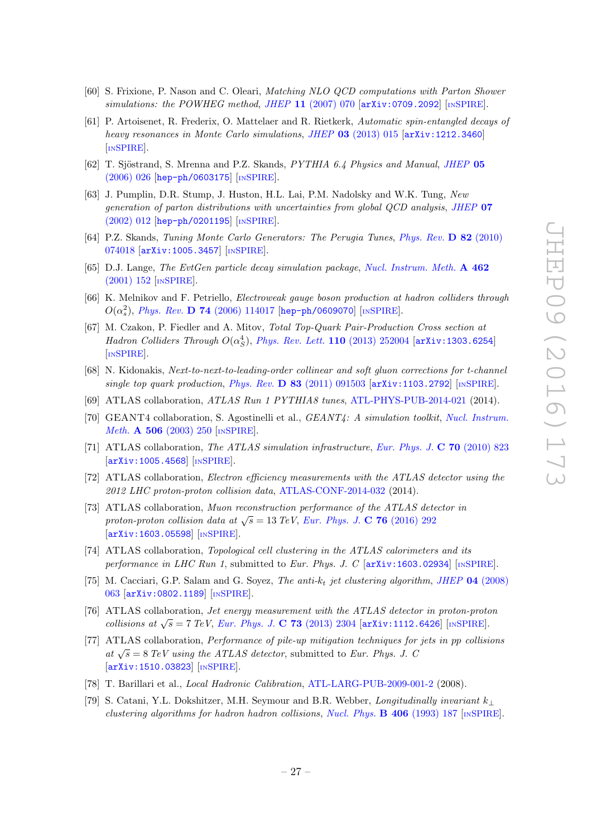- <span id="page-28-0"></span>[60] S. Frixione, P. Nason and C. Oleari, Matching NLO QCD computations with Parton Shower simulations: the POWHEG method, JHEP 11 [\(2007\) 070](http://dx.doi.org/10.1088/1126-6708/2007/11/070) [[arXiv:0709.2092](http://arxiv.org/abs/0709.2092)] [IN[SPIRE](http://inspirehep.net/search?p=find+EPRINT+arXiv:0709.2092)].
- <span id="page-28-1"></span>[61] P. Artoisenet, R. Frederix, O. Mattelaer and R. Rietkerk, Automatic spin-entangled decays of heavy resonances in Monte Carlo simulations, JHEP 03 [\(2013\) 015](http://dx.doi.org/10.1007/JHEP03(2013)015) [[arXiv:1212.3460](http://arxiv.org/abs/1212.3460)] [IN[SPIRE](http://inspirehep.net/search?p=find+EPRINT+arXiv:1212.3460)].
- <span id="page-28-2"></span>[62] T. Sjöstrand, S. Mrenna and P.Z. Skands, PYTHIA 6.4 Physics and Manual, [JHEP](http://dx.doi.org/10.1088/1126-6708/2006/05/026) 05 [\(2006\) 026](http://dx.doi.org/10.1088/1126-6708/2006/05/026) [[hep-ph/0603175](http://arxiv.org/abs/hep-ph/0603175)] [IN[SPIRE](http://inspirehep.net/search?p=find+EPRINT+hep-ph/0603175)].
- <span id="page-28-3"></span>[63] J. Pumplin, D.R. Stump, J. Huston, H.L. Lai, P.M. Nadolsky and W.K. Tung, New generation of parton distributions with uncertainties from global QCD analysis, [JHEP](http://dx.doi.org/10.1088/1126-6708/2002/07/012) 07 [\(2002\) 012](http://dx.doi.org/10.1088/1126-6708/2002/07/012) [[hep-ph/0201195](http://arxiv.org/abs/hep-ph/0201195)] [IN[SPIRE](http://inspirehep.net/search?p=find+EPRINT+hep-ph/0201195)].
- <span id="page-28-5"></span><span id="page-28-4"></span>[64] P.Z. Skands, Tuning Monte Carlo Generators: The Perugia Tunes, [Phys. Rev.](http://dx.doi.org/10.1103/PhysRevD.82.074018) D 82 (2010) [074018](http://dx.doi.org/10.1103/PhysRevD.82.074018) [[arXiv:1005.3457](http://arxiv.org/abs/1005.3457)] [IN[SPIRE](http://inspirehep.net/search?p=find+EPRINT+arXiv:1005.3457)].
- [65] D.J. Lange, The EvtGen particle decay simulation package, [Nucl. Instrum. Meth.](http://dx.doi.org/10.1016/S0168-9002(01)00089-4) A 462 [\(2001\) 152](http://dx.doi.org/10.1016/S0168-9002(01)00089-4) [IN[SPIRE](http://inspirehep.net/search?p=find+J+%22Nucl.Instrum.Meth.,A462,152%22)].
- <span id="page-28-6"></span>[66] K. Melnikov and F. Petriello, Electroweak gauge boson production at hadron colliders through  $O(\alpha_s^2)$ , *Phys. Rev.* **D 74** [\(2006\) 114017](http://dx.doi.org/10.1103/PhysRevD.74.114017) [[hep-ph/0609070](http://arxiv.org/abs/hep-ph/0609070)] [IN[SPIRE](http://inspirehep.net/search?p=find+EPRINT+hep-ph/0609070)].
- <span id="page-28-8"></span><span id="page-28-7"></span>[67] M. Czakon, P. Fiedler and A. Mitov, Total Top-Quark Pair-Production Cross section at Hadron Colliders Through  $O(\alpha_S^4)$ , [Phys. Rev. Lett.](http://dx.doi.org/10.1103/PhysRevLett.110.252004) 110 (2013) 252004 [[arXiv:1303.6254](http://arxiv.org/abs/1303.6254)] [IN[SPIRE](http://inspirehep.net/search?p=find+EPRINT+arXiv:1303.6254)].
- <span id="page-28-9"></span>[68] N. Kidonakis, Next-to-next-to-leading-order collinear and soft gluon corrections for t-channel single top quark production, Phys. Rev.  $\bf{D} 83$  [\(2011\) 091503](http://dx.doi.org/10.1103/PhysRevD.83.091503) [[arXiv:1103.2792](http://arxiv.org/abs/1103.2792)] [IN[SPIRE](http://inspirehep.net/search?p=find+EPRINT+arXiv:1103.2792)].
- <span id="page-28-10"></span>[69] ATLAS collaboration, *ATLAS Run 1 PYTHIA8 tunes*, [ATL-PHYS-PUB-2014-021](http://cds.cern.ch/record/1966419) (2014).
- [70] GEANT4 collaboration, S. Agostinelli et al., *GEANT4: A simulation toolkit, [Nucl. Instrum.](http://dx.doi.org/10.1016/S0168-9002(03)01368-8)* Meth. **A 506** [\(2003\) 250](http://dx.doi.org/10.1016/S0168-9002(03)01368-8) [IN[SPIRE](http://inspirehep.net/search?p=find+J+%22Nucl.Instrum.Meth.,A506,250%22)].
- <span id="page-28-11"></span>[71] ATLAS collaboration, The ATLAS simulation infrastructure, [Eur. Phys. J.](http://dx.doi.org/10.1140/epjc/s10052-010-1429-9) C 70 (2010) 823 [[arXiv:1005.4568](http://arxiv.org/abs/1005.4568)] [IN[SPIRE](http://inspirehep.net/search?p=find+EPRINT+arXiv:1005.4568)].
- <span id="page-28-13"></span><span id="page-28-12"></span>[72] ATLAS collaboration, Electron efficiency measurements with the ATLAS detector using the 2012 LHC proton-proton collision data , [ATLAS-CONF-2014-032](http://cds.cern.ch/record/1706245) (2014).
- <span id="page-28-14"></span>[73] ATLAS collaboration, Muon reconstruction performance of the ATLAS detector in proton-proton collision data at  $\sqrt{s} = 13 \text{ TeV}$ , [Eur. Phys. J.](http://dx.doi.org/10.1140/epjc/s10052-016-4120-y) C 76 (2016) 292 [[arXiv:1603.05598](http://arxiv.org/abs/1603.05598)] [IN[SPIRE](http://inspirehep.net/search?p=find+J+%22Eur.Phys.J.,C76,292%22)].
- <span id="page-28-15"></span>[74] ATLAS collaboration, Topological cell clustering in the ATLAS calorimeters and its performance in LHC Run 1, submitted to Eur. Phys. J. C  $\left[$  [arXiv:1603.02934](http://arxiv.org/abs/1603.02934) $\right]$  [IN[SPIRE](http://inspirehep.net/search?p=find+EPRINT+arXiv:1603.02934)].
- <span id="page-28-16"></span>[75] M. Cacciari, G.P. Salam and G. Soyez, *The anti-k<sub>t</sub>* jet clustering algorithm, *JHEP* 04 [\(2008\)](http://dx.doi.org/10.1088/1126-6708/2008/04/063) [063](http://dx.doi.org/10.1088/1126-6708/2008/04/063) [[arXiv:0802.1189](http://arxiv.org/abs/0802.1189)] [IN[SPIRE](http://inspirehep.net/search?p=find+EPRINT+arXiv:0802.1189)].
- <span id="page-28-17"></span>[76] ATLAS collaboration, Jet energy measurement with the ATLAS detector in proton-proton collisions at  $\sqrt{s} = 7 \text{ TeV}$ , [Eur. Phys. J.](http://dx.doi.org/10.1140/epjc/s10052-013-2304-2) C 73 (2013) 2304 [[arXiv:1112.6426](http://arxiv.org/abs/1112.6426)] [IN[SPIRE](http://inspirehep.net/search?p=find+EPRINT+arXiv:1112.6426)].
- <span id="page-28-18"></span>[77] ATLAS collaboration, Performance of pile-up mitigation techniques for jets in pp collisions at  $\sqrt{s} = 8$  TeV using the ATLAS detector, submitted to Eur. Phys. J. C [[arXiv:1510.03823](http://arxiv.org/abs/1510.03823)] [IN[SPIRE](http://inspirehep.net/search?p=find+EPRINT+arXiv:1510.03823)].
- [78] T. Barillari et al., Local Hadronic Calibration , [ATL-LARG-PUB-2009-001-2](http://cds.cern.ch/record/1112035) (2008).
- [79] S. Catani, Y.L. Dokshitzer, M.H. Seymour and B.R. Webber, *Longitudinally invariant*  $k_{\perp}$ clustering algorithms for hadron hadron collisions, [Nucl. Phys.](http://dx.doi.org/10.1016/0550-3213(93)90166-M) **B 406** (1993) 187 [IN[SPIRE](http://inspirehep.net/search?p=find+J+%22Nucl.Phys.,B406,187%22)].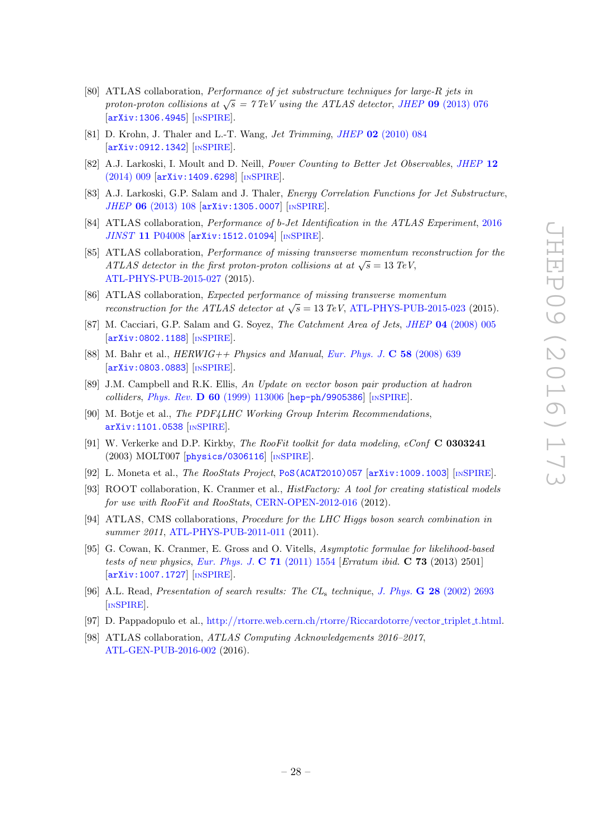- [80] ATLAS collaboration, Performance of jet substructure techniques for large-R jets in proton-proton collisions at  $\sqrt{s} = 7 \,\mathrm{TeV}$  using the ATLAS detector, JHEP 09 [\(2013\) 076](http://dx.doi.org/10.1007/JHEP09(2013)076) [[arXiv:1306.4945](http://arxiv.org/abs/1306.4945)] [IN[SPIRE](http://inspirehep.net/search?p=find+EPRINT+arXiv:1306.4945)].
- <span id="page-29-0"></span>[81] D. Krohn, J. Thaler and L.-T. Wang, *Jet Trimming*, *JHEP* 02 [\(2010\) 084](http://dx.doi.org/10.1007/JHEP02(2010)084) [[arXiv:0912.1342](http://arxiv.org/abs/0912.1342)] [IN[SPIRE](http://inspirehep.net/search?p=find+EPRINT+arXiv:0912.1342)].
- [82] A.J. Larkoski, I. Moult and D. Neill, *Power Counting to Better Jet Observables, [JHEP](http://dx.doi.org/10.1007/JHEP12(2014)009)* 12 [\(2014\) 009](http://dx.doi.org/10.1007/JHEP12(2014)009) [[arXiv:1409.6298](http://arxiv.org/abs/1409.6298)] [IN[SPIRE](http://inspirehep.net/search?p=find+EPRINT+arXiv:1409.6298)].
- [83] A.J. Larkoski, G.P. Salam and J. Thaler, *Energy Correlation Functions for Jet Substructure*, JHEP 06 [\(2013\) 108](http://dx.doi.org/10.1007/JHEP06(2013)108) [[arXiv:1305.0007](http://arxiv.org/abs/1305.0007)] [IN[SPIRE](http://inspirehep.net/search?p=find+EPRINT+arXiv:1305.0007)].
- [84] ATLAS collaboration, *Performance of b-Jet Identification in the ATLAS Experiment*, [2016](http://dx.doi.org/10.1088/1748-0221/11/04/P04008) JINST 11 [P04008](http://dx.doi.org/10.1088/1748-0221/11/04/P04008) [[arXiv:1512.01094](http://arxiv.org/abs/1512.01094)] [IN[SPIRE](http://inspirehep.net/search?p=find+EPRINT+arXiv:1512.01094)].
- [85] ATLAS collaboration, Performance of missing transverse momentum reconstruction for the ATLAS detector in the first proton-proton collisions at at  $\sqrt{s} = 13 \text{ TeV}$ , [ATL-PHYS-PUB-2015-027](http://cds.cern.ch/record/2037904) (2015).
- [86] ATLAS collaboration, Expected performance of missing transverse momentum reconstruction for the ATLAS detector at  $\sqrt{s} = 13 \text{ TeV}$ , [ATL-PHYS-PUB-2015-023](http://cds.cern.ch/record/2037700) (2015).
- [87] M. Cacciari, G.P. Salam and G. Soyez, *The Catchment Area of Jets*, *JHEP* 04 [\(2008\) 005](http://dx.doi.org/10.1088/1126-6708/2008/04/005) [[arXiv:0802.1188](http://arxiv.org/abs/0802.1188)] [IN[SPIRE](http://inspirehep.net/search?p=find+EPRINT+arXiv:0802.1188)].
- [88] M. Bahr et al.,  $HERWIG++ Physics and Manual, Eur. Phys. J. C 58 (2008) 639$  $HERWIG++ Physics and Manual, Eur. Phys. J. C 58 (2008) 639$  $HERWIG++ Physics and Manual, Eur. Phys. J. C 58 (2008) 639$ [[arXiv:0803.0883](http://arxiv.org/abs/0803.0883)] [IN[SPIRE](http://inspirehep.net/search?p=find+EPRINT+arXiv:0803.0883)].
- [89] J.M. Campbell and R.K. Ellis, An Update on vector boson pair production at hadron colliders, Phys. Rev. D 60 [\(1999\) 113006](http://dx.doi.org/10.1103/PhysRevD.60.113006) [[hep-ph/9905386](http://arxiv.org/abs/hep-ph/9905386)] [IN[SPIRE](http://inspirehep.net/search?p=find+EPRINT+hep-ph/9905386)].
- [90] M. Botje et al., The PDF4LHC Working Group Interim Recommendations, [arXiv:1101.0538](http://arxiv.org/abs/1101.0538) [IN[SPIRE](http://inspirehep.net/search?p=find+EPRINT+arXiv:1101.0538)].
- [91] W. Verkerke and D.P. Kirkby, The RooFit toolkit for data modeling, eConf C 0303241 (2003) MOLT007 [[physics/0306116](http://arxiv.org/abs/physics/0306116)] [IN[SPIRE](http://inspirehep.net/search?p=find+EPRINT+physics/0306116)].
- [92] L. Moneta et al., *The RooStats Project*, [PoS\(ACAT2010\)057](http://pos.sissa.it/cgi-bin/reader/contribution.cgi?id=PoS(ACAT2010)057) [[arXiv:1009.1003](http://arxiv.org/abs/1009.1003)] [IN[SPIRE](http://inspirehep.net/search?p=find+EPRINT+arXiv:1009.1003)].
- [93] ROOT collaboration, K. Cranmer et al., HistFactory: A tool for creating statistical models for use with RooFit and RooStats, [CERN-OPEN-2012-016](http://cds.cern.ch/record/1456844) (2012).
- [94] ATLAS, CMS collaborations, Procedure for the LHC Higgs boson search combination in summer 2011, [ATL-PHYS-PUB-2011-011](http://cds.cern.ch/record/1375842) (2011).
- [95] G. Cowan, K. Cranmer, E. Gross and O. Vitells, Asymptotic formulae for likelihood-based tests of new physics, [Eur. Phys. J.](http://dx.doi.org/10.1140/epjc/s10052-011-1554-0)  $C$  71 (2011) 1554 [Erratum ibid.  $C$  73 (2013) 2501] [[arXiv:1007.1727](http://arxiv.org/abs/1007.1727)] [IN[SPIRE](http://inspirehep.net/search?p=find+EPRINT+arXiv:1007.1727)].
- [96] A.L. Read, Presentation of search results: The CL<sub>s</sub> technique, J. Phys. **G 28** [\(2002\) 2693](http://dx.doi.org/10.1088/0954-3899/28/10/313) [IN[SPIRE](http://inspirehep.net/search?p=find+J+%22J.Phys.,G28,2693%22)].
- [97] D. Pappadopulo et al., [http://rtorre.web.cern.ch/rtorre/Riccardotorre/vector](http://rtorre.web.cern.ch/rtorre/Riccardotorre/vector_triplet_t.html)\_triplet\_t.html.
- [98] ATLAS collaboration, ATLAS Computing Acknowledgements 2016–2017, [ATL-GEN-PUB-2016-002](http://cds.cern.ch/record/2202407) (2016).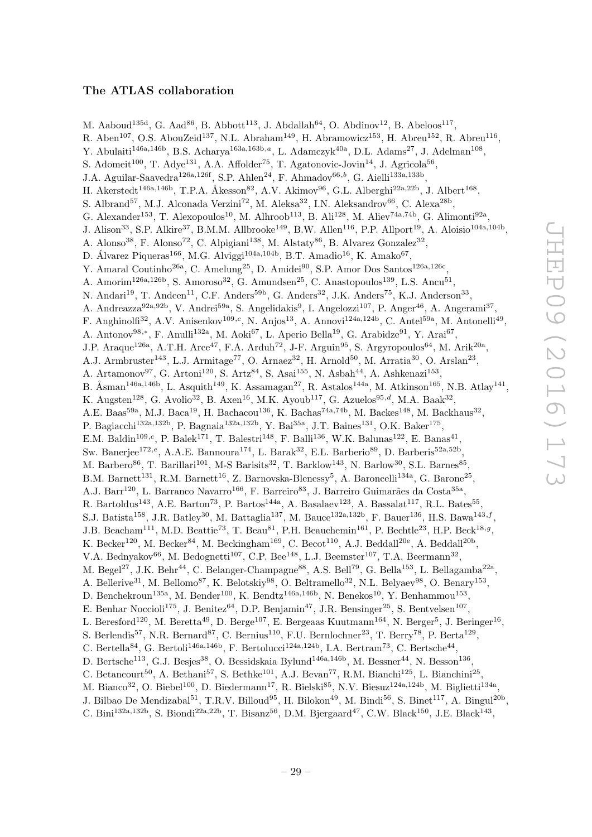#### The ATLAS collaboration

M. Aaboud<sup>135d</sup>, G. Aad<sup>86</sup>, B. Abbott<sup>113</sup>, J. Abdallah<sup>64</sup>, O. Abdinov<sup>12</sup>, B. Abeloos<sup>117</sup>, R. Aben<sup>107</sup>, O.S. AbouZeid<sup>137</sup>, N.L. Abraham<sup>149</sup>, H. Abramowicz<sup>153</sup>, H. Abreu<sup>152</sup>, R. Abreu<sup>116</sup>, Y. Abulaiti<sup>146a,146b</sup>, B.S. Acharya<sup>163a,163b,a</sup>, L. Adamczyk<sup>40a</sup>, D.L. Adams<sup>27</sup>, J. Adelman<sup>108</sup>, S. Adomeit<sup>100</sup>, T. Adye<sup>131</sup>, A.A. Affolder<sup>75</sup>, T. Agatonovic-Jovin<sup>14</sup>, J. Agricola<sup>56</sup>, J.A. Aguilar-Saavedra<sup>126a,126f</sup>, S.P. Ahlen<sup>24</sup>, F. Ahmadov<sup>66,b</sup>, G. Aielli<sup>133a,133b</sup>, H. Akerstedt<sup>146a,146b</sup>, T.P.A. Åkesson<sup>82</sup>, A.V. Akimov<sup>96</sup>, G.L. Alberghi<sup>22a,22b</sup>, J. Albert<sup>168</sup>, S. Albrand<sup>57</sup>, M.J. Alconada Verzini<sup>72</sup>, M. Aleksa<sup>32</sup>, I.N. Aleksandrov<sup>66</sup>, C. Alexa<sup>28b</sup>, G. Alexander<sup>153</sup>, T. Alexopoulos<sup>10</sup>, M. Alhroob<sup>113</sup>, B. Ali<sup>128</sup>, M. Aliev<sup>74a,74b</sup>, G. Alimonti<sup>92a</sup>, J. Alison<sup>33</sup>, S.P. Alkire<sup>37</sup>, B.M.M. Allbrooke<sup>149</sup>, B.W. Allen<sup>116</sup>, P.P. Allport<sup>19</sup>, A. Aloisio<sup>104a,104b</sup>, A. Alonso<sup>38</sup>, F. Alonso<sup>72</sup>, C. Alpigiani<sup>138</sup>, M. Alstaty<sup>86</sup>, B. Alvarez Gonzalez<sup>32</sup>, D. Álvarez Piqueras<sup>166</sup>, M.G. Alviggi<sup>104a,104b</sup>, B.T. Amadio<sup>16</sup>, K. Amako<sup>67</sup>, Y. Amaral Coutinho<sup>26a</sup>, C. Amelung<sup>25</sup>, D. Amidei<sup>90</sup>, S.P. Amor Dos Santos<sup>126a,126c</sup>, A. Amorim<sup>126a,126b</sup>, S. Amoroso<sup>32</sup>, G. Amundsen<sup>25</sup>, C. Anastopoulos<sup>139</sup>, L.S. Ancu<sup>51</sup>, N. Andari<sup>19</sup>, T. Andeen<sup>11</sup>, C.F. Anders<sup>59b</sup>, G. Anders<sup>32</sup>, J.K. Anders<sup>75</sup>, K.J. Anderson<sup>33</sup>, A. Andreazza<sup>92a,92b</sup>, V. Andrei<sup>59a</sup>, S. Angelidakis<sup>9</sup>, I. Angelozzi<sup>107</sup>, P. Anger<sup>46</sup>, A. Angerami<sup>37</sup>, F. Anghinolfi<sup>32</sup>, A.V. Anisenkov<sup>109,c</sup>, N. Anjos<sup>13</sup>, A. Annovi<sup>124a,124b</sup>, C. Antel<sup>59a</sup>, M. Antonelli<sup>49</sup>, A. Antonov<sup>98,\*</sup>, F. Anulli<sup>132a</sup>, M. Aoki<sup>67</sup>, L. Aperio Bella<sup>19</sup>, G. Arabidze<sup>91</sup>, Y. Arai<sup>67</sup>, J.P. Araque<sup>126a</sup>, A.T.H. Arce<sup>47</sup>, F.A. Arduh<sup>72</sup>, J-F. Arguin<sup>95</sup>, S. Argyropoulos<sup>64</sup>, M. Arik<sup>20a</sup>, A.J. Armbruster<sup>143</sup>, L.J. Armitage<sup>77</sup>, O. Arnaez<sup>32</sup>, H. Arnold<sup>50</sup>, M. Arratia<sup>30</sup>, O. Arslan<sup>23</sup>, A. Artamonov<sup>97</sup>, G. Artoni<sup>120</sup>, S. Artz<sup>84</sup>, S. Asai<sup>155</sup>, N. Asbah<sup>44</sup>, A. Ashkenazi<sup>153</sup>, B. Åsman<sup>146a,146b</sup>, L. Asquith<sup>149</sup>, K. Assamagan<sup>27</sup>, R. Astalos<sup>144a</sup>, M. Atkinson<sup>165</sup>, N.B. Atlay<sup>141</sup>, K. Augsten<sup>128</sup>, G. Avolio<sup>32</sup>, B. Axen<sup>16</sup>, M.K. Ayoub<sup>117</sup>, G. Azuelos<sup>95,d</sup>, M.A. Baak<sup>32</sup>, A.E. Baas<sup>59a</sup>, M.J. Baca<sup>19</sup>, H. Bachacou<sup>136</sup>, K. Bachas<sup>74a,74b</sup>, M. Backes<sup>148</sup>, M. Backhaus<sup>32</sup>, P. Bagiacchi<sup>132a,132b</sup>, P. Bagnaia<sup>132a,132b</sup>, Y. Bai<sup>35a</sup>, J.T. Baines<sup>131</sup>, O.K. Baker<sup>175</sup>, E.M. Baldin<sup>109,c</sup>, P. Balek<sup>171</sup>, T. Balestri<sup>148</sup>, F. Balli<sup>136</sup>, W.K. Balunas<sup>122</sup>, E. Banas<sup>41</sup>, Sw. Banerjee<sup>172,e</sup>, A.A.E. Bannoura<sup>174</sup>, L. Barak<sup>32</sup>, E.L. Barberio<sup>89</sup>, D. Barberis<sup>52a,52b</sup>, M. Barbero<sup>86</sup>, T. Barillari<sup>101</sup>, M-S Barisits<sup>32</sup>, T. Barklow<sup>143</sup>, N. Barlow<sup>30</sup>, S.L. Barnes<sup>85</sup>, B.M. Barnett<sup>131</sup>, R.M. Barnett<sup>16</sup>, Z. Barnovska-Blenessy<sup>5</sup>, A. Baroncelli<sup>134a</sup>, G. Barone<sup>25</sup>, A.J. Barr<sup>120</sup>, L. Barranco Navarro<sup>166</sup>, F. Barreiro<sup>83</sup>, J. Barreiro Guimarães da Costa<sup>35a</sup>, R. Bartoldus<sup>143</sup>, A.E. Barton<sup>73</sup>, P. Bartos<sup>144a</sup>, A. Basalaev<sup>123</sup>, A. Bassalat<sup>117</sup>, R.L. Bates<sup>55</sup>, S.J. Batista<sup>158</sup>, J.R. Batley<sup>30</sup>, M. Battaglia<sup>137</sup>, M. Bauce<sup>132a,132b</sup>, F. Bauer<sup>136</sup>, H.S. Bawa<sup>143,f</sup>, J.B. Beacham<sup>111</sup>, M.D. Beattie<sup>73</sup>, T. Beau<sup>81</sup>, P.H. Beauchemin<sup>161</sup>, P. Bechtle<sup>23</sup>, H.P. Beck<sup>18,9</sup>, K. Becker<sup>120</sup>, M. Becker<sup>84</sup>, M. Beckingham<sup>169</sup>, C. Becot<sup>110</sup>, A.J. Beddall<sup>20e</sup>, A. Beddall<sup>20b</sup>, V.A. Bednyakov<sup>66</sup>, M. Bedognetti<sup>107</sup>, C.P. Bee<sup>148</sup>, L.J. Beemster<sup>107</sup>, T.A. Beermann<sup>32</sup>, M. Begel<sup>27</sup>, J.K. Behr<sup>44</sup>, C. Belanger-Champagne<sup>88</sup>, A.S. Bell<sup>79</sup>, G. Bella<sup>153</sup>, L. Bellagamba<sup>22a</sup>, A. Bellerive<sup>31</sup>, M. Bellomo<sup>87</sup>, K. Belotskiy<sup>98</sup>, O. Beltramello<sup>32</sup>, N.L. Belyaev<sup>98</sup>, O. Benary<sup>153</sup>, D. Benchekroun<sup>135a</sup>, M. Bender<sup>100</sup>, K. Bendtz<sup>146a,146b</sup>, N. Benekos<sup>10</sup>, Y. Benhammou<sup>153</sup>, E. Benhar Noccioli<sup>175</sup>, J. Benitez<sup>64</sup>, D.P. Benjamin<sup>47</sup>, J.R. Bensinger<sup>25</sup>, S. Bentvelsen<sup>107</sup>, L. Beresford<sup>120</sup>, M. Beretta<sup>49</sup>, D. Berge<sup>107</sup>, E. Bergeaas Kuutmann<sup>164</sup>, N. Berger<sup>5</sup>, J. Beringer<sup>16</sup>, S. Berlendis<sup>57</sup>, N.R. Bernard<sup>87</sup>, C. Bernius<sup>110</sup>, F.U. Bernlochner<sup>23</sup>, T. Berry<sup>78</sup>, P. Berta<sup>129</sup>, C. Bertella<sup>84</sup>, G. Bertoli<sup>146a,146b</sup>, F. Bertolucci<sup>124a,124b</sup>, I.A. Bertram<sup>73</sup>, C. Bertsche<sup>44</sup>, D. Bertsche<sup>113</sup>, G.J. Besjes<sup>38</sup>, O. Bessidskaia Bylund<sup>146a,146b</sup>, M. Bessner<sup>44</sup>, N. Besson<sup>136</sup>, C. Betancourt<sup>50</sup>, A. Bethani<sup>57</sup>, S. Bethke<sup>101</sup>, A.J. Bevan<sup>77</sup>, R.M. Bianchi<sup>125</sup>, L. Bianchini<sup>25</sup>, M. Bianco<sup>32</sup>, O. Biebel<sup>100</sup>, D. Biedermann<sup>17</sup>, R. Bielski<sup>85</sup>, N.V. Biesuz<sup>124a,124b</sup>, M. Biglietti<sup>134a</sup>, J. Bilbao De Mendizabal<sup>51</sup>, T.R.V. Billoud<sup>95</sup>, H. Bilokon<sup>49</sup>, M. Bindi<sup>56</sup>, S. Binet<sup>117</sup>, A. Bingul<sup>20b</sup>, C. Bini<sup>132a,132b</sup>, S. Biondi<sup>22a,22b</sup>, T. Bisanz<sup>56</sup>, D.M. Bjergaard<sup>47</sup>, C.W. Black<sup>150</sup>, J.E. Black<sup>143</sup>,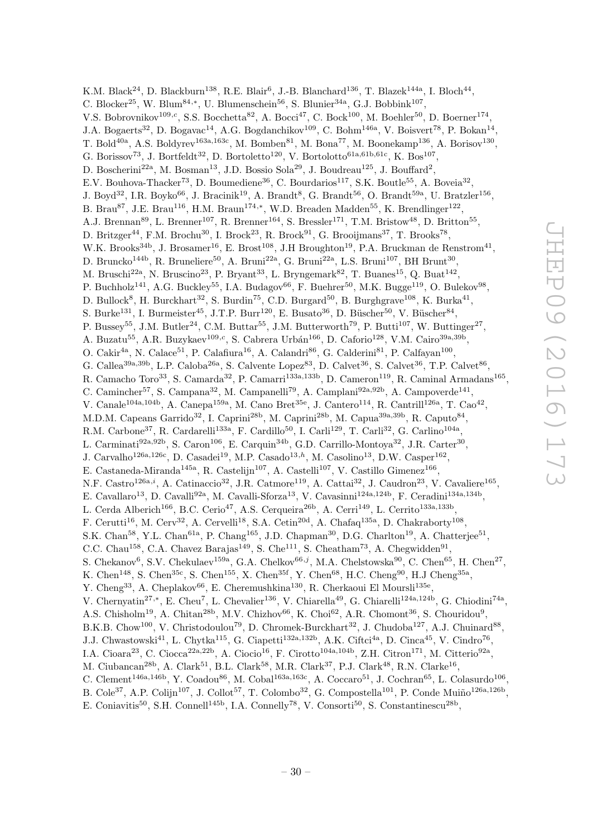K.M. Black<sup>24</sup>, D. Blackburn<sup>138</sup>, R.E. Blair<sup>6</sup>, J.-B. Blanchard<sup>136</sup>, T. Blazek<sup>144a</sup>, I. Bloch<sup>44</sup>, C. Blocker<sup>25</sup>, W. Blum<sup>84,\*</sup>, U. Blumenschein<sup>56</sup>, S. Blunier<sup>34a</sup>, G.J. Bobbink<sup>107</sup>, V.S. Bobrovnikov<sup>109,c</sup>, S.S. Bocchetta<sup>82</sup>, A. Bocci<sup>47</sup>, C. Bock<sup>100</sup>, M. Boehler<sup>50</sup>, D. Boerner<sup>174</sup>, J.A. Bogaerts<sup>32</sup>, D. Bogavac<sup>14</sup>, A.G. Bogdanchikov<sup>109</sup>, C. Bohm<sup>146a</sup>, V. Boisvert<sup>78</sup>, P. Bokan<sup>14</sup>, T. Bold<sup>40a</sup>, A.S. Boldyrev<sup>163a, 163c</sup>, M. Bomben<sup>81</sup>, M. Bona<sup>77</sup>, M. Boonekamp<sup>136</sup>, A. Borisov<sup>130</sup>, G. Borissov<sup>73</sup>, J. Bortfeldt<sup>32</sup>, D. Bortoletto<sup>120</sup>, V. Bortolotto<sup>61a,61b,61c</sup>, K. Bos<sup>107</sup>, D. Boscherini<sup>22a</sup>, M. Bosman<sup>13</sup>, J.D. Bossio Sola<sup>29</sup>, J. Boudreau<sup>125</sup>, J. Bouffard<sup>2</sup>, E.V. Bouhova-Thacker<sup>73</sup>, D. Boumediene<sup>36</sup>, C. Bourdarios<sup>117</sup>, S.K. Boutle<sup>55</sup>, A. Boveia<sup>32</sup>, J. Boyd<sup>32</sup>, I.R. Boyko<sup>66</sup>, J. Bracinik<sup>19</sup>, A. Brandt<sup>8</sup>, G. Brandt<sup>56</sup>, O. Brandt<sup>59a</sup>, U. Bratzler<sup>156</sup>, B. Brau<sup>87</sup>, J.E. Brau<sup>116</sup>, H.M. Braun<sup>174,\*</sup>, W.D. Breaden Madden<sup>55</sup>, K. Brendlinger<sup>122</sup>, A.J. Brennan<sup>89</sup>, L. Brenner<sup>107</sup>, R. Brenner<sup>164</sup>, S. Bressler<sup>171</sup>, T.M. Bristow<sup>48</sup>, D. Britton<sup>55</sup>, D. Britzger<sup>44</sup>, F.M. Brochu<sup>30</sup>, I. Brock<sup>23</sup>, R. Brock<sup>91</sup>, G. Brooijmans<sup>37</sup>, T. Brooks<sup>78</sup>, W.K. Brooks<sup>34b</sup>, J. Brosamer<sup>16</sup>, E. Brost<sup>108</sup>, J.H Broughton<sup>19</sup>, P.A. Bruckman de Renstrom<sup>41</sup>, D. Bruncko<sup>144b</sup>, R. Bruneliere<sup>50</sup>, A. Bruni<sup>22a</sup>, G. Bruni<sup>22a</sup>, L.S. Bruni<sup>107</sup>, BH Brunt<sup>30</sup>, M. Bruschi<sup>22a</sup>, N. Bruscino<sup>23</sup>, P. Bryant<sup>33</sup>, L. Bryngemark<sup>82</sup>, T. Buanes<sup>15</sup>, Q. Buat<sup>142</sup>, P. Buchholz<sup>141</sup>, A.G. Buckley<sup>55</sup>, I.A. Budagov<sup>66</sup>, F. Buehrer<sup>50</sup>, M.K. Bugge<sup>119</sup>, O. Bulekov<sup>98</sup>, D. Bullock<sup>8</sup>, H. Burckhart<sup>32</sup>, S. Burdin<sup>75</sup>, C.D. Burgard<sup>50</sup>, B. Burghgrave<sup>108</sup>, K. Burka<sup>41</sup>, S. Burke<sup>131</sup>, I. Burmeister<sup>45</sup>, J.T.P. Burr<sup>120</sup>, E. Busato<sup>36</sup>, D. Büscher<sup>50</sup>, V. Büscher<sup>84</sup>, P. Bussey<sup>55</sup>, J.M. Butler<sup>24</sup>, C.M. Buttar<sup>55</sup>, J.M. Butterworth<sup>79</sup>, P. Butti<sup>107</sup>, W. Buttinger<sup>27</sup>, A. Buzatu<sup>55</sup>, A.R. Buzykaev<sup>109,c</sup>, S. Cabrera Urbán<sup>166</sup>, D. Caforio<sup>128</sup>, V.M. Cairo<sup>39a,39b</sup>, O. Cakir<sup>4a</sup>, N. Calace<sup>51</sup>, P. Calafiura<sup>16</sup>, A. Calandri<sup>86</sup>, G. Calderini<sup>81</sup>, P. Calfayan<sup>100</sup>, G. Callea<sup>39a, 39b</sup>, L.P. Caloba<sup>26a</sup>, S. Calvente Lopez<sup>83</sup>, D. Calvet<sup>36</sup>, S. Calvet<sup>36</sup>, T.P. Calvet<sup>86</sup>, R. Camacho Toro<sup>33</sup>, S. Camarda<sup>32</sup>, P. Camarri<sup>133a,133b</sup>, D. Cameron<sup>119</sup>, R. Caminal Armadans<sup>165</sup>, C. Camincher<sup>57</sup>, S. Campana<sup>32</sup>, M. Campanelli<sup>79</sup>, A. Camplani<sup>92a,92b</sup>, A. Campoverde<sup>141</sup>, V. Canale<sup>104a,104b</sup>, A. Canepa<sup>159a</sup>, M. Cano Bret<sup>35e</sup>, J. Cantero<sup>114</sup>, R. Cantrill<sup>126a</sup>, T. Cao<sup>42</sup>, M.D.M. Capeans Garrido<sup>32</sup>, I. Caprini<sup>28b</sup>, M. Caprini<sup>28b</sup>, M. Capua<sup>39a,39b</sup>, R. Caputo<sup>84</sup>, R.M. Carbone<sup>37</sup>, R. Cardarelli<sup>133a</sup>, F. Cardillo<sup>50</sup>, I. Carli<sup>129</sup>, T. Carli<sup>32</sup>, G. Carlino<sup>104a</sup>, L. Carminati<sup>92a,92b</sup>, S. Caron<sup>106</sup>, E. Carquin<sup>34b</sup>, G.D. Carrillo-Montoya<sup>32</sup>, J.R. Carter<sup>30</sup>, J. Carvalho<sup>126a, 126c</sup>, D. Casadei<sup>19</sup>, M.P. Casado<sup>13,h</sup>, M. Casolino<sup>13</sup>, D.W. Casper<sup>162</sup>, E. Castaneda-Miranda<sup>145a</sup>, R. Castelijn<sup>107</sup>, A. Castelli<sup>107</sup>, V. Castillo Gimenez<sup>166</sup>, N.F. Castro<sup>126a,i</sup>, A. Catinaccio<sup>32</sup>, J.R. Catmore<sup>119</sup>, A. Cattai<sup>32</sup>, J. Caudron<sup>23</sup>, V. Cavaliere<sup>165</sup>, E. Cavallaro<sup>13</sup>, D. Cavalli<sup>92a</sup>, M. Cavalli-Sforza<sup>13</sup>, V. Cavasinni<sup>124a,124b</sup>, F. Ceradini<sup>134a,134b</sup>, L. Cerda Alberich<sup>166</sup>, B.C. Cerio<sup>47</sup>, A.S. Cerqueira<sup>26b</sup>, A. Cerri<sup>149</sup>, L. Cerrito<sup>133a,133b</sup>, F. Cerutti<sup>16</sup>, M. Cerv<sup>32</sup>, A. Cervelli<sup>18</sup>, S.A. Cetin<sup>20d</sup>, A. Chafaq<sup>135a</sup>, D. Chakraborty<sup>108</sup>, S.K. Chan<sup>58</sup>, Y.L. Chan<sup>61a</sup>, P. Chang<sup>165</sup>, J.D. Chapman<sup>30</sup>, D.G. Charlton<sup>19</sup>, A. Chatterjee<sup>51</sup>, C.C. Chau<sup>158</sup>, C.A. Chavez Barajas<sup>149</sup>, S. Che<sup>111</sup>, S. Cheatham<sup>73</sup>, A. Chegwidden<sup>91</sup>, S. Chekanov<sup>6</sup>, S.V. Chekulaev<sup>159a</sup>, G.A. Chelkov<sup>66,j</sup>, M.A. Chelstowska<sup>90</sup>, C. Chen<sup>65</sup>, H. Chen<sup>27</sup>, K. Chen<sup>148</sup>, S. Chen<sup>35c</sup>, S. Chen<sup>155</sup>, X. Chen<sup>35f</sup>, Y. Chen<sup>68</sup>, H.C. Cheng<sup>90</sup>, H.J Cheng<sup>35a</sup>, Y. Cheng<sup>33</sup>, A. Cheplakov<sup>66</sup>, E. Cheremushkina<sup>130</sup>, R. Cherkaoui El Moursli<sup>135e</sup>, V. Chernyatin<sup>27,\*</sup>, E. Cheu<sup>7</sup>, L. Chevalier<sup>136</sup>, V. Chiarella<sup>49</sup>, G. Chiarelli<sup>124a,124b</sup>, G. Chiodini<sup>74a</sup>, A.S. Chisholm<sup>19</sup>, A. Chitan<sup>28b</sup>, M.V. Chizhov<sup>66</sup>, K. Choi<sup>62</sup>, A.R. Chomont<sup>36</sup>, S. Chouridou<sup>9</sup>, B.K.B. Chow<sup>100</sup>, V. Christodoulou<sup>79</sup>, D. Chromek-Burckhart<sup>32</sup>, J. Chudoba<sup>127</sup>, A.J. Chuinard<sup>88</sup>, J.J. Chwastowski<sup>41</sup>, L. Chytka<sup>115</sup>, G. Ciapetti<sup>132a,132b</sup>, A.K. Ciftci<sup>4a</sup>, D. Cinca<sup>45</sup>, V. Cindro<sup>76</sup>, I.A. Cioara<sup>23</sup>, C. Ciocca<sup>22a,22b</sup>, A. Ciocio<sup>16</sup>, F. Cirotto<sup>104a,104b</sup>, Z.H. Citron<sup>171</sup>, M. Citterio<sup>92a</sup>, M. Ciubancan<sup>28b</sup>, A. Clark<sup>51</sup>, B.L. Clark<sup>58</sup>, M.R. Clark<sup>37</sup>, P.J. Clark<sup>48</sup>, R.N. Clarke<sup>16</sup>, C. Clement<sup>146a,146b</sup>, Y. Coadou<sup>86</sup>, M. Cobal<sup>163a,163c</sup>, A. Coccaro<sup>51</sup>, J. Cochran<sup>65</sup>, L. Colasurdo<sup>106</sup>, B. Cole<sup>37</sup>, A.P. Colijn<sup>107</sup>, J. Collot<sup>57</sup>, T. Colombo<sup>32</sup>, G. Compostella<sup>101</sup>, P. Conde Muiño<sup>126a,126b</sup>,

E. Coniavitis<sup>50</sup>, S.H. Connell<sup>145b</sup>, I.A. Connelly<sup>78</sup>, V. Consorti<sup>50</sup>, S. Constantinescu<sup>28b</sup>,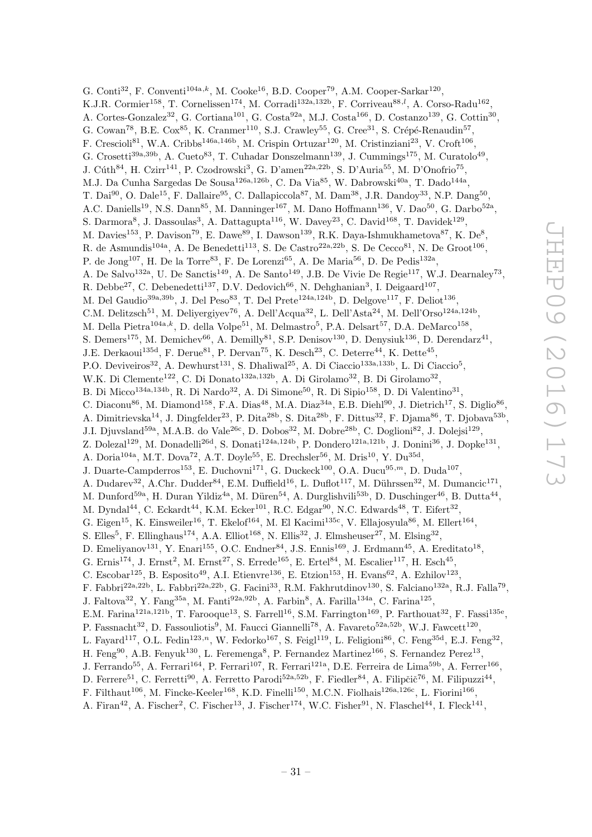G. Conti<sup>32</sup>, F. Conventi<sup>104a,k</sup>, M. Cooke<sup>16</sup>, B.D. Cooper<sup>79</sup>, A.M. Cooper-Sarkar<sup>120</sup>, K.J.R. Cormier<sup>158</sup>, T. Cornelissen<sup>174</sup>, M. Corradi<sup>132a,132b</sup>, F. Corriveau<sup>88,*l*</sup>, A. Corso-Radu<sup>162</sup>, A. Cortes-Gonzalez<sup>32</sup>, G. Cortiana<sup>101</sup>, G. Costa<sup>92a</sup>, M.J. Costa<sup>166</sup>, D. Costanzo<sup>139</sup>, G. Cottin<sup>30</sup>, G. Cowan<sup>78</sup>, B.E. Cox<sup>85</sup>, K. Cranmer<sup>110</sup>, S.J. Crawley<sup>55</sup>, G. Cree<sup>31</sup>, S. Crépé-Renaudin<sup>57</sup>, F. Crescioli<sup>81</sup>, W.A. Cribbs<sup>146a,146b</sup>, M. Crispin Ortuzar<sup>120</sup>, M. Cristinziani<sup>23</sup>, V. Croft<sup>106</sup>, G. Crosetti<sup>39a, 39b</sup>, A. Cueto<sup>83</sup>, T. Cuhadar Donszelmann<sup>139</sup>, J. Cummings<sup>175</sup>, M. Curatolo<sup>49</sup>, J. Cúth<sup>84</sup>, H. Czirr<sup>141</sup>, P. Czodrowski<sup>3</sup>, G. D'amen<sup>22a,22b</sup>, S. D'Auria<sup>55</sup>, M. D'Onofrio<sup>75</sup>, M.J. Da Cunha Sargedas De Sousa<sup>126a,126b</sup>, C. Da Via<sup>85</sup>, W. Dabrowski<sup>40a</sup>, T. Dado<sup>144a</sup>, T. Dai<sup>90</sup>, O. Dale<sup>15</sup>, F. Dallaire<sup>95</sup>, C. Dallapiccola<sup>87</sup>, M. Dam<sup>38</sup>, J.R. Dandoy<sup>33</sup>, N.P. Dang<sup>50</sup>, A.C. Daniells<sup>19</sup>, N.S. Dann<sup>85</sup>, M. Danninger<sup>167</sup>, M. Dano Hoffmann<sup>136</sup>, V. Dao<sup>50</sup>, G. Darbo<sup>52a</sup>, S. Darmora<sup>8</sup>, J. Dassoulas<sup>3</sup>, A. Dattagupta<sup>116</sup>, W. Davey<sup>23</sup>, C. David<sup>168</sup>, T. Davidek<sup>129</sup>, M. Davies<sup>153</sup>, P. Davison<sup>79</sup>, E. Dawe<sup>89</sup>, I. Dawson<sup>139</sup>, R.K. Daya-Ishmukhametova<sup>87</sup>, K. De<sup>8</sup>, R. de Asmundis<sup>104a</sup>, A. De Benedetti<sup>113</sup>, S. De Castro<sup>22a, 22b</sup>, S. De Cecco<sup>81</sup>, N. De Groot<sup>106</sup>, P. de Jong<sup>107</sup>, H. De la Torre<sup>83</sup>, F. De Lorenzi<sup>65</sup>, A. De Maria<sup>56</sup>, D. De Pedis<sup>132a</sup>, A. De Salvo<sup>132a</sup>, U. De Sanctis<sup>149</sup>, A. De Santo<sup>149</sup>, J.B. De Vivie De Regie<sup>117</sup>, W.J. Dearnaley<sup>73</sup>, R. Deb $e^{27}$ , C. Debenedetti<sup>137</sup>, D.V. Dedovich<sup>66</sup>, N. Dehghanian<sup>3</sup>, I. Deigaard<sup>107</sup>, M. Del Gaudio<sup>39a, 39b</sup>, J. Del Peso<sup>83</sup>, T. Del Prete<sup>124a, 124b</sup>, D. Delgove<sup>117</sup>, F. Deliot<sup>136</sup>, C.M. Delitzsch<sup>51</sup>, M. Deliyergiyev<sup>76</sup>, A. Dell'Acqua<sup>32</sup>, L. Dell'Asta<sup>24</sup>, M. Dell'Orso<sup>124a,124b</sup>, M. Della Pietra<sup>104a,k</sup>, D. della Volpe<sup>51</sup>, M. Delmastro<sup>5</sup>, P.A. Delsart<sup>57</sup>, D.A. DeMarco<sup>158</sup>, S. Demers<sup>175</sup>, M. Demichev<sup>66</sup>, A. Demilly<sup>81</sup>, S.P. Denisov<sup>130</sup>, D. Denysiuk<sup>136</sup>, D. Derendarz<sup>41</sup>, J.E. Derkaoui<sup>135d</sup>, F. Derue<sup>81</sup>, P. Dervan<sup>75</sup>, K. Desch<sup>23</sup>, C. Deterre<sup>44</sup>, K. Dette<sup>45</sup>, P.O. Deviveiros<sup>32</sup>, A. Dewhurst<sup>131</sup>, S. Dhaliwal<sup>25</sup>, A. Di Ciaccio<sup>133a,133b</sup>, L. Di Ciaccio<sup>5</sup>, W.K. Di Clemente<sup>122</sup>, C. Di Donato<sup>132a, 132b</sup>, A. Di Girolamo<sup>32</sup>, B. Di Girolamo<sup>32</sup>, B. Di Micco<sup>134a, 134b</sup>, R. Di Nardo<sup>32</sup>, A. Di Simone<sup>50</sup>, R. Di Sipio<sup>158</sup>, D. Di Valentino<sup>31</sup>, C. Diaconu<sup>86</sup>, M. Diamond<sup>158</sup>, F.A. Dias<sup>48</sup>, M.A. Diaz<sup>34a</sup>, E.B. Diehl<sup>90</sup>, J. Dietrich<sup>17</sup>, S. Diglio<sup>86</sup>, A. Dimitrievska<sup>14</sup>, J. Dingfelder<sup>23</sup>, P. Dita<sup>28b</sup>, S. Dita<sup>28b</sup>, F. Dittus<sup>32</sup>, F. Djama<sup>86</sup>, T. Djobava<sup>53b</sup>, J.I. Djuvsland<sup>59a</sup>, M.A.B. do Vale<sup>26c</sup>, D. Dobos<sup>32</sup>, M. Dobre<sup>28b</sup>, C. Doglioni<sup>82</sup>, J. Dolejsi<sup>129</sup>, Z. Dolezal<sup>129</sup>, M. Donadelli<sup>26d</sup>, S. Donati<sup>124a,124b</sup>, P. Dondero<sup>121a,121b</sup>, J. Donini<sup>36</sup>, J. Dopke<sup>131</sup>, A. Doria<sup>104a</sup>, M.T. Dova<sup>72</sup>, A.T. Doyle<sup>55</sup>, E. Drechsler<sup>56</sup>, M. Dris<sup>10</sup>, Y. Du<sup>35d</sup>, J. Duarte-Campderros<sup>153</sup>, E. Duchovni<sup>171</sup>, G. Duckeck<sup>100</sup>, O.A. Ducu<sup>95,*m*</sup>, D. Duda<sup>107</sup>, A. Dudarev<sup>32</sup>, A.Chr. Dudder<sup>84</sup>, E.M. Duffield<sup>16</sup>, L. Duflot<sup>117</sup>, M. Dührssen<sup>32</sup>, M. Dumancic<sup>171</sup>, M. Dunford<sup>59a</sup>, H. Duran Yildiz<sup>4a</sup>, M. Düren<sup>54</sup>, A. Durglishvili<sup>53b</sup>, D. Duschinger<sup>46</sup>, B. Dutta<sup>44</sup>, M. Dyndal<sup>44</sup>, C. Eckardt<sup>44</sup>, K.M. Ecker<sup>101</sup>, R.C. Edgar<sup>90</sup>, N.C. Edwards<sup>48</sup>, T. Eifert<sup>32</sup>, G. Eigen<sup>15</sup>, K. Einsweiler<sup>16</sup>, T. Ekelof<sup>164</sup>, M. El Kacimi<sup>135c</sup>, V. Ellajosyula<sup>86</sup>, M. Ellert<sup>164</sup>, S. Elles<sup>5</sup>, F. Ellinghaus<sup>174</sup>, A.A. Elliot<sup>168</sup>, N. Ellis<sup>32</sup>, J. Elmsheuser<sup>27</sup>, M. Elsing<sup>32</sup>, D. Emeliyanov<sup>131</sup>, Y. Enari<sup>155</sup>, O.C. Endner<sup>84</sup>, J.S. Ennis<sup>169</sup>, J. Erdmann<sup>45</sup>, A. Ereditato<sup>18</sup>, G. Ernis<sup>174</sup>, J. Ernst<sup>2</sup>, M. Ernst<sup>27</sup>, S. Errede<sup>165</sup>, E. Ertel<sup>84</sup>, M. Escalier<sup>117</sup>, H. Esch<sup>45</sup>, C. Escobar<sup>125</sup>, B. Esposito<sup>49</sup>, A.I. Etienvre<sup>136</sup>, E. Etzion<sup>153</sup>, H. Evans<sup>62</sup>, A. Ezhilov<sup>123</sup>, F. Fabbri<sup>22a,22b</sup>, L. Fabbri<sup>22a,22b</sup>, G. Facini<sup>33</sup>, R.M. Fakhrutdinov<sup>130</sup>, S. Falciano<sup>132a</sup>, R.J. Falla<sup>79</sup>, J. Faltova<sup>32</sup>, Y. Fang<sup>35a</sup>, M. Fanti<sup>92a,92b</sup>, A. Farbin<sup>8</sup>, A. Farilla<sup>134a</sup>, C. Farina<sup>125</sup>, E.M. Farina<sup>121a,121b</sup>, T. Farooque<sup>13</sup>, S. Farrell<sup>16</sup>, S.M. Farrington<sup>169</sup>, P. Farthouat<sup>32</sup>, F. Fassi<sup>135e</sup>, P. Fassnacht<sup>32</sup>, D. Fassouliotis<sup>9</sup>, M. Faucci Giannelli<sup>78</sup>, A. Favareto<sup>52a,52b</sup>, W.J. Fawcett<sup>120</sup>, L. Fayard<sup>117</sup>, O.L. Fedin<sup>123,n</sup>, W. Fedorko<sup>167</sup>, S. Feigl<sup>119</sup>, L. Feligioni<sup>86</sup>, C. Feng<sup>35d</sup>, E.J. Feng<sup>32</sup>, H. Feng<sup>90</sup>, A.B. Fenyuk<sup>130</sup>, L. Feremenga<sup>8</sup>, P. Fernandez Martinez<sup>166</sup>, S. Fernandez Perez<sup>13</sup>, J. Ferrando<sup>55</sup>, A. Ferrari<sup>164</sup>, P. Ferrari<sup>107</sup>, R. Ferrari<sup>121a</sup>, D.E. Ferreira de Lima<sup>59b</sup>, A. Ferrer<sup>166</sup>, D. Ferrere<sup>51</sup>, C. Ferretti<sup>90</sup>, A. Ferretto Parodi<sup>52a,52b</sup>, F. Fiedler<sup>84</sup>, A. Filipčič<sup>76</sup>, M. Filipuzzi<sup>44</sup>, F. Filthaut<sup>106</sup>, M. Fincke-Keeler<sup>168</sup>, K.D. Finelli<sup>150</sup>, M.C.N. Fiolhais<sup>126a,126c</sup>, L. Fiorini<sup>166</sup>,

A. Firan<sup>42</sup>, A. Fischer<sup>2</sup>, C. Fischer<sup>13</sup>, J. Fischer<sup>174</sup>, W.C. Fisher<sup>91</sup>, N. Flaschel<sup>44</sup>, I. Fleck<sup>141</sup>,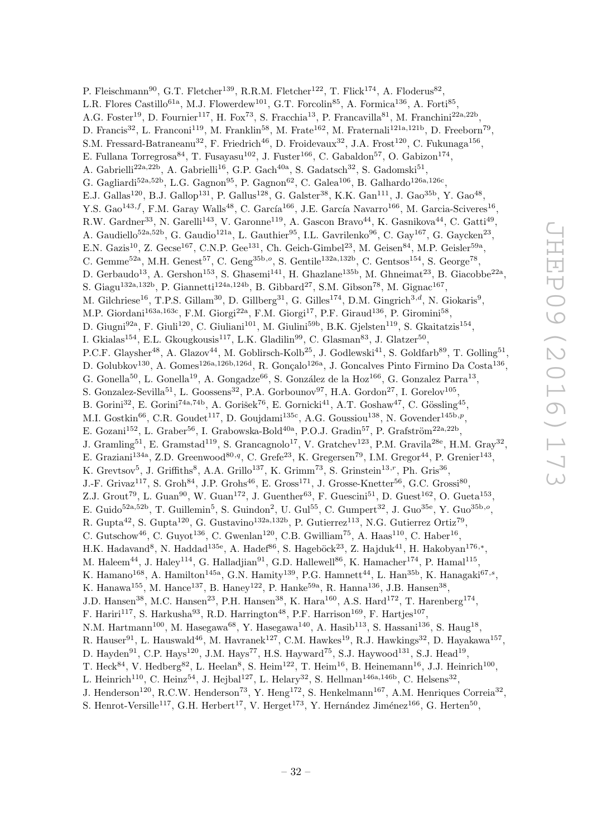P. Fleischmann<sup>90</sup>, G.T. Fletcher<sup>139</sup>, R.R.M. Fletcher<sup>122</sup>, T. Flick<sup>174</sup>, A. Floderus<sup>82</sup>, L.R. Flores Castillo<sup>61a</sup>, M.J. Flowerdew<sup>101</sup>, G.T. Forcolin<sup>85</sup>, A. Formica<sup>136</sup>, A. Forti<sup>85</sup>, A.G. Foster<sup>19</sup>, D. Fournier<sup>117</sup>, H. Fox<sup>73</sup>, S. Fracchia<sup>13</sup>, P. Francavilla<sup>81</sup>, M. Franchini<sup>22a,22b</sup>, D. Francis<sup>32</sup>, L. Franconi<sup>119</sup>, M. Franklin<sup>58</sup>, M. Frate<sup>162</sup>, M. Fraternali<sup>121a,121b</sup>, D. Freeborn<sup>79</sup>, S.M. Fressard-Batraneanu<sup>32</sup>, F. Friedrich<sup>46</sup>, D. Froidevaux<sup>32</sup>, J.A. Frost<sup>120</sup>, C. Fukunaga<sup>156</sup>, E. Fullana Torregrosa<sup>84</sup>, T. Fusayasu<sup>102</sup>, J. Fuster<sup>166</sup>, C. Gabaldon<sup>57</sup>, O. Gabizon<sup>174</sup>, A. Gabrielli<sup>22a, 22b</sup>, A. Gabrielli<sup>16</sup>, G.P. Gach<sup>40a</sup>, S. Gadatsch<sup>32</sup>, S. Gadomski<sup>51</sup>, G. Gagliardi<sup>52a,52b</sup>, L.G. Gagnon<sup>95</sup>, P. Gagnon<sup>62</sup>, C. Galea<sup>106</sup>, B. Galhardo<sup>126a,126c</sup>, E.J. Gallas<sup>120</sup>, B.J. Gallop<sup>131</sup>, P. Gallus<sup>128</sup>, G. Galster<sup>38</sup>, K.K. Gan<sup>111</sup>, J. Gao<sup>35b</sup>, Y. Gao<sup>48</sup>, Y.S. Gao $^{143,f}$ , F.M. Garay Walls<sup>48</sup>, C. García<sup>166</sup>, J.E. García Navarro<sup>166</sup>, M. Garcia-Sciveres<sup>16</sup>, R.W. Gardner<sup>33</sup>, N. Garelli<sup>143</sup>, V. Garonne<sup>119</sup>, A. Gascon Bravo<sup>44</sup>, K. Gasnikova<sup>44</sup>, C. Gatti<sup>49</sup>, A. Gaudiello<sup>52a,52b</sup>, G. Gaudio<sup>121a</sup>, L. Gauthier<sup>95</sup>, I.L. Gavrilenko<sup>96</sup>, C. Gay<sup>167</sup>, G. Gaycken<sup>23</sup>, E.N. Gazis<sup>10</sup>, Z. Gecse<sup>167</sup>, C.N.P. Gee<sup>131</sup>, Ch. Geich-Gimbel<sup>23</sup>, M. Geisen<sup>84</sup>, M.P. Geisler<sup>59a</sup>, C. Gemme<sup>52a</sup>, M.H. Genest<sup>57</sup>, C. Geng<sup>35b,o</sup>, S. Gentile<sup>132a,132b</sup>, C. Gentsos<sup>154</sup>, S. George<sup>78</sup>, D. Gerbaudo<sup>13</sup>, A. Gershon<sup>153</sup>, S. Ghasemi<sup>141</sup>, H. Ghazlane<sup>135b</sup>, M. Ghneimat<sup>23</sup>, B. Giacobbe<sup>22a</sup>, S. Giagu<sup>132a,132b</sup>, P. Giannetti<sup>124a,124b</sup>, B. Gibbard<sup>27</sup>, S.M. Gibson<sup>78</sup>, M. Gignac<sup>167</sup>, M. Gilchriese<sup>16</sup>, T.P.S. Gillam<sup>30</sup>, D. Gillberg<sup>31</sup>, G. Gilles<sup>174</sup>, D.M. Gingrich<sup>3,d</sup>, N. Giokaris<sup>9</sup>, M.P. Giordani<sup>163a,163c</sup>, F.M. Giorgi<sup>22a</sup>, F.M. Giorgi<sup>17</sup>, P.F. Giraud<sup>136</sup>, P. Giromini<sup>58</sup>, D. Giugni<sup>92a</sup>, F. Giuli<sup>120</sup>, C. Giuliani<sup>101</sup>, M. Giulini<sup>59b</sup>, B.K. Gjelsten<sup>119</sup>, S. Gkaitatzis<sup>154</sup>, I. Gkialas<sup>154</sup>, E.L. Gkougkousis<sup>117</sup>, L.K. Gladilin<sup>99</sup>, C. Glasman<sup>83</sup>, J. Glatzer<sup>50</sup>, P.C.F. Glaysher<sup>48</sup>, A. Glazov<sup>44</sup>, M. Goblirsch-Kolb<sup>25</sup>, J. Godlewski<sup>41</sup>, S. Goldfarb<sup>89</sup>, T. Golling<sup>51</sup>, D. Golubkov<sup>130</sup>, A. Gomes<sup>126a,126b,126d</sup>, R. Gonçalo<sup>126a</sup>, J. Goncalves Pinto Firmino Da Costa<sup>136</sup>, G. Gonella<sup>50</sup>, L. Gonella<sup>19</sup>, A. Gongadze<sup>66</sup>, S. González de la Hoz<sup>166</sup>, G. Gonzalez Parra<sup>13</sup>, S. Gonzalez-Sevilla<sup>51</sup>, L. Goossens<sup>32</sup>, P.A. Gorbounov<sup>97</sup>, H.A. Gordon<sup>27</sup>, I. Gorelov<sup>105</sup>, B. Gorini<sup>32</sup>, E. Gorini<sup>74a,74b</sup>, A. Gorišek<sup>76</sup>, E. Gornicki<sup>41</sup>, A.T. Goshaw<sup>47</sup>, C. Gössling<sup>45</sup>, M.I. Gostkin<sup>66</sup>, C.R. Goudet<sup>117</sup>, D. Goujdami<sup>135c</sup>, A.G. Goussiou<sup>138</sup>, N. Govender<sup>145b,p</sup>, E. Gozani<sup>152</sup>, L. Graber<sup>56</sup>, I. Grabowska-Bold<sup>40a</sup>, P.O.J. Gradin<sup>57</sup>, P. Grafström<sup>22a,22b</sup>, J. Gramling<sup>51</sup>, E. Gramstad<sup>119</sup>, S. Grancagnolo<sup>17</sup>, V. Gratchev<sup>123</sup>, P.M. Gravila<sup>28e</sup>, H.M. Gray<sup>32</sup>, E. Graziani<sup>134a</sup>, Z.D. Greenwood<sup>80,q</sup>, C. Grefe<sup>23</sup>, K. Gregersen<sup>79</sup>, I.M. Gregor<sup>44</sup>, P. Grenier<sup>143</sup>, K. Grevtsov<sup>5</sup>, J. Griffiths<sup>8</sup>, A.A. Grillo<sup>137</sup>, K. Grimm<sup>73</sup>, S. Grinstein<sup>13,r</sup>, Ph. Gris<sup>36</sup>, J.-F. Grivaz<sup>117</sup>, S. Groh<sup>84</sup>, J.P. Grohs<sup>46</sup>, E. Gross<sup>171</sup>, J. Grosse-Knetter<sup>56</sup>, G.C. Grossi<sup>80</sup>, Z.J. Grout<sup>79</sup>, L. Guan<sup>90</sup>, W. Guan<sup>172</sup>, J. Guenther<sup>63</sup>, F. Guescini<sup>51</sup>, D. Guest<sup>162</sup>, O. Gueta<sup>153</sup>, E. Guido<sup>52a,52b</sup>, T. Guillemin<sup>5</sup>, S. Guindon<sup>2</sup>, U. Gul<sup>55</sup>, C. Gumpert<sup>32</sup>, J. Guo<sup>35e</sup>, Y. Guo<sup>35b,o</sup>, R. Gupta<sup>42</sup>, S. Gupta<sup>120</sup>, G. Gustavino<sup>132a, 132b</sup>, P. Gutierrez<sup>113</sup>, N.G. Gutierrez Ortiz<sup>79</sup>, C. Gutschow<sup>46</sup>, C. Guyot<sup>136</sup>, C. Gwenlan<sup>120</sup>, C.B. Gwilliam<sup>75</sup>, A. Haas<sup>110</sup>, C. Haber<sup>16</sup>, H.K. Hadavand<sup>8</sup>, N. Haddad<sup>135e</sup>, A. Hadef<sup>86</sup>, S. Hageböck<sup>23</sup>, Z. Hajduk<sup>41</sup>, H. Hakobyan<sup>176,\*</sup>, M. Haleem<sup>44</sup>, J. Haley<sup>114</sup>, G. Halladjian<sup>91</sup>, G.D. Hallewell<sup>86</sup>, K. Hamacher<sup>174</sup>, P. Hamal<sup>115</sup>, K. Hamano<sup>168</sup>, A. Hamilton<sup>145a</sup>, G.N. Hamity<sup>139</sup>, P.G. Hamnett<sup>44</sup>, L. Han<sup>35b</sup>, K. Hanagaki<sup>67,s</sup>, K. Hanawa<sup>155</sup>, M. Hance<sup>137</sup>, B. Haney<sup>122</sup>, P. Hanke<sup>59a</sup>, R. Hanna<sup>136</sup>, J.B. Hansen<sup>38</sup>, J.D. Hansen<sup>38</sup>, M.C. Hansen<sup>23</sup>, P.H. Hansen<sup>38</sup>, K. Hara<sup>160</sup>, A.S. Hard<sup>172</sup>, T. Harenberg<sup>174</sup>, F. Hariri<sup>117</sup>, S. Harkusha<sup>93</sup>, R.D. Harrington<sup>48</sup>, P.F. Harrison<sup>169</sup>, F. Hartjes<sup>107</sup>, N.M. Hartmann<sup>100</sup>, M. Hasegawa<sup>68</sup>, Y. Hasegawa<sup>140</sup>, A. Hasib<sup>113</sup>, S. Hassani<sup>136</sup>, S. Haug<sup>18</sup>, R. Hauser<sup>91</sup>, L. Hauswald<sup>46</sup>, M. Havranek<sup>127</sup>, C.M. Hawkes<sup>19</sup>, R.J. Hawkings<sup>32</sup>, D. Hayakawa<sup>157</sup>, D. Hayden<sup>91</sup>, C.P. Hays<sup>120</sup>, J.M. Hays<sup>77</sup>, H.S. Hayward<sup>75</sup>, S.J. Haywood<sup>131</sup>, S.J. Head<sup>19</sup>, T. Heck<sup>84</sup>, V. Hedberg<sup>82</sup>, L. Heelan<sup>8</sup>, S. Heim<sup>122</sup>, T. Heim<sup>16</sup>, B. Heinemann<sup>16</sup>, J.J. Heinrich<sup>100</sup>, L. Heinrich<sup>110</sup>, C. Heinz<sup>54</sup>, J. Hejbal<sup>127</sup>, L. Helary<sup>32</sup>, S. Hellman<sup>146a,146b</sup>, C. Helsens<sup>32</sup>, J. Henderson<sup>120</sup>, R.C.W. Henderson<sup>73</sup>, Y. Heng<sup>172</sup>, S. Henkelmann<sup>167</sup>, A.M. Henriques Correia<sup>32</sup>,

S. Henrot-Versille<sup>117</sup>, G.H. Herbert<sup>17</sup>, V. Herget<sup>173</sup>, Y. Hernández Jiménez<sup>166</sup>, G. Herten<sup>50</sup>,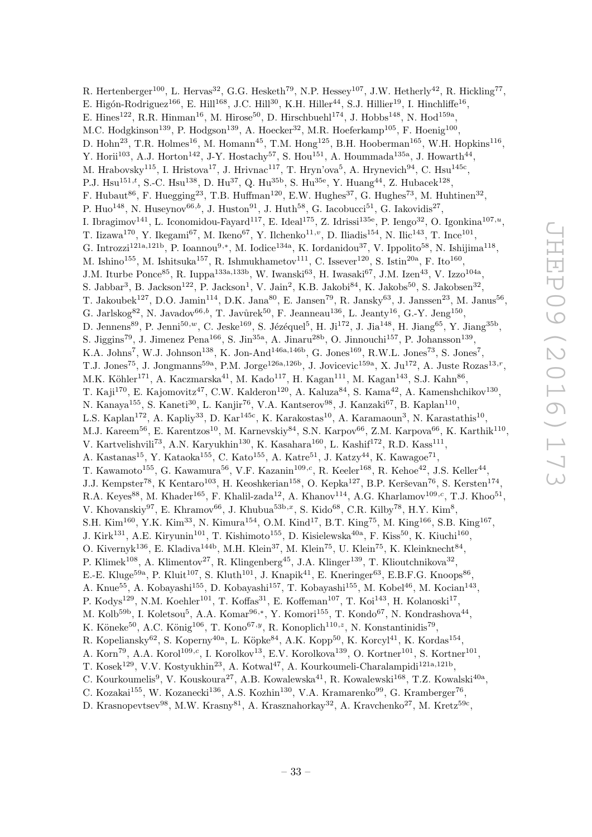R. Hertenberger<sup>100</sup>, L. Hervas<sup>32</sup>, G.G. Hesketh<sup>79</sup>, N.P. Hessey<sup>107</sup>, J.W. Hetherly<sup>42</sup>, R. Hickling<sup>77</sup>, E. Higón-Rodriguez<sup>166</sup>, E. Hill<sup>168</sup>, J.C. Hill<sup>30</sup>, K.H. Hiller<sup>44</sup>, S.J. Hillier<sup>19</sup>, I. Hinchliffe<sup>16</sup>, E. Hines<sup>122</sup>, R.R. Hinman<sup>16</sup>, M. Hirose<sup>50</sup>, D. Hirschbuehl<sup>174</sup>, J. Hobbs<sup>148</sup>, N. Hod<sup>159a</sup>, M.C. Hodgkinson<sup>139</sup>, P. Hodgson<sup>139</sup>, A. Hoecker<sup>32</sup>, M.R. Hoeferkamp<sup>105</sup>, F. Hoenig<sup>100</sup>, D. Hohn<sup>23</sup>, T.R. Holmes<sup>16</sup>, M. Homann<sup>45</sup>, T.M. Hong<sup>125</sup>, B.H. Hooberman<sup>165</sup>, W.H. Hopkins<sup>116</sup>, Y. Horii<sup>103</sup>, A.J. Horton<sup>142</sup>, J-Y. Hostachy<sup>57</sup>, S. Hou<sup>151</sup>, A. Hoummada<sup>135a</sup>, J. Howarth<sup>44</sup>, M. Hrabovsky<sup>115</sup>, I. Hristova<sup>17</sup>, J. Hrivnac<sup>117</sup>, T. Hryn'ova<sup>5</sup>, A. Hrynevich<sup>94</sup>, C. Hsu<sup>145c</sup>, P.J. Hsu<sup>151, $t$ </sup>, S.-C. Hsu<sup>138</sup>, D. Hu<sup>37</sup>, Q. Hu<sup>35b</sup>, S. Hu<sup>35e</sup>, Y. Huang<sup>44</sup>, Z. Hubacek<sup>128</sup>, F. Hubaut<sup>86</sup>, F. Huegging<sup>23</sup>, T.B. Huffman<sup>120</sup>, E.W. Hughes<sup>37</sup>, G. Hughes<sup>73</sup>, M. Huhtinen<sup>32</sup>, P. Huo<sup>148</sup>, N. Huseynov<sup>66,b</sup>, J. Huston<sup>91</sup>, J. Huth<sup>58</sup>, G. Iacobucci<sup>51</sup>, G. Iakovidis<sup>27</sup>, I. Ibragimov<sup>141</sup>, L. Iconomidou-Fayard<sup>117</sup>, E. Ideal<sup>175</sup>, Z. Idrissi<sup>135e</sup>, P. Iengo<sup>32</sup>, O. Igonkina<sup>107,*u*</sup>, T. Iizawa<sup>170</sup>, Y. Ikegami<sup>67</sup>, M. Ikeno<sup>67</sup>, Y. Ilchenko<sup>11,</sup><sup>v</sup>, D. Iliadis<sup>154</sup>, N. Ilic<sup>143</sup>, T. Ince<sup>101</sup>, G. Introzzi<sup>121a,121b</sup>, P. Ioannou<sup>9,\*</sup>, M. Iodice<sup>134a</sup>, K. Iordanidou<sup>37</sup>, V. Ippolito<sup>58</sup>, N. Ishijima<sup>118</sup>, M. Ishino<sup>155</sup>, M. Ishitsuka<sup>157</sup>, R. Ishmukhametov<sup>111</sup>, C. Issever<sup>120</sup>, S. Istin<sup>20a</sup>, F. Ito<sup>160</sup>, J.M. Iturbe Ponce<sup>85</sup>, R. Iuppa<sup>133a, 133b</sup>, W. Iwanski<sup>63</sup>, H. Iwasaki<sup>67</sup>, J.M. Izen<sup>43</sup>, V. Izzo<sup>104a</sup>, S. Jabbar<sup>3</sup>, B. Jackson<sup>122</sup>, P. Jackson<sup>1</sup>, V. Jain<sup>2</sup>, K.B. Jakobi<sup>84</sup>, K. Jakobs<sup>50</sup>, S. Jakobsen<sup>32</sup>, T. Jakoubek<sup>127</sup>, D.O. Jamin<sup>114</sup>, D.K. Jana<sup>80</sup>, E. Jansen<sup>79</sup>, R. Jansky<sup>63</sup>, J. Janssen<sup>23</sup>, M. Janus<sup>56</sup>, G. Jarlskog $82$ , N. Javadov $^{66,b}$ , T. Javůrek $^{50}$ , F. Jeanneau $^{136}$ , L. Jeanty $^{16}$ , G.-Y. Jeng $^{150}$ , D. Jennens<sup>89</sup>, P. Jenni<sup>50,*w*</sup>, C. Jeske<sup>169</sup>, S. Jézéquel<sup>5</sup>, H. Ji<sup>172</sup>, J. Jia<sup>148</sup>, H. Jiang<sup>65</sup>, Y. Jiang<sup>35b</sup>, S. Jiggins<sup>79</sup>, J. Jimenez Pena<sup>166</sup>, S. Jin<sup>35a</sup>, A. Jinaru<sup>28b</sup>, O. Jinnouchi<sup>157</sup>, P. Johansson<sup>139</sup>, K.A. Johns<sup>7</sup>, W.J. Johnson<sup>138</sup>, K. Jon-And<sup>146a,146b</sup>, G. Jones<sup>169</sup>, R.W.L. Jones<sup>73</sup>, S. Jones<sup>7</sup>, T.J. Jones<sup>75</sup>, J. Jongmanns<sup>59a</sup>, P.M. Jorge<sup>126a,126b</sup>, J. Jovicevic<sup>159a</sup>, X. Ju<sup>172</sup>, A. Juste Rozas<sup>13,r</sup>, M.K. Köhler<sup>171</sup>, A. Kaczmarska<sup>41</sup>, M. Kado<sup>117</sup>, H. Kagan<sup>111</sup>, M. Kagan<sup>143</sup>, S.J. Kahn<sup>86</sup>, T. Kaji<sup>170</sup>, E. Kajomovitz<sup>47</sup>, C.W. Kalderon<sup>120</sup>, A. Kaluza<sup>84</sup>, S. Kama<sup>42</sup>, A. Kamenshchikov<sup>130</sup>, N. Kanaya<sup>155</sup>, S. Kaneti<sup>30</sup>, L. Kanjir<sup>76</sup>, V.A. Kantserov<sup>98</sup>, J. Kanzaki<sup>67</sup>, B. Kaplan<sup>110</sup>, L.S. Kaplan<sup>172</sup>, A. Kapliy<sup>33</sup>, D. Kar<sup>145c</sup>, K. Karakostas<sup>10</sup>, A. Karamaoun<sup>3</sup>, N. Karastathis<sup>10</sup>, M.J. Kareem<sup>56</sup>, E. Karentzos<sup>10</sup>, M. Karnevskiy<sup>84</sup>, S.N. Karpov<sup>66</sup>, Z.M. Karpova<sup>66</sup>, K. Karthik<sup>110</sup>, V. Kartvelishvili<sup>73</sup>, A.N. Karyukhin<sup>130</sup>, K. Kasahara<sup>160</sup>, L. Kashif<sup>172</sup>, R.D. Kass<sup>111</sup>, A. Kastanas<sup>15</sup>, Y. Kataoka<sup>155</sup>, C. Kato<sup>155</sup>, A. Katre<sup>51</sup>, J. Katzy<sup>44</sup>, K. Kawagoe<sup>71</sup>, T. Kawamoto<sup>155</sup>, G. Kawamura<sup>56</sup>, V.F. Kazanin<sup>109,c</sup>, R. Keeler<sup>168</sup>, R. Kehoe<sup>42</sup>, J.S. Keller<sup>44</sup>, J.J. Kempster<sup>78</sup>, K Kentaro<sup>103</sup>, H. Keoshkerian<sup>158</sup>, O. Kepka<sup>127</sup>, B.P. Kerševan<sup>76</sup>, S. Kersten<sup>174</sup>, R.A. Keyes<sup>88</sup>, M. Khader<sup>165</sup>, F. Khalil-zada<sup>12</sup>, A. Khanov<sup>114</sup>, A.G. Kharlamov<sup>109,c</sup>, T.J. Khoo<sup>51</sup>, V. Khovanskiy<sup>97</sup>, E. Khramov<sup>66</sup>, J. Khubua<sup>53b,x</sup>, S. Kido<sup>68</sup>, C.R. Kilby<sup>78</sup>, H.Y. Kim<sup>8</sup>, S.H. Kim<sup>160</sup>, Y.K. Kim<sup>33</sup>, N. Kimura<sup>154</sup>, O.M. Kind<sup>17</sup>, B.T. King<sup>75</sup>, M. King<sup>166</sup>, S.B. King<sup>167</sup>, J. Kirk<sup>131</sup>, A.E. Kiryunin<sup>101</sup>, T. Kishimoto<sup>155</sup>, D. Kisielewska<sup>40a</sup>, F. Kiss<sup>50</sup>, K. Kiuchi<sup>160</sup>, O. Kivernyk<sup>136</sup>, E. Kladiva<sup>144b</sup>, M.H. Klein<sup>37</sup>, M. Klein<sup>75</sup>, U. Klein<sup>75</sup>, K. Kleinknecht<sup>84</sup>, P. Klimek<sup>108</sup>, A. Klimentov<sup>27</sup>, R. Klingenberg<sup>45</sup>, J.A. Klinger<sup>139</sup>, T. Klioutchnikova<sup>32</sup>, E.-E. Kluge<sup>59a</sup>, P. Kluit<sup>107</sup>, S. Kluth<sup>101</sup>, J. Knapik<sup>41</sup>, E. Kneringer<sup>63</sup>, E.B.F.G. Knoops<sup>86</sup>, A. Knue<sup>55</sup>, A. Kobayashi<sup>155</sup>, D. Kobayashi<sup>157</sup>, T. Kobayashi<sup>155</sup>, M. Kobel<sup>46</sup>, M. Kocian<sup>143</sup>, P. Kodys<sup>129</sup>, N.M. Koehler<sup>101</sup>, T. Koffas<sup>31</sup>, E. Koffeman<sup>107</sup>, T. Koi<sup>143</sup>, H. Kolanoski<sup>17</sup>, M. Kolb<sup>59b</sup>, I. Koletsou<sup>5</sup>, A.A. Komar<sup>96,\*</sup>, Y. Komori<sup>155</sup>, T. Kondo<sup>67</sup>, N. Kondrashova<sup>44</sup>, K. Köneke<sup>50</sup>, A.C. König<sup>106</sup>, T. Kono<sup>67, y</sup>, R. Konoplich<sup>110, z</sup>, N. Konstantinidis<sup>79</sup>, R. Kopeliansky $^{62}$ , S. Koperny $^{40a}$ , L. Köpke $^{84}$ , A.K. Kopp $^{50}$ , K. Korcyl $^{41}$ , K. Kordas $^{154}$ , A. Korn<sup>79</sup>, A.A. Korol<sup>109,c</sup>, I. Korolkov<sup>13</sup>, E.V. Korolkova<sup>139</sup>, O. Kortner<sup>101</sup>, S. Kortner<sup>101</sup>, T. Kosek<sup>129</sup>, V.V. Kostyukhin<sup>23</sup>, A. Kotwal<sup>47</sup>, A. Kourkoumeli-Charalampidi<sup>121a,121b</sup>, C. Kourkoumelis<sup>9</sup>, V. Kouskoura<sup>27</sup>, A.B. Kowalewska<sup>41</sup>, R. Kowalewski<sup>168</sup>, T.Z. Kowalski<sup>40a</sup>, C. Kozakai<sup>155</sup>, W. Kozanecki<sup>136</sup>, A.S. Kozhin<sup>130</sup>, V.A. Kramarenko<sup>99</sup>, G. Kramberger<sup>76</sup>,

D. Krasnopevtsev $^{98}$ , M.W. Krasny $^{81}$ , A. Krasznahorkay $^{32}$ , A. Kravchenko $^{27}$ , M. Kretz $^{59c}$ ,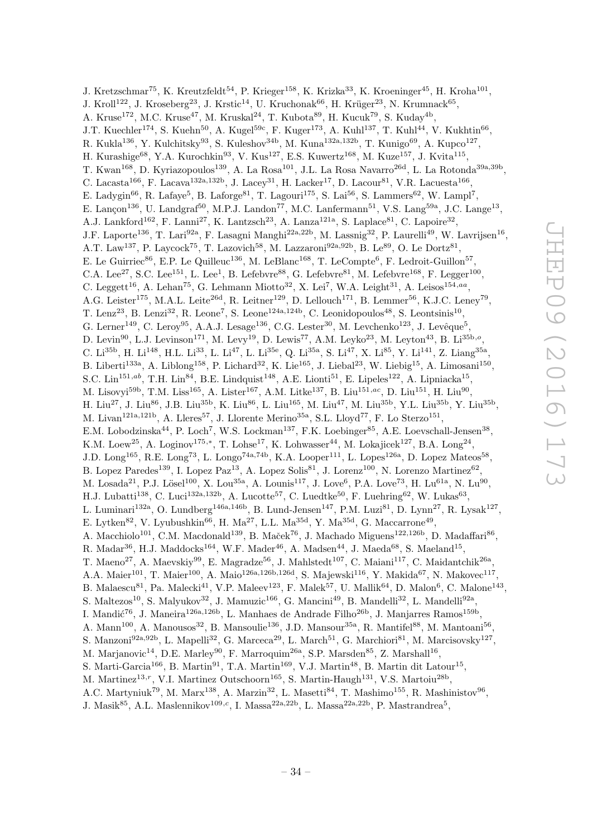J. Kretzschmar<sup>75</sup>, K. Kreutzfeldt<sup>54</sup>, P. Krieger<sup>158</sup>, K. Krizka<sup>33</sup>, K. Kroeninger<sup>45</sup>, H. Kroha<sup>101</sup>, J. Kroll<sup>122</sup>, J. Kroseberg<sup>23</sup>, J. Krstic<sup>14</sup>, U. Kruchonak<sup>66</sup>, H. Krüger<sup>23</sup>, N. Krumnack<sup>65</sup>, A. Kruse<sup>172</sup>, M.C. Kruse<sup>47</sup>, M. Kruskal<sup>24</sup>, T. Kubota<sup>89</sup>, H. Kucuk<sup>79</sup>, S. Kuday<sup>4b</sup>, J.T. Kuechler<sup>174</sup>, S. Kuehn<sup>50</sup>, A. Kugel<sup>59c</sup>, F. Kuger<sup>173</sup>, A. Kuhl<sup>137</sup>, T. Kuhl<sup>44</sup>, V. Kukhtin<sup>66</sup>, R. Kukla<sup>136</sup>, Y. Kulchitsky<sup>93</sup>, S. Kuleshov<sup>34b</sup>, M. Kuna<sup>132a,132b</sup>, T. Kunigo<sup>69</sup>, A. Kupco<sup>127</sup>, H. Kurashige<sup>68</sup>, Y.A. Kurochkin<sup>93</sup>, V. Kus<sup>127</sup>, E.S. Kuwertz<sup>168</sup>, M. Kuze<sup>157</sup>, J. Kvita<sup>115</sup>, T. Kwan<sup>168</sup>, D. Kyriazopoulos<sup>139</sup>, A. La Rosa<sup>101</sup>, J.L. La Rosa Navarro<sup>26d</sup>, L. La Rotonda<sup>39a,39b</sup>, C. Lacasta<sup>166</sup>, F. Lacava<sup>132a, 132b</sup>, J. Lacey<sup>31</sup>, H. Lacker<sup>17</sup>, D. Lacour<sup>81</sup>, V.R. Lacuesta<sup>166</sup>, E. Ladygin<sup>66</sup>, R. Lafaye<sup>5</sup>, B. Laforge<sup>81</sup>, T. Lagouri<sup>175</sup>, S. Lai<sup>56</sup>, S. Lammers<sup>62</sup>, W. Lampl<sup>7</sup>, E. Lançon<sup>136</sup>, U. Landgraf<sup>50</sup>, M.P.J. Landon<sup>77</sup>, M.C. Lanfermann<sup>51</sup>, V.S. Lang<sup>59a</sup>, J.C. Lange<sup>13</sup>, A.J. Lankford<sup>162</sup>, F. Lanni<sup>27</sup>, K. Lantzsch<sup>23</sup>, A. Lanza<sup>121a</sup>, S. Laplace<sup>81</sup>, C. Lapoire<sup>32</sup>, J.F. Laporte<sup>136</sup>, T. Lari<sup>92a</sup>, F. Lasagni Manghi<sup>22a,22b</sup>, M. Lassnig<sup>32</sup>, P. Laurelli<sup>49</sup>, W. Lavrijsen<sup>16</sup>, A.T. Law<sup>137</sup>, P. Laycock<sup>75</sup>, T. Lazovich<sup>58</sup>, M. Lazzaroni<sup>92a,92b</sup>, B. Le<sup>89</sup>, O. Le Dortz<sup>81</sup>, E. Le Guirriec<sup>86</sup>, E.P. Le Quilleuc<sup>136</sup>, M. LeBlanc<sup>168</sup>, T. LeCompte<sup>6</sup>, F. Ledroit-Guillon<sup>57</sup>, C.A. Lee<sup>27</sup>, S.C. Lee<sup>151</sup>, L. Lee<sup>1</sup>, B. Lefebvre<sup>88</sup>, G. Lefebvre<sup>81</sup>, M. Lefebvre<sup>168</sup>, F. Legger<sup>100</sup>, C. Leggett<sup>16</sup>, A. Lehan<sup>75</sup>, G. Lehmann Miotto<sup>32</sup>, X. Lei<sup>7</sup>, W.A. Leight<sup>31</sup>, A. Leisos<sup>154,aa</sup>, A.G. Leister<sup>175</sup>, M.A.L. Leite<sup>26d</sup>, R. Leitner<sup>129</sup>, D. Lellouch<sup>171</sup>, B. Lemmer<sup>56</sup>, K.J.C. Leney<sup>79</sup>, T. Lenz<sup>23</sup>, B. Lenzi<sup>32</sup>, R. Leone<sup>7</sup>, S. Leone<sup>124a,124b</sup>, C. Leonidopoulos<sup>48</sup>, S. Leontsinis<sup>10</sup>, G. Lerner<sup>149</sup>, C. Leroy<sup>95</sup>, A.A.J. Lesage<sup>136</sup>, C.G. Lester<sup>30</sup>, M. Levchenko<sup>123</sup>, J. Levêque<sup>5</sup>, D. Levin<sup>90</sup>, L.J. Levinson<sup>171</sup>, M. Levy<sup>19</sup>, D. Lewis<sup>77</sup>, A.M. Leyko<sup>23</sup>, M. Leyton<sup>43</sup>, B. Li<sup>35b,o</sup>, C. Li<sup>35b</sup>, H. Li<sup>148</sup>, H.L. Li<sup>33</sup>, L. Li<sup>47</sup>, L. Li<sup>35e</sup>, Q. Li<sup>35a</sup>, S. Li<sup>47</sup>, X. Li<sup>85</sup>, Y. Li<sup>141</sup>, Z. Liang<sup>35a</sup>, B. Liberti<sup>133a</sup>, A. Liblong<sup>158</sup>, P. Lichard<sup>32</sup>, K. Lie<sup>165</sup>, J. Liebal<sup>23</sup>, W. Liebig<sup>15</sup>, A. Limosani<sup>150</sup>, S.C. Lin<sup>151,ab</sup>, T.H. Lin<sup>84</sup>, B.E. Lindquist<sup>148</sup>, A.E. Lionti<sup>51</sup>, E. Lipeles<sup>122</sup>, A. Lipniacka<sup>15</sup>, M. Lisovyi<sup>59b</sup>, T.M. Liss<sup>165</sup>, A. Lister<sup>167</sup>, A.M. Litke<sup>137</sup>, B. Liu<sup>151,ac</sup>, D. Liu<sup>151</sup>, H. Liu<sup>90</sup>, H. Liu<sup>27</sup>, J. Liu<sup>86</sup>, J.B. Liu<sup>35b</sup>, K. Liu<sup>86</sup>, L. Liu<sup>165</sup>, M. Liu<sup>47</sup>, M. Liu<sup>35b</sup>, Y.L. Liu<sup>35b</sup>, Y. Liu<sup>35b</sup>, M. Livan<sup>121a,121b</sup>, A. Lleres<sup>57</sup>, J. Llorente Merino<sup>35a</sup>, S.L. Lloyd<sup>77</sup>, F. Lo Sterzo<sup>151</sup>, E.M. Lobodzinska<sup>44</sup>, P. Loch<sup>7</sup>, W.S. Lockman<sup>137</sup>, F.K. Loebinger<sup>85</sup>, A.E. Loevschall-Jensen<sup>38</sup>, K.M. Loew<sup>25</sup>, A. Loginov<sup>175,\*</sup>, T. Lohse<sup>17</sup>, K. Lohwasser<sup>44</sup>, M. Lokajicek<sup>127</sup>, B.A. Long<sup>24</sup>, J.D. Long<sup>165</sup>, R.E. Long<sup>73</sup>, L. Longo<sup>74a,74b</sup>, K.A. Looper<sup>111</sup>, L. Lopes<sup>126a</sup>, D. Lopez Mateos<sup>58</sup>, B. Lopez Paredes<sup>139</sup>, I. Lopez Paz<sup>13</sup>, A. Lopez Solis<sup>81</sup>, J. Lorenz<sup>100</sup>, N. Lorenzo Martinez<sup>62</sup>, M. Losada<sup>21</sup>, P.J. Lösel<sup>100</sup>, X. Lou<sup>35a</sup>, A. Lounis<sup>117</sup>, J. Love<sup>6</sup>, P.A. Love<sup>73</sup>, H. Lu<sup>61a</sup>, N. Lu<sup>90</sup>, H.J. Lubatti<sup>138</sup>, C. Luci<sup>132a,132b</sup>, A. Lucotte<sup>57</sup>, C. Luedtke<sup>50</sup>, F. Luehring<sup>62</sup>, W. Lukas<sup>63</sup>, L. Luminari<sup>132a</sup>, O. Lundberg<sup>146a,146b</sup>, B. Lund-Jensen<sup>147</sup>, P.M. Luzi<sup>81</sup>, D. Lynn<sup>27</sup>, R. Lysak<sup>127</sup>, E. Lytken<sup>82</sup>, V. Lyubushkin<sup>66</sup>, H. Ma<sup>27</sup>, L.L. Ma<sup>35d</sup>, Y. Ma<sup>35d</sup>, G. Maccarrone<sup>49</sup>, A. Macchiolo<sup>101</sup>, C.M. Macdonald<sup>139</sup>, B. Maček<sup>76</sup>, J. Machado Miguens<sup>122,126b</sup>, D. Madaffari<sup>86</sup>, R. Madar<sup>36</sup>, H.J. Maddocks<sup>164</sup>, W.F. Mader<sup>46</sup>, A. Madsen<sup>44</sup>, J. Maeda<sup>68</sup>, S. Maeland<sup>15</sup>, T. Maeno<sup>27</sup>, A. Maevskiy<sup>99</sup>, E. Magradze<sup>56</sup>, J. Mahlstedt<sup>107</sup>, C. Maiani<sup>117</sup>, C. Maidantchik<sup>26a</sup>, A.A. Maier<sup>101</sup>, T. Maier<sup>100</sup>, A. Maio<sup>126a,126b,126d</sup>, S. Majewski<sup>116</sup>, Y. Makida<sup>67</sup>, N. Makovec<sup>117</sup>, B. Malaescu<sup>81</sup>, Pa. Malecki<sup>41</sup>, V.P. Maleev<sup>123</sup>, F. Malek<sup>57</sup>, U. Mallik<sup>64</sup>, D. Malon<sup>6</sup>, C. Malone<sup>143</sup>, S. Maltezos<sup>10</sup>, S. Malyukov<sup>32</sup>, J. Mamuzic<sup>166</sup>, G. Mancini<sup>49</sup>, B. Mandelli<sup>32</sup>, L. Mandelli<sup>92a</sup>, I. Mandić<sup>76</sup>, J. Maneira<sup>126a,126b</sup>, L. Manhaes de Andrade Filho<sup>26b</sup>, J. Manjarres Ramos<sup>159b</sup>, A. Mann<sup>100</sup>, A. Manousos<sup>32</sup>, B. Mansoulie<sup>136</sup>, J.D. Mansour<sup>35a</sup>, R. Mantifel<sup>88</sup>, M. Mantoani<sup>56</sup>, S. Manzoni<sup>92a,92b</sup>, L. Mapelli<sup>32</sup>, G. Marceca<sup>29</sup>, L. March<sup>51</sup>, G. Marchiori<sup>81</sup>, M. Marcisovsky<sup>127</sup>, M. Marjanovic<sup>14</sup>, D.E. Marley<sup>90</sup>, F. Marroquim<sup>26a</sup>, S.P. Marsden<sup>85</sup>, Z. Marshall<sup>16</sup>, S. Marti-Garcia<sup>166</sup>, B. Martin<sup>91</sup>, T.A. Martin<sup>169</sup>, V.J. Martin<sup>48</sup>, B. Martin dit Latour<sup>15</sup>, M. Martinez<sup>13,r</sup>, V.I. Martinez Outschoorn<sup>165</sup>, S. Martin-Haugh<sup>131</sup>, V.S. Martoiu<sup>28b</sup>, A.C. Martyniuk<sup>79</sup>, M. Marx<sup>138</sup>, A. Marzin<sup>32</sup>, L. Masetti<sup>84</sup>, T. Mashimo<sup>155</sup>, R. Mashinistov<sup>96</sup>,

J. Masik $^{85}$ , A.L. Maslennikov $^{109,c}$ , I. Massa $^{22a,22b}$ , L. Massa $^{22a,22b}$ , P. Mastrandrea<sup>5</sup>,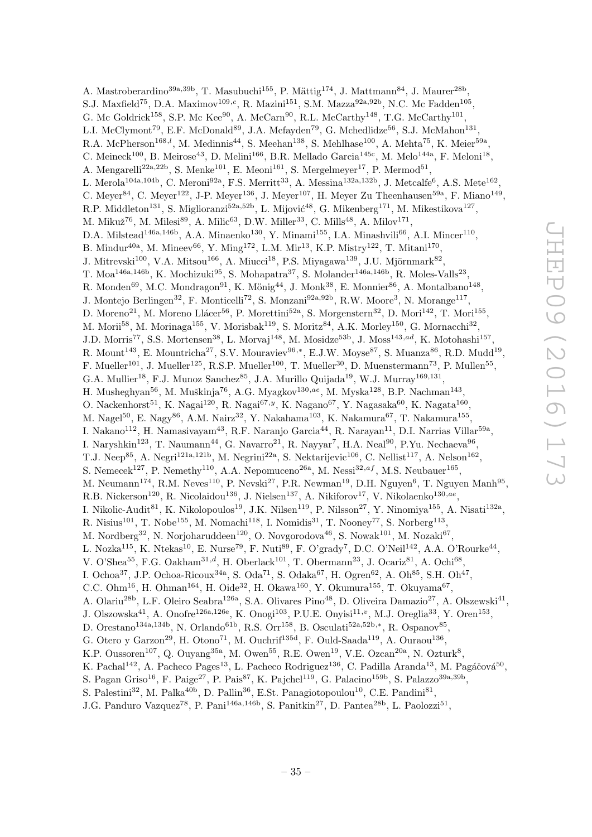A. Mastroberardino<sup>39a, 39b</sup>, T. Masubuchi<sup>155</sup>, P. Mättig<sup>174</sup>, J. Mattmann<sup>84</sup>, J. Maurer<sup>28b</sup>, S.J. Maxfield<sup>75</sup>, D.A. Maximov<sup>109,c</sup>, R. Mazini<sup>151</sup>, S.M. Mazza<sup>92a,92b</sup>, N.C. Mc Fadden<sup>105</sup>, G. Mc Goldrick<sup>158</sup>, S.P. Mc Kee<sup>90</sup>, A. McCarn<sup>90</sup>, R.L. McCarthy<sup>148</sup>, T.G. McCarthy<sup>101</sup>, L.I. McClymont<sup>79</sup>, E.F. McDonald<sup>89</sup>, J.A. Mcfayden<sup>79</sup>, G. Mchedlidze<sup>56</sup>, S.J. McMahon<sup>131</sup>, R.A. McPherson<sup>168,*l*</sup>, M. Medinnis<sup>44</sup>, S. Meehan<sup>138</sup>, S. Mehlhase<sup>100</sup>, A. Mehta<sup>75</sup>, K. Meier<sup>59a</sup>, C. Meineck<sup>100</sup>, B. Meirose<sup>43</sup>, D. Melini<sup>166</sup>, B.R. Mellado Garcia<sup>145c</sup>, M. Melo<sup>144a</sup>, F. Meloni<sup>18</sup>, A. Mengarelli<sup>22a, 22b</sup>, S. Menke<sup>101</sup>, E. Meoni<sup>161</sup>, S. Mergelmeyer<sup>17</sup>, P. Mermod<sup>51</sup>, L. Merola<sup>104a,104b</sup>, C. Meroni<sup>92a</sup>, F.S. Merritt<sup>33</sup>, A. Messina<sup>132a,132b</sup>, J. Metcalfe<sup>6</sup>, A.S. Mete<sup>162</sup>, C. Meyer<sup>84</sup>, C. Meyer<sup>122</sup>, J-P. Meyer<sup>136</sup>, J. Meyer<sup>107</sup>, H. Meyer Zu Theenhausen<sup>59a</sup>, F. Miano<sup>149</sup>, R.P. Middleton<sup>131</sup>, S. Miglioranzi<sup>52a,52b</sup>, L. Mijović<sup>48</sup>, G. Mikenberg<sup>171</sup>, M. Mikestikova<sup>127</sup>, M. Mikuž $^{76}$ , M. Milesi $^{89}$ , A. Milic $^{63}$ , D.W. Miller $^{33}$ , C. Mills $^{48}$ , A. Milov $^{171}$ , D.A. Milstead<sup>146a,146b</sup>, A.A. Minaenko<sup>130</sup>, Y. Minami<sup>155</sup>, I.A. Minashvili<sup>66</sup>, A.I. Mincer<sup>110</sup>, B. Mindur<sup>40a</sup>, M. Mineev<sup>66</sup>, Y. Ming<sup>172</sup>, L.M. Mir<sup>13</sup>, K.P. Mistry<sup>122</sup>, T. Mitani<sup>170</sup>, J. Mitrevski<sup>100</sup>, V.A. Mitsou<sup>166</sup>, A. Miucci<sup>18</sup>, P.S. Miyagawa<sup>139</sup>, J.U. Mjörnmark<sup>82</sup>, T. Moa<sup>146a,146b</sup>, K. Mochizuki<sup>95</sup>, S. Mohapatra<sup>37</sup>, S. Molander<sup>146a,146b</sup>, R. Moles-Valls<sup>23</sup>, R. Monden<sup>69</sup>, M.C. Mondragon<sup>91</sup>, K. Mönig<sup>44</sup>, J. Monk<sup>38</sup>, E. Monnier<sup>86</sup>, A. Montalbano<sup>148</sup>, J. Montejo Berlingen<sup>32</sup>, F. Monticelli<sup>72</sup>, S. Monzani<sup>92a,92b</sup>, R.W. Moore<sup>3</sup>, N. Morange<sup>117</sup>, D. Moreno<sup>21</sup>, M. Moreno Llácer<sup>56</sup>, P. Morettini<sup>52a</sup>, S. Morgenstern<sup>32</sup>, D. Mori<sup>142</sup>, T. Mori<sup>155</sup>, M. Morii<sup>58</sup>, M. Morinaga<sup>155</sup>, V. Morisbak<sup>119</sup>, S. Moritz<sup>84</sup>, A.K. Morley<sup>150</sup>, G. Mornacchi<sup>32</sup>, J.D. Morris<sup>77</sup>, S.S. Mortensen<sup>38</sup>, L. Morvaj<sup>148</sup>, M. Mosidze<sup>53b</sup>, J. Moss<sup>143,ad</sup>, K. Motohashi<sup>157</sup>, R. Mount<sup>143</sup>, E. Mountricha<sup>27</sup>, S.V. Mouraviev<sup>96,\*</sup>, E.J.W. Moyse<sup>87</sup>, S. Muanza<sup>86</sup>, R.D. Mudd<sup>19</sup>, F. Mueller<sup>101</sup>, J. Mueller<sup>125</sup>, R.S.P. Mueller<sup>100</sup>, T. Mueller<sup>30</sup>, D. Muenstermann<sup>73</sup>, P. Mullen<sup>55</sup>, G.A. Mullier<sup>18</sup>, F.J. Munoz Sanchez<sup>85</sup>, J.A. Murillo Quijada<sup>19</sup>, W.J. Murray<sup>169,131</sup>, H. Musheghyan<sup>56</sup>, M. Muškinja<sup>76</sup>, A.G. Myagkov<sup>130,ae</sup>, M. Myska<sup>128</sup>, B.P. Nachman<sup>143</sup>, O. Nackenhorst<sup>51</sup>, K. Nagai<sup>120</sup>, R. Nagai<sup>67, y</sup>, K. Nagano<sup>67</sup>, Y. Nagasaka<sup>60</sup>, K. Nagata<sup>160</sup>, M. Nagel $^{50}$ , E. Nagy $^{86}$ , A.M. Nairz $^{32}$ , Y. Nakahama $^{103}$ , K. Nakamura $^{67}$ , T. Nakamura $^{155}$ , I. Nakano<sup>112</sup>, H. Namasivayam<sup>43</sup>, R.F. Naranjo Garcia<sup>44</sup>, R. Narayan<sup>11</sup>, D.I. Narrias Villar<sup>59a</sup>, I. Naryshkin<sup>123</sup>, T. Naumann<sup>44</sup>, G. Navarro<sup>21</sup>, R. Nayyar<sup>7</sup>, H.A. Neal<sup>90</sup>, P.Yu. Nechaeva<sup>96</sup>, T.J. Neep<sup>85</sup>, A. Negri<sup>121a,121b</sup>, M. Negrini<sup>22a</sup>, S. Nektarijevic<sup>106</sup>, C. Nellist<sup>117</sup>, A. Nelson<sup>162</sup>, S. Nemecek<sup>127</sup>, P. Nemethy<sup>110</sup>, A.A. Nepomuceno<sup>26a</sup>, M. Nessi<sup>32,af</sup>, M.S. Neubauer<sup>165</sup>, M. Neumann<sup>174</sup>, R.M. Neves<sup>110</sup>, P. Nevski<sup>27</sup>, P.R. Newman<sup>19</sup>, D.H. Nguyen<sup>6</sup>, T. Nguyen Manh<sup>95</sup>, R.B. Nickerson<sup>120</sup>, R. Nicolaidou<sup>136</sup>, J. Nielsen<sup>137</sup>, A. Nikiforov<sup>17</sup>, V. Nikolaenko<sup>130,ae</sup>, I. Nikolic-Audit<sup>81</sup>, K. Nikolopoulos<sup>19</sup>, J.K. Nilsen<sup>119</sup>, P. Nilsson<sup>27</sup>, Y. Ninomiya<sup>155</sup>, A. Nisati<sup>132a</sup>, R. Nisius<sup>101</sup>, T. Nobe<sup>155</sup>, M. Nomachi<sup>118</sup>, I. Nomidis<sup>31</sup>, T. Nooney<sup>77</sup>, S. Norberg<sup>113</sup>, M. Nordberg<sup>32</sup>, N. Norjoharuddeen<sup>120</sup>, O. Novgorodova<sup>46</sup>, S. Nowak<sup>101</sup>, M. Nozaki<sup>67</sup>, L. Nozka<sup>115</sup>, K. Ntekas<sup>10</sup>, E. Nurse<sup>79</sup>, F. Nuti<sup>89</sup>, F. O'grady<sup>7</sup>, D.C. O'Neil<sup>142</sup>, A.A. O'Rourke<sup>44</sup>, V. O'Shea<sup>55</sup>, F.G. Oakham<sup>31,d</sup>, H. Oberlack<sup>101</sup>, T. Obermann<sup>23</sup>, J. Ocariz<sup>81</sup>, A. Ochi<sup>68</sup>, I. Ochoa<sup>37</sup>, J.P. Ochoa-Ricoux<sup>34a</sup>, S. Oda<sup>71</sup>, S. Odaka<sup>67</sup>, H. Ogren<sup>62</sup>, A. Oh<sup>85</sup>, S.H. Oh<sup>47</sup>, C.C. Ohm<sup>16</sup>, H. Ohman<sup>164</sup>, H. Oide<sup>32</sup>, H. Okawa<sup>160</sup>, Y. Okumura<sup>155</sup>, T. Okuyama<sup>67</sup>, A. Olariu<sup>28b</sup>, L.F. Oleiro Seabra<sup>126a</sup>, S.A. Olivares Pino<sup>48</sup>, D. Oliveira Damazio<sup>27</sup>, A. Olszewski<sup>41</sup>, J. Olszowska<sup>41</sup>, A. Onofre<sup>126a,126e</sup>, K. Onogi<sup>103</sup>, P.U.E. Onyisi<sup>11,</sup><sup>v</sup>, M.J. Oreglia<sup>33</sup>, Y. Oren<sup>153</sup>, D. Orestano<sup>134a, 134b</sup>, N. Orlando<sup>61b</sup>, R.S. Orr<sup>158</sup>, B. Osculati<sup>52a, 52b,\*</sup>, R. Ospanov<sup>85</sup>, G. Otero y Garzon<sup>29</sup>, H. Otono<sup>71</sup>, M. Ouchrif<sup>135d</sup>, F. Ould-Saada<sup>119</sup>, A. Ouraou<sup>136</sup>, K.P. Oussoren<sup>107</sup>, Q. Ouyang<sup>35a</sup>, M. Owen<sup>55</sup>, R.E. Owen<sup>19</sup>, V.E. Ozcan<sup>20a</sup>, N. Ozturk<sup>8</sup>, K. Pachal<sup>142</sup>, A. Pacheco Pages<sup>13</sup>, L. Pacheco Rodriguez<sup>136</sup>, C. Padilla Aranda<sup>13</sup>, M. Pagáčová<sup>50</sup>, S. Pagan Griso<sup>16</sup>, F. Paige<sup>27</sup>, P. Pais<sup>87</sup>, K. Pajchel<sup>119</sup>, G. Palacino<sup>159b</sup>, S. Palazzo<sup>39a,39b</sup>, S. Palestini<sup>32</sup>, M. Palka<sup>40b</sup>, D. Pallin<sup>36</sup>, E.St. Panagiotopoulou<sup>10</sup>, C.E. Pandini<sup>81</sup>,

J.G. Panduro Vazquez<sup>78</sup>, P. Pani<sup>146a,146b</sup>, S. Panitkin<sup>27</sup>, D. Pantea<sup>28b</sup>, L. Paolozzi<sup>51</sup>,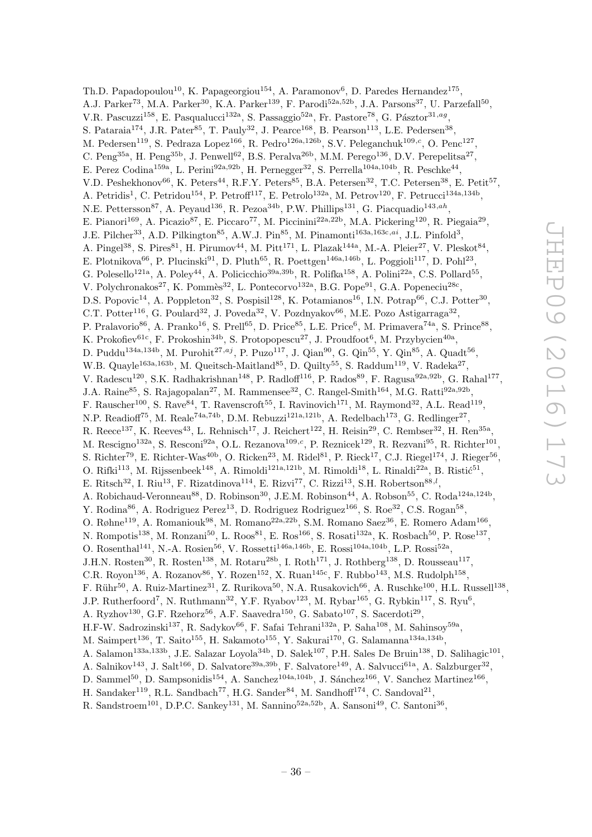Th.D. Papadopoulou<sup>10</sup>, K. Papageorgiou<sup>154</sup>, A. Paramonov<sup>6</sup>, D. Paredes Hernandez<sup>175</sup>, A.J. Parker<sup>73</sup>, M.A. Parker<sup>30</sup>, K.A. Parker<sup>139</sup>, F. Parodi<sup>52a,52b</sup>, J.A. Parsons<sup>37</sup>, U. Parzefall<sup>50</sup>, V.R. Pascuzzi<sup>158</sup>, E. Pasqualucci<sup>132a</sup>, S. Passaggio<sup>52a</sup>, Fr. Pastore<sup>78</sup>, G. Pásztor<sup>31,ag</sup>, S. Pataraia<sup>174</sup>, J.R. Pater<sup>85</sup>, T. Pauly<sup>32</sup>, J. Pearce<sup>168</sup>, B. Pearson<sup>113</sup>, L.E. Pedersen<sup>38</sup>, M. Pedersen<sup>119</sup>, S. Pedraza Lopez<sup>166</sup>, R. Pedro<sup>126a,126b</sup>, S.V. Peleganchuk<sup>109,c</sup>, O. Penc<sup>127</sup>, C. Peng<sup>35a</sup>, H. Peng<sup>35b</sup>, J. Penwell<sup>62</sup>, B.S. Peralva<sup>26b</sup>, M.M. Perego<sup>136</sup>, D.V. Perepelitsa<sup>27</sup>, E. Perez Codina<sup>159a</sup>, L. Perini<sup>92a,92b</sup>, H. Pernegger<sup>32</sup>, S. Perrella<sup>104a,104b</sup>, R. Peschke<sup>44</sup>, V.D. Peshekhonov<sup>66</sup>, K. Peters<sup>44</sup>, R.F.Y. Peters<sup>85</sup>, B.A. Petersen<sup>32</sup>, T.C. Petersen<sup>38</sup>, E. Petit<sup>57</sup>, A. Petridis<sup>1</sup>, C. Petridou<sup>154</sup>, P. Petroff<sup>117</sup>, E. Petrolo<sup>132a</sup>, M. Petrov<sup>120</sup>, F. Petrucci<sup>134a,134b</sup>, N.E. Pettersson<sup>87</sup>, A. Peyaud<sup>136</sup>, R. Pezoa<sup>34b</sup>, P.W. Phillips<sup>131</sup>, G. Piacquadio<sup>143,ah</sup>, E. Pianori<sup>169</sup>, A. Picazio<sup>87</sup>, E. Piccaro<sup>77</sup>, M. Piccinini<sup>22a,22b</sup>, M.A. Pickering<sup>120</sup>, R. Piegaia<sup>29</sup>, J.E. Pilcher<sup>33</sup>, A.D. Pilkington<sup>85</sup>, A.W.J. Pin<sup>85</sup>, M. Pinamonti<sup>163a,163c,ai</sup>, J.L. Pinfold<sup>3</sup>, A. Pingel<sup>38</sup>, S. Pires<sup>81</sup>, H. Pirumov<sup>44</sup>, M. Pitt<sup>171</sup>, L. Plazak<sup>144a</sup>, M.-A. Pleier<sup>27</sup>, V. Pleskot<sup>84</sup>, E. Plotnikova<sup>66</sup>, P. Plucinski<sup>91</sup>, D. Pluth<sup>65</sup>, R. Poettgen<sup>146a,146b</sup>, L. Poggioli<sup>117</sup>, D. Pohl<sup>23</sup>, G. Polesello<sup>121a</sup>, A. Poley<sup>44</sup>, A. Policicchio<sup>39a, 39b</sup>, R. Polifka<sup>158</sup>, A. Polini<sup>22a</sup>, C.S. Pollard<sup>55</sup>, V. Polychronakos<sup>27</sup>, K. Pommès<sup>32</sup>, L. Pontecorvo<sup>132a</sup>, B.G. Pope<sup>91</sup>, G.A. Popeneciu<sup>28c</sup>, D.S. Popovic<sup>14</sup>, A. Poppleton<sup>32</sup>, S. Pospisil<sup>128</sup>, K. Potamianos<sup>16</sup>, I.N. Potrap<sup>66</sup>, C.J. Potter<sup>30</sup>, C.T. Potter<sup>116</sup>, G. Poulard<sup>32</sup>, J. Poveda<sup>32</sup>, V. Pozdnyakov<sup>66</sup>, M.E. Pozo Astigarraga<sup>32</sup>, P. Pralavorio<sup>86</sup>, A. Pranko<sup>16</sup>, S. Prell<sup>65</sup>, D. Price<sup>85</sup>, L.E. Price<sup>6</sup>, M. Primavera<sup>74a</sup>, S. Prince<sup>88</sup>, K. Prokofiev<sup>61c</sup>, F. Prokoshin<sup>34b</sup>, S. Protopopescu<sup>27</sup>, J. Proudfoot<sup>6</sup>, M. Przybycien<sup>40a</sup>, D. Puddu<sup>134a,134b</sup>, M. Purohit<sup>27,aj</sup>, P. Puzo<sup>117</sup>, J. Qian<sup>90</sup>, G. Qin<sup>55</sup>, Y. Qin<sup>85</sup>, A. Quadt<sup>56</sup>, W.B. Quayle<sup>163a, 163b</sup>, M. Queitsch-Maitland<sup>85</sup>, D. Quilty<sup>55</sup>, S. Raddum<sup>119</sup>, V. Radeka<sup>27</sup>, V. Radescu<sup>120</sup>, S.K. Radhakrishnan<sup>148</sup>, P. Radloff<sup>116</sup>, P. Rados<sup>89</sup>, F. Ragusa<sup>92a,92b</sup>, G. Rahal<sup>177</sup>, J.A. Raine<sup>85</sup>, S. Rajagopalan<sup>27</sup>, M. Rammensee<sup>32</sup>, C. Rangel-Smith<sup>164</sup>, M.G. Ratti<sup>92a,92b</sup>, F. Rauscher<sup>100</sup>, S. Rave<sup>84</sup>, T. Ravenscroft<sup>55</sup>, I. Ravinovich<sup>171</sup>, M. Raymond<sup>32</sup>, A.L. Read<sup>119</sup>, N.P. Readioff<sup>75</sup>, M. Reale<sup>74a,74b</sup>, D.M. Rebuzzi<sup>121a,121b</sup>, A. Redelbach<sup>173</sup>, G. Redlinger<sup>27</sup>, R. Reece<sup>137</sup>, K. Reeves<sup>43</sup>, L. Rehnisch<sup>17</sup>, J. Reichert<sup>122</sup>, H. Reisin<sup>29</sup>, C. Rembser<sup>32</sup>, H. Ren<sup>35a</sup>, M. Rescigno<sup>132a</sup>, S. Resconi<sup>92a</sup>, O.L. Rezanova<sup>109,c</sup>, P. Reznicek<sup>129</sup>, R. Rezvani<sup>95</sup>, R. Richter<sup>101</sup>, S. Richter<sup>79</sup>, E. Richter-Was<sup>40b</sup>, O. Ricken<sup>23</sup>, M. Ridel<sup>81</sup>, P. Rieck<sup>17</sup>, C.J. Riegel<sup>174</sup>, J. Rieger<sup>56</sup>, O. Rifki<sup>113</sup>, M. Rijssenbeek<sup>148</sup>, A. Rimoldi<sup>121a,121b</sup>, M. Rimoldi<sup>18</sup>, L. Rinaldi<sup>22a</sup>, B. Ristić<sup>51</sup>, E. Ritsch<sup>32</sup>, I. Riu<sup>13</sup>, F. Rizatdinova<sup>114</sup>, E. Rizvi<sup>77</sup>, C. Rizzi<sup>13</sup>, S.H. Robertson<sup>88,*l*</sup>, A. Robichaud-Veronneau<sup>88</sup>, D. Robinson<sup>30</sup>, J.E.M. Robinson<sup>44</sup>, A. Robson<sup>55</sup>, C. Roda<sup>124a,124b</sup>, Y. Rodina<sup>86</sup>, A. Rodriguez Perez<sup>13</sup>, D. Rodriguez Rodriguez<sup>166</sup>, S. Roe<sup>32</sup>, C.S. Rogan<sup>58</sup>, O. Røhne<sup>119</sup>, A. Romaniouk<sup>98</sup>, M. Romano<sup>22a, 22b</sup>, S.M. Romano Saez<sup>36</sup>, E. Romero Adam<sup>166</sup>, N. Rompotis<sup>138</sup>, M. Ronzani<sup>50</sup>, L. Roos<sup>81</sup>, E. Ros<sup>166</sup>, S. Rosati<sup>132a</sup>, K. Rosbach<sup>50</sup>, P. Rose<sup>137</sup>, O. Rosenthal<sup>141</sup>, N.-A. Rosien<sup>56</sup>, V. Rossetti<sup>146a,146b</sup>, E. Rossi<sup>104a,104b</sup>, L.P. Rossi<sup>52a</sup>, J.H.N. Rosten<sup>30</sup>, R. Rosten<sup>138</sup>, M. Rotaru<sup>28b</sup>, I. Roth<sup>171</sup>, J. Rothberg<sup>138</sup>, D. Rousseau<sup>117</sup>, C.R. Royon<sup>136</sup>, A. Rozanov<sup>86</sup>, Y. Rozen<sup>152</sup>, X. Ruan<sup>145c</sup>, F. Rubbo<sup>143</sup>, M.S. Rudolph<sup>158</sup>, F. Rühr<sup>50</sup>, A. Ruiz-Martinez<sup>31</sup>, Z. Rurikova<sup>50</sup>, N.A. Rusakovich<sup>66</sup>, A. Ruschke<sup>100</sup>, H.L. Russell<sup>138</sup>, J.P. Rutherfoord<sup>7</sup>, N. Ruthmann<sup>32</sup>, Y.F. Ryabov<sup>123</sup>, M. Rybar<sup>165</sup>, G. Rybkin<sup>117</sup>, S. Ryu<sup>6</sup>, A. Ryzhov<sup>130</sup>, G.F. Rzehorz<sup>56</sup>, A.F. Saavedra<sup>150</sup>, G. Sabato<sup>107</sup>, S. Sacerdoti<sup>29</sup>, H.F-W. Sadrozinski<sup>137</sup>, R. Sadykov<sup>66</sup>, F. Safai Tehrani<sup>132a</sup>, P. Saha<sup>108</sup>, M. Sahinsoy<sup>59a</sup>, M. Saimpert<sup>136</sup>, T. Saito<sup>155</sup>, H. Sakamoto<sup>155</sup>, Y. Sakurai<sup>170</sup>, G. Salamanna<sup>134a,134b</sup>, A. Salamon<sup>133a, 133b</sup>, J.E. Salazar Loyola<sup>34b</sup>, D. Salek<sup>107</sup>, P.H. Sales De Bruin<sup>138</sup>, D. Salihagic<sup>101</sup>, A. Salnikov<sup>143</sup>, J. Salt<sup>166</sup>, D. Salvatore<sup>39a,39b</sup>, F. Salvatore<sup>149</sup>, A. Salvucci<sup>61a</sup>, A. Salzburger<sup>32</sup>, D. Sammel<sup>50</sup>, D. Sampsonidis<sup>154</sup>, A. Sanchez<sup>104a, 104b</sup>, J. Sánchez<sup>166</sup>, V. Sanchez Martinez<sup>166</sup>, H. Sandaker<sup>119</sup>, R.L. Sandbach<sup>77</sup>, H.G. Sander<sup>84</sup>, M. Sandhoff<sup>174</sup>, C. Sandoval<sup>21</sup>,

R. Sandstroem<sup>101</sup>, D.P.C. Sankey<sup>131</sup>, M. Sannino<sup>52a,52b</sup>, A. Sansoni<sup>49</sup>, C. Santoni<sup>36</sup>,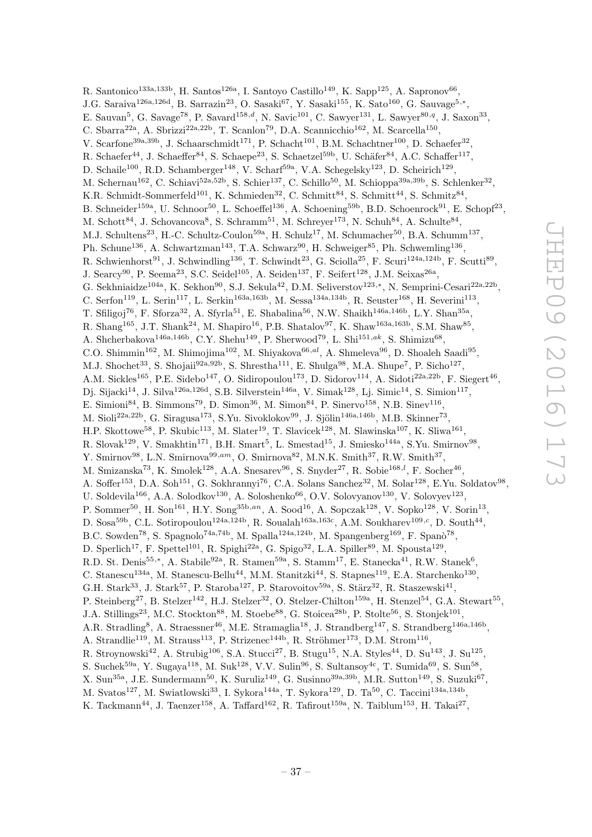R. Santonico<sup>133a,133b</sup>, H. Santos<sup>126a</sup>, I. Santoyo Castillo<sup>149</sup>, K. Sapp<sup>125</sup>, A. Sapronov<sup>66</sup>, J.G. Saraiva<sup>126a,126d</sup>, B. Sarrazin<sup>23</sup>, O. Sasaki<sup>67</sup>, Y. Sasaki<sup>155</sup>, K. Sato<sup>160</sup>, G. Sauvage<sup>5,\*</sup>, E. Sauvan<sup>5</sup>, G. Savage<sup>78</sup>, P. Savard<sup>158,d</sup>, N. Savic<sup>101</sup>, C. Sawyer<sup>131</sup>, L. Sawyer<sup>80,q</sup>, J. Saxon<sup>33</sup>, C. Sbarra<sup>22a</sup>, A. Sbrizzi<sup>22a, 22b</sup>, T. Scanlon<sup>79</sup>, D.A. Scannicchio<sup>162</sup>, M. Scarcella<sup>150</sup>, V. Scarfone<sup>39a, 39b</sup>, J. Schaarschmidt<sup>171</sup>, P. Schacht<sup>101</sup>, B.M. Schachtner<sup>100</sup>, D. Schaefer<sup>32</sup>, R. Schaefer<sup>44</sup>, J. Schaeffer<sup>84</sup>, S. Schaepe<sup>23</sup>, S. Schaetzel<sup>59b</sup>, U. Schäfer<sup>84</sup>, A.C. Schaffer<sup>117</sup>, D. Schaile<sup>100</sup>, R.D. Schamberger<sup>148</sup>, V. Scharf<sup>59a</sup>, V.A. Schegelsky<sup>123</sup>, D. Scheirich<sup>129</sup>, M. Schernau<sup>162</sup>, C. Schiavi<sup>52a,52b</sup>, S. Schier<sup>137</sup>, C. Schillo<sup>50</sup>, M. Schioppa<sup>39a,39b</sup>, S. Schlenker<sup>32</sup>, K.R. Schmidt-Sommerfeld<sup>101</sup>, K. Schmieden<sup>32</sup>, C. Schmitt<sup>84</sup>, S. Schmitt<sup>44</sup>, S. Schmitz<sup>84</sup>, B. Schneider<sup>159a</sup>, U. Schnoor<sup>50</sup>, L. Schoeffel<sup>136</sup>, A. Schoening<sup>59b</sup>, B.D. Schoenrock<sup>91</sup>, E. Schopf<sup>23</sup>, M. Schott<sup>84</sup>, J. Schovancova<sup>8</sup>, S. Schramm<sup>51</sup>, M. Schreyer<sup>173</sup>, N. Schuh<sup>84</sup>, A. Schulte<sup>84</sup>, M.J. Schultens<sup>23</sup>, H.-C. Schultz-Coulon<sup>59a</sup>, H. Schulz<sup>17</sup>, M. Schumacher<sup>50</sup>, B.A. Schumm<sup>137</sup>, Ph. Schune<sup>136</sup>, A. Schwartzman<sup>143</sup>, T.A. Schwarz<sup>90</sup>, H. Schweiger<sup>85</sup>, Ph. Schwemling<sup>136</sup>, R. Schwienhorst<sup>91</sup>, J. Schwindling<sup>136</sup>, T. Schwindt<sup>23</sup>, G. Sciolla<sup>25</sup>, F. Scuri<sup>124a,124b</sup>, F. Scutti<sup>89</sup>, J. Searcy<sup>90</sup>, P. Seema<sup>23</sup>, S.C. Seidel<sup>105</sup>, A. Seiden<sup>137</sup>, F. Seifert<sup>128</sup>, J.M. Seixas<sup>26a</sup>, G. Sekhniaidze<sup>104a</sup>, K. Sekhon<sup>90</sup>, S.J. Sekula<sup>42</sup>, D.M. Seliverstov<sup>123,\*</sup>, N. Semprini-Cesari<sup>22a,22b</sup>, C. Serfon<sup>119</sup>, L. Serin<sup>117</sup>, L. Serkin<sup>163a, 163b</sup>, M. Sessa<sup>134a, 134b</sup>, R. Seuster<sup>168</sup>, H. Severini<sup>113</sup>, T. Sfiligoj<sup>76</sup>, F. Sforza<sup>32</sup>, A. Sfyrla<sup>51</sup>, E. Shabalina<sup>56</sup>, N.W. Shaikh<sup>146a,146b</sup>, L.Y. Shan<sup>35a</sup>, R. Shang<sup>165</sup>, J.T. Shank<sup>24</sup>, M. Shapiro<sup>16</sup>, P.B. Shatalov<sup>97</sup>, K. Shaw<sup>163a, 163b</sup>, S.M. Shaw<sup>85</sup>, A. Shcherbakova<sup>146a, 146b</sup>, C.Y. Shehu<sup>149</sup>, P. Sherwood<sup>79</sup>, L. Shi<sup>151,ak</sup>, S. Shimizu<sup>68</sup>, C.O. Shimmin<sup>162</sup>, M. Shimojima<sup>102</sup>, M. Shiyakova<sup>66,*al*</sup>, A. Shmeleva<sup>96</sup>, D. Shoaleh Saadi<sup>95</sup>, M.J. Shochet<sup>33</sup>, S. Shojaii<sup>92a,92b</sup>, S. Shrestha<sup>111</sup>, E. Shulga<sup>98</sup>, M.A. Shupe<sup>7</sup>, P. Sicho<sup>127</sup>, A.M. Sickles<sup>165</sup>, P.E. Sidebo<sup>147</sup>, O. Sidiropoulou<sup>173</sup>, D. Sidorov<sup>114</sup>, A. Sidoti<sup>22a,22b</sup>, F. Siegert<sup>46</sup>, Dj. Sijacki<sup>14</sup>, J. Silva<sup>126a,126d</sup>, S.B. Silverstein<sup>146a</sup>, V. Simak<sup>128</sup>, Lj. Simic<sup>14</sup>, S. Simion<sup>117</sup>, E. Simioni<sup>84</sup>, B. Simmons<sup>79</sup>, D. Simon<sup>36</sup>, M. Simon<sup>84</sup>, P. Sinervo<sup>158</sup>, N.B. Sinev<sup>116</sup>, M. Sioli $^{22a,22b}$ , G. Siragusa $^{173}$ , S.Yu. Sivoklokov $^{99}$ , J. Sjölin $^{146a,146b}$ , M.B. Skinner $^{73}$ , H.P. Skottowe<sup>58</sup>, P. Skubic<sup>113</sup>, M. Slater<sup>19</sup>, T. Slavicek<sup>128</sup>, M. Slawinska<sup>107</sup>, K. Sliwa<sup>161</sup>, R. Slovak<sup>129</sup>, V. Smakhtin<sup>171</sup>, B.H. Smart<sup>5</sup>, L. Smestad<sup>15</sup>, J. Smiesko<sup>144a</sup>, S.Yu. Smirnov<sup>98</sup>, Y. Smirnov<sup>98</sup>, L.N. Smirnova<sup>99,am</sup>, O. Smirnova<sup>82</sup>, M.N.K. Smith<sup>37</sup>, R.W. Smith<sup>37</sup>, M. Smizanska<sup>73</sup>, K. Smolek<sup>128</sup>, A.A. Snesarev<sup>96</sup>, S. Snyder<sup>27</sup>, R. Sobie<sup>168,*l*</sup>, F. Socher<sup>46</sup>, A. Soffer<sup>153</sup>, D.A. Soh<sup>151</sup>, G. Sokhrannyi<sup>76</sup>, C.A. Solans Sanchez<sup>32</sup>, M. Solar<sup>128</sup>, E.Yu. Soldatov<sup>98</sup>, U. Soldevila<sup>166</sup>, A.A. Solodkov<sup>130</sup>, A. Soloshenko<sup>66</sup>, O.V. Solovyanov<sup>130</sup>, V. Solovyev<sup>123</sup>, P. Sommer<sup>50</sup>, H. Son<sup>161</sup>, H.Y. Song<sup>35b,an</sup>, A. Sood<sup>16</sup>, A. Sopczak<sup>128</sup>, V. Sopko<sup>128</sup>, V. Sorin<sup>13</sup>, D. Sosa<sup>59b</sup>, C.L. Sotiropoulou<sup>124a,124b</sup>, R. Soualah<sup>163a,163c</sup>, A.M. Soukharev<sup>109,c</sup>, D. South<sup>44</sup>, B.C. Sowden<sup>78</sup>, S. Spagnolo<sup>74a,74b</sup>, M. Spalla<sup>124a,124b</sup>, M. Spangenberg<sup>169</sup>, F. Spanò<sup>78</sup>, D. Sperlich<sup>17</sup>, F. Spettel<sup>101</sup>, R. Spighi<sup>22a</sup>, G. Spigo<sup>32</sup>, L.A. Spiller<sup>89</sup>, M. Spousta<sup>129</sup>, R.D. St. Denis<sup>55,\*</sup>, A. Stabile<sup>92a</sup>, R. Stamen<sup>59a</sup>, S. Stamm<sup>17</sup>, E. Stanecka<sup>41</sup>, R.W. Stanek<sup>6</sup>, C. Stanescu<sup>134a</sup>, M. Stanescu-Bellu<sup>44</sup>, M.M. Stanitzki<sup>44</sup>, S. Stapnes<sup>119</sup>, E.A. Starchenko<sup>130</sup>, G.H. Stark<sup>33</sup>, J. Stark<sup>57</sup>, P. Staroba<sup>127</sup>, P. Starovoitov<sup>59a</sup>, S. Stärz<sup>32</sup>, R. Staszewski<sup>41</sup>, P. Steinberg<sup>27</sup>, B. Stelzer<sup>142</sup>, H.J. Stelzer<sup>32</sup>, O. Stelzer-Chilton<sup>159a</sup>, H. Stenzel<sup>54</sup>, G.A. Stewart<sup>55</sup>, J.A. Stillings<sup>23</sup>, M.C. Stockton<sup>88</sup>, M. Stoebe<sup>88</sup>, G. Stoicea<sup>28b</sup>, P. Stolte<sup>56</sup>, S. Stonjek<sup>101</sup>, A.R. Stradling<sup>8</sup>, A. Straessner<sup>46</sup>, M.E. Stramaglia<sup>18</sup>, J. Strandberg<sup>147</sup>, S. Strandberg<sup>146a,146b</sup>, A. Strandlie<sup>119</sup>, M. Strauss<sup>113</sup>, P. Strizenec<sup>144b</sup>, R. Ströhmer<sup>173</sup>, D.M. Strom<sup>116</sup>, R. Stroynowski<sup>42</sup>, A. Strubig<sup>106</sup>, S.A. Stucci<sup>27</sup>, B. Stugu<sup>15</sup>, N.A. Styles<sup>44</sup>, D. Su<sup>143</sup>, J. Su<sup>125</sup>, S. Suchek<sup>59a</sup>, Y. Sugaya<sup>118</sup>, M. Suk<sup>128</sup>, V.V. Sulin<sup>96</sup>, S. Sultansoy<sup>4c</sup>, T. Sumida<sup>69</sup>, S. Sun<sup>58</sup>,  $X. Sum^{35a}$ , J.E. Sundermann<sup>50</sup>, K. Suruliz<sup>149</sup>, G. Susinno<sup>39a,39b</sup>, M.R. Sutton<sup>149</sup>, S. Suzuki<sup>67</sup>, M. Svatos<sup>127</sup>, M. Swiatlowski<sup>33</sup>, I. Sykora<sup>144a</sup>, T. Sykora<sup>129</sup>, D. Ta<sup>50</sup>, C. Taccini<sup>134a,134b</sup>,

K. Tackmann<sup>44</sup>, J. Taenzer<sup>158</sup>, A. Taffard<sup>162</sup>, R. Tafirout<sup>159a</sup>, N. Taiblum<sup>153</sup>, H. Takai<sup>27</sup>,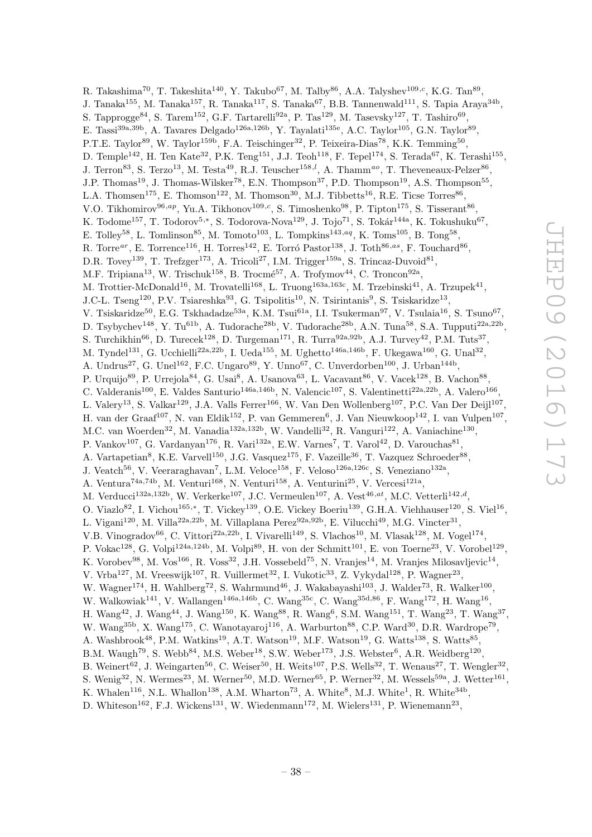R. Takashima<sup>70</sup>, T. Takeshita<sup>140</sup>, Y. Takubo<sup>67</sup>, M. Talby<sup>86</sup>, A.A. Talyshev<sup>109,c</sup>, K.G. Tan<sup>89</sup>, J. Tanaka<sup>155</sup>, M. Tanaka<sup>157</sup>, R. Tanaka<sup>117</sup>, S. Tanaka<sup>67</sup>, B.B. Tannenwald<sup>111</sup>, S. Tapia Araya<sup>34b</sup>, S. Tapprogge<sup>84</sup>, S. Tarem<sup>152</sup>, G.F. Tartarelli<sup>92a</sup>, P. Tas<sup>129</sup>, M. Tasevsky<sup>127</sup>, T. Tashiro<sup>69</sup>, E. Tassi<sup>39a,39b</sup>, A. Tavares Delgado<sup>126a,126b</sup>, Y. Tayalati<sup>135e</sup>, A.C. Taylor<sup>105</sup>, G.N. Taylor<sup>89</sup>, P.T.E. Taylor<sup>89</sup>, W. Taylor<sup>159b</sup>, F.A. Teischinger<sup>32</sup>, P. Teixeira-Dias<sup>78</sup>, K.K. Temming<sup>50</sup>, D. Temple<sup>142</sup>, H. Ten Kate<sup>32</sup>, P.K. Teng<sup>151</sup>, J.J. Teoh<sup>118</sup>, F. Tepel<sup>174</sup>, S. Terada<sup>67</sup>, K. Terashi<sup>155</sup>, J. Terron<sup>83</sup>, S. Terzo<sup>13</sup>, M. Testa<sup>49</sup>, R.J. Teuscher<sup>158,*l*</sup>, A. Thamm<sup>ao</sup>, T. Theveneaux-Pelzer<sup>86</sup>, J.P. Thomas<sup>19</sup>, J. Thomas-Wilsker<sup>78</sup>, E.N. Thompson<sup>37</sup>, P.D. Thompson<sup>19</sup>, A.S. Thompson<sup>55</sup>, L.A. Thomsen<sup>175</sup>, E. Thomson<sup>122</sup>, M. Thomson<sup>30</sup>, M.J. Tibbetts<sup>16</sup>, R.E. Ticse Torres<sup>86</sup>, V.O. Tikhomirov<sup>96,ap</sup>, Yu.A. Tikhonov<sup>109,c</sup>, S. Timoshenko<sup>98</sup>, P. Tipton<sup>175</sup>, S. Tisserant<sup>86</sup>, K. Todome<sup>157</sup>, T. Todorov<sup>5,\*</sup>, S. Todorova-Nova<sup>129</sup>, J. Tojo<sup>71</sup>, S. Tokár<sup>144a</sup>, K. Tokushuku<sup>67</sup>, E. Tolley<sup>58</sup>, L. Tomlinson<sup>85</sup>, M. Tomoto<sup>103</sup>, L. Tompkins<sup>143,aq</sup>, K. Toms<sup>105</sup>, B. Tong<sup>58</sup>, R. Torr $e^{ar}$ , E. Torrence<sup>116</sup>, H. Torr $e^{142}$ , E. Torró Pastor<sup>138</sup>, J. Toth<sup>86,as</sup>, F. Touchard<sup>86</sup>, D.R. Tovey<sup>139</sup>, T. Trefzger<sup>173</sup>, A. Tricoli<sup>27</sup>, I.M. Trigger<sup>159a</sup>, S. Trincaz-Duvoid<sup>81</sup>, M.F. Tripiana<sup>13</sup>, W. Trischuk<sup>158</sup>, B. Trocmé<sup>57</sup>, A. Trofymov<sup>44</sup>, C. Troncon<sup>92a</sup>, M. Trottier-McDonald<sup>16</sup>, M. Trovatelli<sup>168</sup>, L. Truong<sup>163a,163c</sup>, M. Trzebinski<sup>41</sup>, A. Trzupek<sup>41</sup>, J.C-L. Tseng<sup>120</sup>, P.V. Tsiareshka<sup>93</sup>, G. Tsipolitis<sup>10</sup>, N. Tsirintanis<sup>9</sup>, S. Tsiskaridze<sup>13</sup>, V. Tsiskaridze<sup>50</sup>, E.G. Tskhadadze<sup>53a</sup>, K.M. Tsui<sup>61a</sup>, I.I. Tsukerman<sup>97</sup>, V. Tsulaia<sup>16</sup>, S. Tsuno<sup>67</sup>, D. Tsybychev<sup>148</sup>, Y. Tu<sup>61b</sup>, A. Tudorache<sup>28b</sup>, V. Tudorache<sup>28b</sup>, A.N. Tuna<sup>58</sup>, S.A. Tupputi<sup>22a,22b</sup>, S. Turchikhin<sup>66</sup>, D. Turecek<sup>128</sup>, D. Turgeman<sup>171</sup>, R. Turra<sup>92a,92b</sup>, A.J. Turvey<sup>42</sup>, P.M. Tuts<sup>37</sup>, M. Tyndel<sup>131</sup>, G. Ucchielli<sup>22a,22b</sup>, I. Ueda<sup>155</sup>, M. Ughetto<sup>146a,146b</sup>, F. Ukegawa<sup>160</sup>, G. Unal<sup>32</sup>, A. Undrus<sup>27</sup>, G. Unel<sup>162</sup>, F.C. Ungaro<sup>89</sup>, Y. Unno<sup>67</sup>, C. Unverdorben<sup>100</sup>, J. Urban<sup>144b</sup>, P. Urquijo<sup>89</sup>, P. Urrejola<sup>84</sup>, G. Usai<sup>8</sup>, A. Usanova<sup>63</sup>, L. Vacavant<sup>86</sup>, V. Vacek<sup>128</sup>, B. Vachon<sup>88</sup>, C. Valderanis<sup>100</sup>, E. Valdes Santurio<sup>146a, 146b</sup>, N. Valencic<sup>107</sup>, S. Valentinetti<sup>22a, 22b</sup>, A. Valero<sup>166</sup>, L. Valery<sup>13</sup>, S. Valkar<sup>129</sup>, J.A. Valls Ferrer<sup>166</sup>, W. Van Den Wollenberg<sup>107</sup>, P.C. Van Der Deijl<sup>107</sup>, H. van der Graaf<sup>107</sup>, N. van Eldik<sup>152</sup>, P. van Gemmeren<sup>6</sup>, J. Van Nieuwkoop<sup>142</sup>, I. van Vulpen<sup>107</sup>, M.C. van Woerden<sup>32</sup>, M. Vanadia<sup>132a, 132b</sup>, W. Vandelli<sup>32</sup>, R. Vanguri<sup>122</sup>, A. Vaniachine<sup>130</sup>, P. Vankov<sup>107</sup>, G. Vardanyan<sup>176</sup>, R. Vari<sup>132a</sup>, E.W. Varnes<sup>7</sup>, T. Varol<sup>42</sup>, D. Varouchas<sup>81</sup>, A. Vartapetian<sup>8</sup>, K.E. Varvell<sup>150</sup>, J.G. Vasquez<sup>175</sup>, F. Vazeille<sup>36</sup>, T. Vazquez Schroeder<sup>88</sup>, J. Veatch<sup>56</sup>, V. Veeraraghavan<sup>7</sup>, L.M. Veloce<sup>158</sup>, F. Veloso<sup>126a,126c</sup>, S. Veneziano<sup>132a</sup>, A. Ventura<sup>74a,74b</sup>, M. Venturi<sup>168</sup>, N. Venturi<sup>158</sup>, A. Venturini<sup>25</sup>, V. Vercesi<sup>121a</sup>, M. Verducci<sup>132a,132b</sup>, W. Verkerke<sup>107</sup>, J.C. Vermeulen<sup>107</sup>, A. Vest<sup>46,at</sup>, M.C. Vetterli<sup>142,d</sup>, O. Viazlo<sup>82</sup>, I. Vichou<sup>165,\*</sup>, T. Vickey<sup>139</sup>, O.E. Vickey Boeriu<sup>139</sup>, G.H.A. Viehhauser<sup>120</sup>, S. Viel<sup>16</sup>, L. Vigani<sup>120</sup>, M. Villa<sup>22a,22b</sup>, M. Villaplana Perez<sup>92a,92b</sup>, E. Vilucchi<sup>49</sup>, M.G. Vincter<sup>31</sup>, V.B. Vinogradov<sup>66</sup>, C. Vittori<sup>22a, 22b</sup>, I. Vivarelli<sup>149</sup>, S. Vlachos<sup>10</sup>, M. Vlasak<sup>128</sup>, M. Vogel<sup>174</sup>, P. Vokac<sup>128</sup>, G. Volpi<sup>124a,124b</sup>, M. Volpi<sup>89</sup>, H. von der Schmitt<sup>101</sup>, E. von Toerne<sup>23</sup>, V. Vorobel<sup>129</sup>, K. Vorobev $^{98}$ , M. Vos $^{166}$ , R. Voss $^{32}$ , J.H. Vossebeld $^{75}$ , N. Vranjes<sup>14</sup>, M. Vranjes Milosavljevic<sup>14</sup>, V. Vrba<sup>127</sup>, M. Vreeswijk<sup>107</sup>, R. Vuillermet<sup>32</sup>, I. Vukotic<sup>33</sup>, Z. Vykydal<sup>128</sup>, P. Wagner<sup>23</sup>, W. Wagner<sup>174</sup>, H. Wahlberg<sup>72</sup>, S. Wahrmund<sup>46</sup>, J. Wakabayashi<sup>103</sup>, J. Walder<sup>73</sup>, R. Walker<sup>100</sup>, W. Walkowiak<sup>141</sup>, V. Wallangen<sup>146a,146b</sup>, C. Wang<sup>35c</sup>, C. Wang<sup>35d,86</sup>, F. Wang<sup>172</sup>, H. Wang<sup>16</sup>, H. Wang<sup>42</sup>, J. Wang<sup>44</sup>, J. Wang<sup>150</sup>, K. Wang<sup>88</sup>, R. Wang<sup>6</sup>, S.M. Wang<sup>151</sup>, T. Wang<sup>23</sup>, T. Wang<sup>37</sup>, W. Wang<sup>35b</sup>, X. Wang<sup>175</sup>, C. Wanotayaroj<sup>116</sup>, A. Warburton<sup>88</sup>, C.P. Ward<sup>30</sup>, D.R. Wardrope<sup>79</sup>, A. Washbrook<sup>48</sup>, P.M. Watkins<sup>19</sup>, A.T. Watson<sup>19</sup>, M.F. Watson<sup>19</sup>, G. Watts<sup>138</sup>, S. Watts<sup>85</sup>, B.M. Waugh<sup>79</sup>, S. Webb<sup>84</sup>, M.S. Weber<sup>18</sup>, S.W. Weber<sup>173</sup>, J.S. Webster<sup>6</sup>, A.R. Weidberg<sup>120</sup>, B. Weinert<sup>62</sup>, J. Weingarten<sup>56</sup>, C. Weiser<sup>50</sup>, H. Weits<sup>107</sup>, P.S. Wells<sup>32</sup>, T. Wenaus<sup>27</sup>, T. Wengler<sup>32</sup>, S. Wenig<sup>32</sup>, N. Wermes<sup>23</sup>, M. Werner<sup>50</sup>, M.D. Werner<sup>65</sup>, P. Werner<sup>32</sup>, M. Wessels<sup>59a</sup>, J. Wetter<sup>161</sup>, K. Whalen<sup>116</sup>, N.L. Whallon<sup>138</sup>, A.M. Wharton<sup>73</sup>, A. White<sup>8</sup>, M.J. White<sup>1</sup>, R. White<sup>34b</sup>,

D. Whiteson<sup>162</sup>, F.J. Wickens<sup>131</sup>, W. Wiedenmann<sup>172</sup>, M. Wielers<sup>131</sup>, P. Wienemann<sup>23</sup>,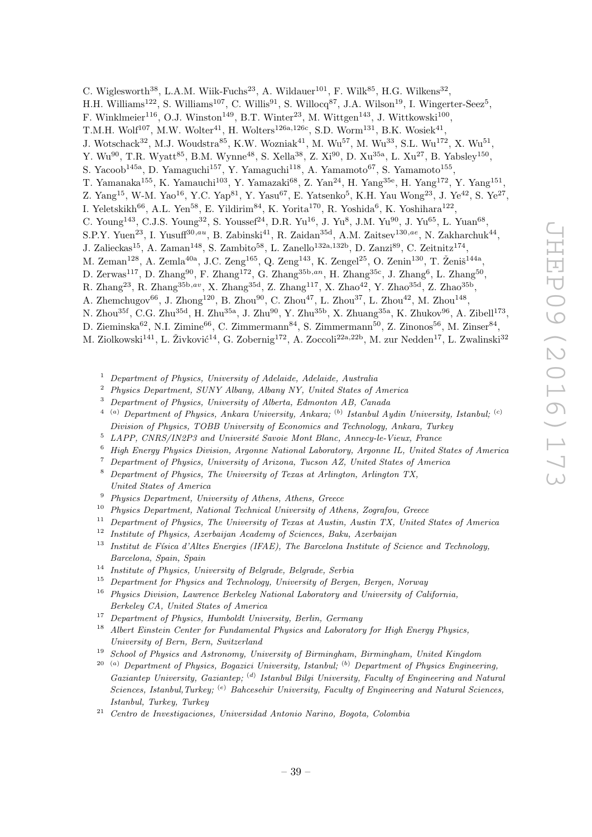C. Wiglesworth<sup>38</sup>, L.A.M. Wiik-Fuchs<sup>23</sup>, A. Wildauer<sup>101</sup>, F. Wilk<sup>85</sup>, H.G. Wilkens<sup>32</sup>,

H.H. Williams<sup>122</sup>, S. Williams<sup>107</sup>, C. Willis<sup>91</sup>, S. Willocq<sup>87</sup>, J.A. Wilson<sup>19</sup>, I. Wingerter-Seez<sup>5</sup>,

F. Winklmeier<sup>116</sup>, O.J. Winston<sup>149</sup>, B.T. Winter<sup>23</sup>, M. Wittgen<sup>143</sup>, J. Wittkowski<sup>100</sup>,

T.M.H. Wolf<sup>107</sup>, M.W. Wolter<sup>41</sup>, H. Wolters<sup>126a, 126c</sup>, S.D. Worm<sup>131</sup>, B.K. Wosiek<sup>41</sup>,

J. Wotschack<sup>32</sup>, M.J. Woudstra<sup>85</sup>, K.W. Wozniak<sup>41</sup>, M. Wu<sup>57</sup>, M. Wu<sup>33</sup>, S.L. Wu<sup>172</sup>, X. Wu<sup>51</sup>,

Y. Wu<sup>90</sup>, T.R. Wyatt<sup>85</sup>, B.M. Wynne<sup>48</sup>, S. Xella<sup>38</sup>, Z. Xi<sup>90</sup>, D. Xu<sup>35a</sup>, L. Xu<sup>27</sup>, B. Yabsley<sup>150</sup>,

S. Yacoob<sup>145a</sup>, D. Yamaguchi<sup>157</sup>, Y. Yamaguchi<sup>118</sup>, A. Yamamoto<sup>67</sup>, S. Yamamoto<sup>155</sup>,

T. Yamanaka<sup>155</sup>, K. Yamauchi<sup>103</sup>, Y. Yamazaki<sup>68</sup>, Z. Yan<sup>24</sup>, H. Yang<sup>35e</sup>, H. Yang<sup>172</sup>, Y. Yang<sup>151</sup>,

Z. Yang<sup>15</sup>, W-M. Yao<sup>16</sup>, Y.C. Yap<sup>81</sup>, Y. Yasu<sup>67</sup>, E. Yatsenko<sup>5</sup>, K.H. Yau Wong<sup>23</sup>, J. Ye<sup>42</sup>, S. Ye<sup>27</sup>,

I. Yeletskikh<sup>66</sup>, A.L. Yen<sup>58</sup>, E. Yildirim<sup>84</sup>, K. Yorita<sup>170</sup>, R. Yoshida<sup>6</sup>, K. Yoshihara<sup>122</sup>,

C. Young<sup>143</sup>, C.J.S. Young<sup>32</sup>, S. Youssef<sup>24</sup>, D.R. Yu<sup>16</sup>, J. Yu<sup>8</sup>, J.M. Yu<sup>90</sup>, J. Yu<sup>65</sup>, L. Yuan<sup>68</sup>,

S.P.Y. Yuen<sup>23</sup>, I. Yusuff<sup>30,au</sup>, B. Zabinski<sup>41</sup>, R. Zaidan<sup>35d</sup>, A.M. Zaitsev<sup>130,ae</sup>, N. Zakharchuk<sup>44</sup>,

J. Zalieckas<sup>15</sup>, A. Zaman<sup>148</sup>, S. Zambito<sup>58</sup>, L. Zanello<sup>132a,132b</sup>, D. Zanzi<sup>89</sup>, C. Zeitnitz<sup>174</sup>,

M. Zeman<sup>128</sup>, A. Zemla<sup>40a</sup>, J.C. Zeng<sup>165</sup>, Q. Zeng<sup>143</sup>, K. Zengel<sup>25</sup>, O. Zenin<sup>130</sup>, T. Ženiš<sup>144a</sup>,

D. Zerwas<sup>117</sup>, D. Zhang<sup>90</sup>, F. Zhang<sup>172</sup>, G. Zhang<sup>35b,an</sup>, H. Zhang<sup>35c</sup>, J. Zhang<sup>6</sup>, L. Zhang<sup>50</sup>,

R. Zhang<sup>23</sup>, R. Zhang<sup>35b,av</sup>, X. Zhang<sup>35d</sup>, Z. Zhang<sup>117</sup>, X. Zhao<sup>42</sup>, Y. Zhao<sup>35d</sup>, Z. Zhao<sup>35b</sup>,

A. Zhemchugov<sup>66</sup>, J. Zhong<sup>120</sup>, B. Zhou<sup>90</sup>, C. Zhou<sup>47</sup>, L. Zhou<sup>37</sup>, L. Zhou<sup>42</sup>, M. Zhou<sup>148</sup>,

N. Zhou<sup>35f</sup>, C.G. Zhu<sup>35d</sup>, H. Zhu<sup>35a</sup>, J. Zhu<sup>90</sup>, Y. Zhu<sup>35b</sup>, X. Zhuang<sup>35a</sup>, K. Zhukov<sup>96</sup>, A. Zibell<sup>173</sup>,

D. Zieminska $^{62}$ , N.I. Zimine $^{66}$ , C. Zimmermann $^{84}$ , S. Zimmermann $^{50}$ , Z. Zinonos $^{56}$ , M. Zinser $^{84}$ ,

- M. Ziolkowski<sup>141</sup>, L. Živković<sup>14</sup>, G. Zobernig<sup>172</sup>, A. Zoccoli<sup>22a,22b</sup>, M. zur Nedden<sup>17</sup>, L. Zwalinski<sup>32</sup>
	- <sup>1</sup> Department of Physics, University of Adelaide, Adelaide, Australia
	- <sup>2</sup> Physics Department, SUNY Albany, Albany NY, United States of America
	- <sup>3</sup> Department of Physics, University of Alberta, Edmonton AB, Canada
	- <sup>4</sup> <sup>(a)</sup> Department of Physics, Ankara University, Ankara; <sup>(b)</sup> Istanbul Aydin University, Istanbul; <sup>(c)</sup> Division of Physics, TOBB University of Economics and Technology, Ankara, Turkey
	- $5$  LAPP, CNRS/IN2P3 and Université Savoie Mont Blanc, Annecy-le-Vieux, France
	- <sup>6</sup> High Energy Physics Division, Argonne National Laboratory, Argonne IL, United States of America
	- <sup>7</sup> Department of Physics, University of Arizona, Tucson AZ, United States of America <sup>8</sup> Department of Physics, The University of Texas at Arlington, Arlington TX,
	- United States of America
	- <sup>9</sup> Physics Department, University of Athens, Athens, Greece<br><sup>10</sup> Physics Department, National Technical University of Ath
	- <sup>10</sup> Physics Department, National Technical University of Athens, Zografou, Greece
	- $11$  Department of Physics, The University of Texas at Austin, Austin TX, United States of America
	- <sup>12</sup> Institute of Physics, Azerbaijan Academy of Sciences, Baku, Azerbaijan
	- $13$  Institut de Física d'Altes Energies (IFAE), The Barcelona Institute of Science and Technology, Barcelona, Spain, Spain
	- <sup>14</sup> Institute of Physics, University of Belgrade, Belgrade, Serbia
	- $15$  Department for Physics and Technology, University of Bergen, Bergen, Norway

<sup>16</sup> Physics Division, Lawrence Berkeley National Laboratory and University of California, Berkeley CA, United States of America

- <sup>17</sup> Department of Physics, Humboldt University, Berlin, Germany
- <sup>18</sup> Albert Einstein Center for Fundamental Physics and Laboratory for High Energy Physics, University of Bern, Bern, Switzerland
- <sup>19</sup> School of Physics and Astronomy, University of Birmingham, Birmingham, United Kingdom
- $20$ <sup>(a)</sup> Department of Physics, Bogazici University, Istanbul; <sup>(b)</sup> Department of Physics Engineering, Gaziantep University, Gaziantep; <sup>(d)</sup> Istanbul Bilgi University, Faculty of Engineering and Natural Sciences, Istanbul,Turkey; <sup>(e)</sup> Bahcesehir University, Faculty of Engineering and Natural Sciences, Istanbul, Turkey, Turkey
- <sup>21</sup> Centro de Investigaciones, Universidad Antonio Narino, Bogota, Colombia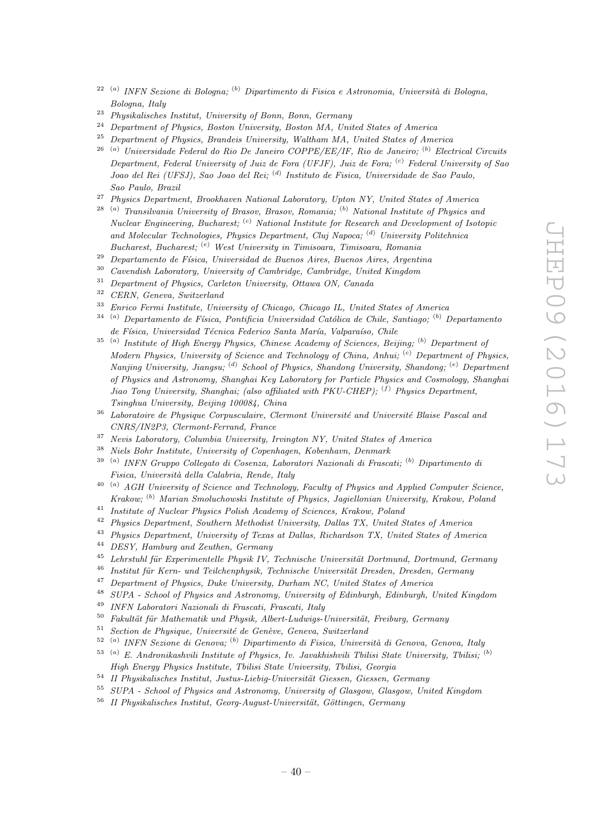- <sup>22 (a)</sup> INFN Sezione di Bologna; <sup>(b)</sup> Dipartimento di Fisica e Astronomia, Università di Bologna, Bologna, Italy
- <sup>23</sup> Physikalisches Institut, University of Bonn, Bonn, Germany
- <sup>24</sup> Department of Physics, Boston University, Boston MA, United States of America<sup>25</sup> Department of Physics Brandeis University Waltham MA, United States of Amer
- <sup>25</sup> Department of Physics, Brandeis University, Waltham MA, United States of America
- <sup>26 (a)</sup> Universidade Federal do Rio De Janeiro COPPE/EE/IF, Rio de Janeiro; <sup>(b)</sup> Electrical Circuits Department, Federal University of Juiz de Fora (UFJF), Juiz de Fora; <sup>(c)</sup> Federal University of Sao Joao del Rei (UFSJ), Sao Joao del Rei; <sup>(d)</sup> Instituto de Fisica, Universidade de Sao Paulo, Sao Paulo, Brazil
- <sup>27</sup> Physics Department, Brookhaven National Laboratory, Upton NY, United States of America
- <sup>28 (a)</sup> Transilvania University of Brasov, Brasov, Romania; <sup>(b)</sup> National Institute of Physics and Nuclear Engineering, Bucharest; <sup>(c)</sup> National Institute for Research and Development of Isotopic and Molecular Technologies, Physics Department, Cluj Napoca; <sup>(d)</sup> University Politehnica Bucharest, Bucharest; <sup>(e)</sup> West University in Timisoara, Timisoara, Romania
- <sup>29</sup> Departamento de Física, Universidad de Buenos Aires, Buenos Aires, Argentina
- $30$  Cavendish Laboratory, University of Cambridge, Cambridge, United Kingdom<br> $31$  Department of Physics, Cambridge University, Ottowe ON, Canada
- <sup>31</sup> Department of Physics, Carleton University, Ottawa ON, Canada<br><sup>32</sup> CERN Current Suite of Lands
- $rac{32}{33}$  CERN, Geneva, Switzerland
- <sup>33</sup> Enrico Fermi Institute, University of Chicago, Chicago IL, United States of America
- $34$ <sup>(a)</sup> Departamento de Física, Pontificia Universidad Católica de Chile, Santiago; <sup>(b)</sup> Departamento de Física, Universidad Técnica Federico Santa María, Valparaíso, Chile
- $35$ <sup>(a)</sup> Institute of High Energy Physics, Chinese Academy of Sciences, Beijing; <sup>(b)</sup> Department of Modern Physics, University of Science and Technology of China, Anhui;  $\binom{c}{r}$  Department of Physics, Nanjing University, Jiangsu; <sup>(d)</sup> School of Physics, Shandong University, Shandong; <sup>(e)</sup> Department of Physics and Astronomy, Shanghai Key Laboratory for Particle Physics and Cosmology, Shanghai Jiao Tong University, Shanghai; (also affiliated with PKU-CHEP);  $(f)$  Physics Department, Tsinghua University, Beijing 100084, China
- $36$  Laboratoire de Physique Corpusculaire, Clermont Université and Université Blaise Pascal and CNRS/IN2P3, Clermont-Ferrand, France
- <sup>37</sup> Nevis Laboratory, Columbia University, Irvington NY, United States of America
- <sup>38</sup> Niels Bohr Institute, University of Copenhagen, Kobenhavn, Denmark
- <sup>39 (a)</sup> INFN Gruppo Collegato di Cosenza, Laboratori Nazionali di Frascati; <sup>(b)</sup> Dipartimento di Fisica, Università della Calabria, Rende, Italy
- $^{40}$ <sup>(a)</sup> AGH University of Science and Technology, Faculty of Physics and Applied Computer Science, Krakow; <sup>(b)</sup> Marian Smoluchowski Institute of Physics, Jagiellonian University, Krakow, Poland
- <sup>41</sup> Institute of Nuclear Physics Polish Academy of Sciences, Krakow, Poland
- <sup>42</sup> Physics Department, Southern Methodist University, Dallas TX, United States of America
- <sup>43</sup> Physics Department, University of Texas at Dallas, Richardson TX, United States of America
- <sup>44</sup> DESY, Hamburg and Zeuthen, Germany
- $^{45}$  Lehrstuhl für Experimentelle Physik IV, Technische Universität Dortmund, Dortmund, Germany<br> $^{46}$  Institut für Kern, und Teilchennbusik, Technische Universität Dreeden, Dreeden, Germany
- <sup>46</sup> Institut für Kern- und Teilchenphysik, Technische Universität Dresden, Dresden, Germany<br><sup>47</sup> Department of Physics, Duke University, Durham NG, United States of America
- <sup>47</sup> Department of Physics, Duke University, Durham NC, United States of America<br><sup>48</sup> SUDA School of Physics and Advances University of Elizabeth Editorial
- <sup>48</sup> SUPA School of Physics and Astronomy, University of Edinburgh, Edinburgh, United Kingdom
- <sup>49</sup> INFN Laboratori Nazionali di Frascati, Frascati, Italy
- $50$  Fakultät für Mathematik und Physik, Albert-Ludwigs-Universität, Freiburg, Germany
- $51$  Section de Physique, Université de Genève, Geneva, Switzerland
- $52$ <sup>(a)</sup> INFN Sezione di Genova; <sup>(b)</sup> Dipartimento di Fisica, Università di Genova, Genova, Italy
- $53$ <sup>(a)</sup> E. Andronikashvili Institute of Physics, Iv. Javakhishvili Tbilisi State University, Tbilisi; <sup>(b)</sup> High Energy Physics Institute, Tbilisi State University, Tbilisi, Georgia
- $54$  II Physikalisches Institut, Justus-Liebig-Universität Giessen, Giessen, Germany
- <sup>55</sup> SUPA School of Physics and Astronomy, University of Glasgow, Glasgow, United Kingdom
- $56$  II Physikalisches Institut, Georg-August-Universität, Göttingen, Germany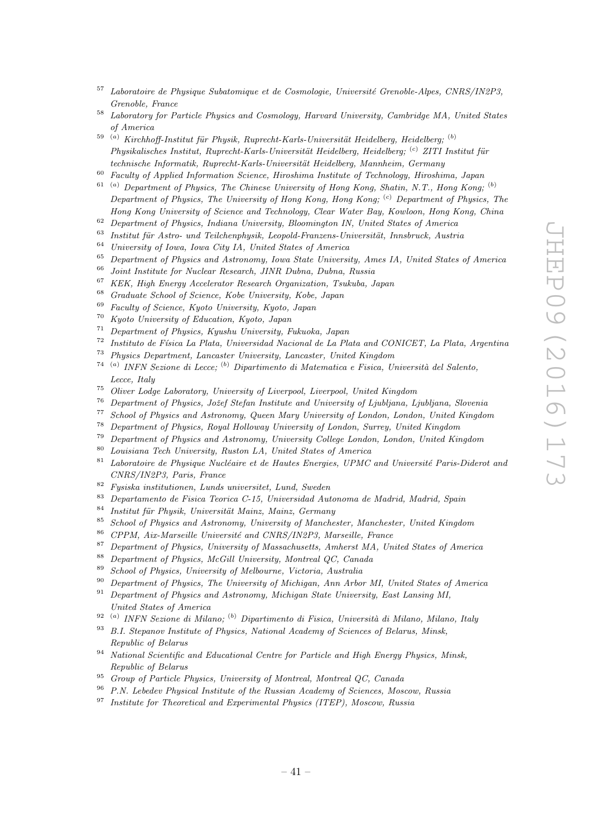- $57$  Laboratoire de Physique Subatomique et de Cosmologie, Université Grenoble-Alpes, CNRS/IN2P3, Grenoble, France
- <sup>58</sup> Laboratory for Particle Physics and Cosmology, Harvard University, Cambridge MA, United States of America
- <sup>59 (a)</sup> Kirchhoff-Institut für Physik, Ruprecht-Karls-Universität Heidelberg, Heidelberg; <sup>(b)</sup> Physikalisches Institut, Ruprecht-Karls-Universität Heidelberg, Heidelberg; <sup>(c)</sup> ZITI Institut für technische Informatik, Ruprecht-Karls-Universität Heidelberg, Mannheim, Germany
- <sup>60</sup> Faculty of Applied Information Science, Hiroshima Institute of Technology, Hiroshima, Japan
- $\overset{61}{\sim}$  (a) Department of Physics, The Chinese University of Hong Kong, Shatin, N.T., Hong Kong; (b) Department of Physics, The University of Hong Kong, Hong Kong; <sup>(c)</sup> Department of Physics, The Hong Kong University of Science and Technology, Clear Water Bay, Kowloon, Hong Kong, China
- $62$  Department of Physics, Indiana University, Bloomington IN, United States of America
- $63$  Institut für Astro- und Teilchenphysik, Leopold-Franzens-Universität, Innsbruck, Austria
- <sup>64</sup> University of Iowa, Iowa City IA, United States of America<br><sup>65</sup> Department of Physics and Astronomy, Iowa State University
- $^{65}$  Department of Physics and Astronomy, Iowa State University, Ames IA, United States of America<br> $^{66}$  Isint Institute for Nuclear Bessereh, IND Duhna, Duhna, Pussia
- $^{66}$  Joint Institute for Nuclear Research, JINR Dubna, Dubna, Russia<br> $^{67}$  KEK, High Energy Asselenting Research Openminister, Teulula, 1
- <sup>67</sup> KEK, High Energy Accelerator Research Organization, Tsukuba, Japan<br><sup>68</sup> Curricular School of Science Kehr Huisensity Kehr Japan
- <sup>68</sup> Graduate School of Science, Kobe University, Kobe, Japan
- <sup>69</sup> Faculty of Science, Kyoto University, Kyoto, Japan<br><sup>70</sup> Karoto University of Education, Kyoto, Japan
- <sup>70</sup> Kyoto University of Education, Kyoto, Japan
- <sup>71</sup> Department of Physics, Kyushu University, Fukuoka, Japan
- $72$  Instituto de Física La Plata, Universidad Nacional de La Plata and CONICET, La Plata, Argentina
- <sup>73</sup> Physics Department, Lancaster University, Lancaster, United Kingdom
- <sup>74 (a</sup>) INFN Sezione di Lecce; <sup>(b</sup>) Dipartimento di Matematica e Fisica, Università del Salento, Lecce, Italy
- <sup>75</sup> Oliver Lodge Laboratory, University of Liverpool, Liverpool, United Kingdom
- <sup>76</sup> Department of Physics, Jožef Stefan Institute and University of Ljubljana, Ljubljana, Slovenia<br><sup>77</sup> Sebeck of Physics and Actronomy Queen Many University of Landan, Landan, United Kingdom
- <sup>77</sup> School of Physics and Astronomy, Queen Mary University of London, London, United Kingdom<br><sup>78</sup> Department of Physics, Rayal Helloway University of London, Summy United Kingdom
- <sup>78</sup> Department of Physics, Royal Holloway University of London, Surrey, United Kingdom
- <sup>79</sup> Department of Physics and Astronomy, University College London, London, United Kingdom<br><sup>80</sup> Louisians Tosh University, Pustan LA, United States of America
- $80$  Louisiana Tech University, Ruston LA, United States of America<br> $81$  Laboratoire de Physique Nucléaire et de Hautes Energies, UPMC
- Laboratoire de Physique Nucléaire et de Hautes Energies, UPMC and Université Paris-Diderot and CNRS/IN2P3, Paris, France
- $82$  Fysiska institutionen, Lunds universitet, Lund, Sweden
- <sup>83</sup> Departamento de Fisica Teorica C-15, Universidad Autonoma de Madrid, Madrid, Spain
- $84$  Institut für Physik, Universität Mainz, Mainz, Germany
- <sup>85</sup> School of Physics and Astronomy, University of Manchester, Manchester, United Kingdom
- $86$  CPPM, Aix-Marseille Université and CNRS/IN2P3, Marseille, France
- <sup>87</sup> Department of Physics, University of Massachusetts, Amherst MA, United States of America
- <sup>88</sup> Department of Physics, McGill University, Montreal QC, Canada<br><sup>89</sup> School of Physics, University of Melhourne, Victoria, Australia
- <sup>89</sup> School of Physics, University of Melbourne, Victoria, Australia<br><sup>90</sup> Penertment of Physics, The University of Michigan, Ann Arbor
- <sup>90</sup> Department of Physics, The University of Michigan, Ann Arbor MI, United States of America
- <sup>91</sup> Department of Physics and Astronomy, Michigan State University, East Lansing MI, United States of America
- <sup>92 (a)</sup> INFN Sezione di Milano; <sup>(b)</sup> Dipartimento di Fisica, Università di Milano, Milano, Italy
- $93$  B.I. Stepanov Institute of Physics, National Academy of Sciences of Belarus, Minsk, Republic of Belarus
- <sup>94</sup> National Scientific and Educational Centre for Particle and High Energy Physics, Minsk, Republic of Belarus
- <sup>95</sup> Group of Particle Physics, University of Montreal, Montreal QC, Canada
- <sup>96</sup> P.N. Lebedev Physical Institute of the Russian Academy of Sciences, Moscow, Russia
- <sup>97</sup> Institute for Theoretical and Experimental Physics (ITEP), Moscow, Russia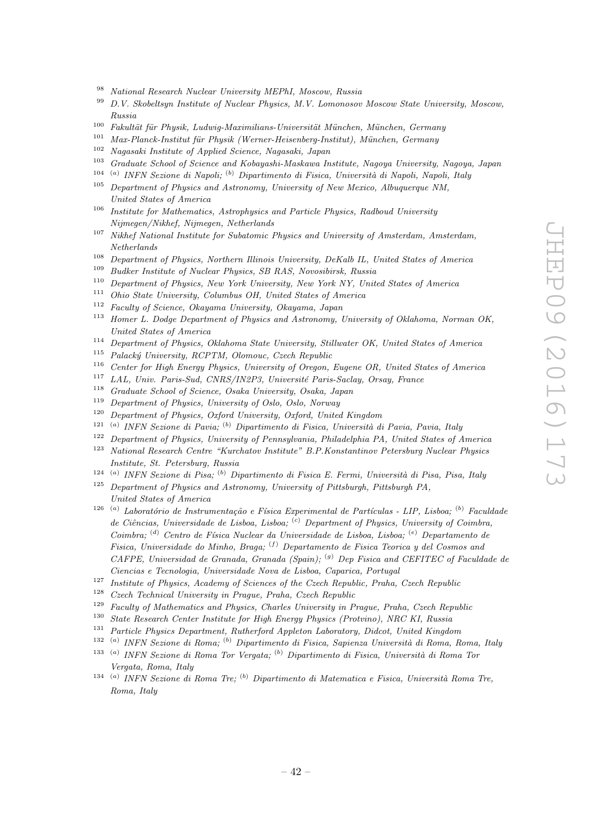- <sup>98</sup> National Research Nuclear University MEPhI, Moscow, Russia<br><sup>99</sup> D.V. Skakeltsun Institute of Nuclear Physics M.V. Lamencour
- <sup>99</sup> D.V. Skobeltsyn Institute of Nuclear Physics, M.V. Lomonosov Moscow State University, Moscow, Russia
- $100$  Fakultät für Physik, Ludwig-Maximilians-Universität München, München, Germany
- $101$  Max-Planck-Institut für Physik (Werner-Heisenberg-Institut), München, Germany
- <sup>102</sup> Nagasaki Institute of Applied Science, Nagasaki, Japan<br><sup>103</sup> Craduate School of Science and Kehayashi Mashaya In
- <sup>103</sup> Graduate School of Science and Kobayashi-Maskawa Institute, Nagoya University, Nagoya, Japan
- 104 ( <sup>a)</sup> INFN Sezione di Napoli; <sup>(b)</sup> Dipartimento di Fisica, Università di Napoli, Napoli, Italy
- <sup>105</sup> Department of Physics and Astronomy, University of New Mexico, Albuquerque NM, United States of America
- <sup>106</sup> Institute for Mathematics, Astrophysics and Particle Physics, Radboud University Nijmegen/Nikhef, Nijmegen, Netherlands
- <sup>107</sup> Nikhef National Institute for Subatomic Physics and University of Amsterdam, Amsterdam, Netherlands
- <sup>108</sup> Department of Physics, Northern Illinois University, DeKalb IL, United States of America<br><sup>109</sup> Pueblace Institute of Nuclear Physics, SP PAS, Neugalianh, Puesia
- <sup>109</sup> Budker Institute of Nuclear Physics, SB RAS, Novosibirsk, Russia<br><sup>110</sup> Department of Physics, New York University, New York NY Unit
- <sup>110</sup> Department of Physics, New York University, New York NY, United States of America
- <sup>111</sup> Ohio State University, Columbus OH, United States of America<br><sup>112</sup> Earthweat Stimm Okuman University Okuman Lung
- <sup>112</sup> Faculty of Science, Okayama University, Okayama, Japan
- <sup>113</sup> Homer L. Dodge Department of Physics and Astronomy, University of Oklahoma, Norman OK. United States of America
- <sup>114</sup> Department of Physics, Oklahoma State University, Stillwater OK, United States of America
- $115$  Palacký University, RCPTM, Olomouc, Czech Republic
- <sup>116</sup> Center for High Energy Physics, University of Oregon, Eugene OR, United States of America<br><sup>117</sup> LAL University Carl CNDS (UNOR) University Devis Sector Oregon, France
- <sup>117</sup> LAL, Univ. Paris-Sud, CNRS/IN2P3, Université Paris-Saclay, Orsay, France
- Graduate School of Science, Osaka University, Osaka, Japan
- <sup>119</sup> Department of Physics, University of Oslo, Oslo, Norway<br><sup>120</sup> Department of Physics, Orford University, Orford United
- <sup>120</sup> Department of Physics, Oxford University, Oxford, United Kingdom
- 121 ( <sup>a)</sup> INFN Sezione di Pavia; <sup>(b)</sup> Dipartimento di Fisica, Università di Pavia, Pavia, Italy
- <sup>122</sup> Department of Physics, University of Pennsylvania, Philadelphia PA, United States of America<br><sup>123</sup> National Bessensk Centre "Kurskates Institute", B.B. Konstantinov Betenburg Nuclear Physics
- <sup>123</sup> National Research Centre "Kurchatov Institute" B.P.Konstantinov Petersburg Nuclear Physics Institute, St. Petersburg, Russia
- $124$ <sup>(a)</sup> INFN Sezione di Pisa; <sup>(b)</sup> Dipartimento di Fisica E. Fermi, Università di Pisa, Pisa, Italy
- $125$  Department of Physics and Astronomy, University of Pittsburgh, Pittsburgh PA, United States of America
- <sup>126 (a)</sup> Laboratório de Instrumentação e Física Experimental de Partículas LIP, Lisboa; <sup>(b)</sup> Faculdade de Ciências, Universidade de Lisboa, Lisboa;  $\binom{c}{r}$  Department of Physics, University of Coimbra, Coimbra; <sup>(d)</sup> Centro de Física Nuclear da Universidade de Lisboa, Lisboa; <sup>(e)</sup> Departamento de Fisica, Universidade do Minho, Braga; <sup>(f)</sup> Departamento de Fisica Teorica y del Cosmos and CAFPE, Universidad de Granada, Granada (Spain); <sup>(g)</sup> Dep Fisica and CEFITEC of Faculdade de Ciencias e Tecnologia, Universidade Nova de Lisboa, Caparica, Portugal
- <sup>127</sup> Institute of Physics, Academy of Sciences of the Czech Republic, Praha, Czech Republic<br><sup>128</sup> Carel Technical University in Partner, Park, Carel Papellic
- <sup>128</sup> Czech Technical University in Prague, Praha, Czech Republic  $\frac{129}{\text{E}}$  Explored Mathematics and Physics Charles University in P
- <sup>129</sup> Faculty of Mathematics and Physics, Charles University in Prague, Praha, Czech Republic
- <sup>130</sup> State Research Center Institute for High Energy Physics (Protvino), NRC KI, Russia
- <sup>131</sup> Particle Physics Department, Rutherford Appleton Laboratory, Didcot, United Kingdom
- <sup>132 (a)</sup> INFN Sezione di Roma; <sup>(b)</sup> Dipartimento di Fisica, Sapienza Università di Roma, Roma, Italy
- <sup>133 (a)</sup> INFN Sezione di Roma Tor Vergata; <sup>(b)</sup> Dipartimento di Fisica, Università di Roma Tor Vergata, Roma, Italy
- <sup>134 (a)</sup> INFN Sezione di Roma Tre; <sup>(b)</sup> Dipartimento di Matematica e Fisica, Università Roma Tre, Roma, Italy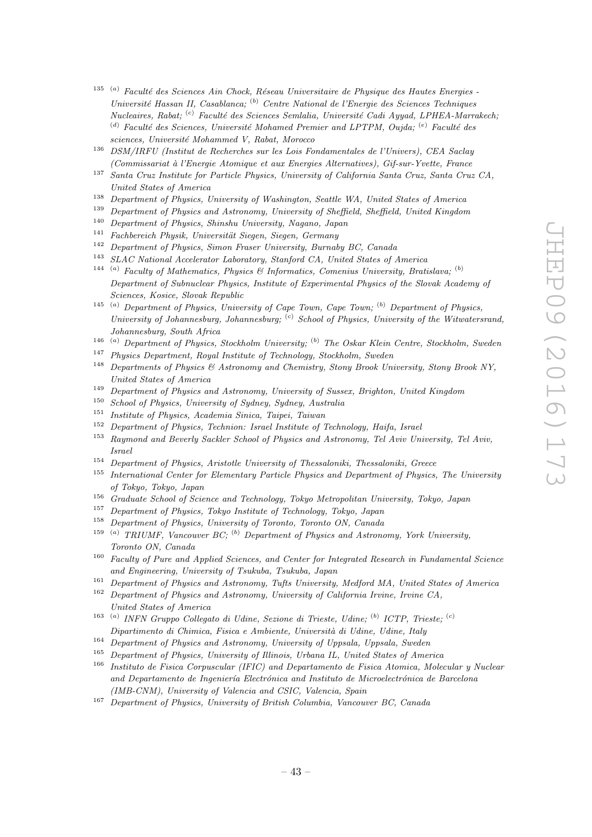- $135$ <sup>(a)</sup> Faculté des Sciences Ain Chock, Réseau Universitaire de Physique des Hautes Energies -Université Hassan II, Casablanca; <sup>(b)</sup> Centre National de l'Energie des Sciences Techniques Nucleaires, Rabat; <sup>(c)</sup> Faculté des Sciences Semlalia, Université Cadi Ayyad, LPHEA-Marrakech; (d) Faculté des Sciences, Université Mohamed Premier and LPTPM, Oujda;  $(e)$  Faculté des sciences, Université Mohammed V, Rabat, Morocco
- <sup>136</sup> DSM/IRFU (Institut de Recherches sur les Lois Fondamentales de l'Univers), CEA Saclay (Commissariat `a l'Energie Atomique et aux Energies Alternatives), Gif-sur-Yvette, France
- <sup>137</sup> Santa Cruz Institute for Particle Physics, University of California Santa Cruz, Santa Cruz CA, United States of America
- <sup>138</sup> Department of Physics, University of Washington, Seattle WA, United States of America
- <sup>139</sup> Department of Physics and Astronomy, University of Sheffield, Sheffield, United Kingdom<br><sup>140</sup> Department of Physics Shinghy University Negation Jensen
- <sup>140</sup> Department of Physics, Shinshu University, Nagano, Japan
- $141$  Fachbereich Physik, Universität Siegen, Siegen, Germany
- <sup>142</sup> Department of Physics, Simon Fraser University, Burnaby BC, Canada<br><sup>143</sup> SLAC National Assolution Lehenstern, Stanford CA, United States of the
- <sup>143</sup> SLAC National Accelerator Laboratory, Stanford CA, United States of America
- <sup>144 (a)</sup> Faculty of Mathematics, Physics & Informatics, Comenius University, Bratislava; <sup>(b)</sup> Department of Subnuclear Physics, Institute of Experimental Physics of the Slovak Academy of Sciences, Kosice, Slovak Republic
- <sup>145 (a)</sup> Department of Physics, University of Cape Town, Cape Town; <sup>(b)</sup> Department of Physics, University of Johannesburg, Johannesburg;  $\left( \text{c} \right)$  School of Physics, University of the Witwatersrand, Johannesburg, South Africa
- $146$ <sup>(a)</sup> Department of Physics, Stockholm University; <sup>(b)</sup> The Oskar Klein Centre, Stockholm, Sweden
- <sup>147</sup> Physics Department, Royal Institute of Technology, Stockholm, Sweden
- <sup>148</sup> Departments of Physics & Astronomy and Chemistry, Stony Brook University, Stony Brook NY, United States of America
- <sup>149</sup> Department of Physics and Astronomy, University of Sussex, Brighton, United Kingdom
- <sup>150</sup> School of Physics, University of Sydney, Sydney, Australia<br><sup>151</sup> Institute of Physics, Academia Sinics, Tringi, Trinuan
- <sup>151</sup> Institute of Physics, Academia Sinica, Taipei, Taiwan<br><sup>152</sup> Dependence of Physics, Technism, Israel Institute of C
- <sup>152</sup> Department of Physics, Technion: Israel Institute of Technology, Haifa, Israel
- <sup>153</sup> Raymond and Beverly Sackler School of Physics and Astronomy, Tel Aviv University, Tel Aviv, Israel
- <sup>154</sup> Department of Physics, Aristotle University of Thessaloniki, Thessaloniki, Greece<br><sup>155</sup> International Center for Flementary Particle Physics and Department of Physics
- <sup>155</sup> International Center for Elementary Particle Physics and Department of Physics, The University of Tokyo, Tokyo, Japan
- <sup>156</sup> Graduate School of Science and Technology, Tokyo Metropolitan University, Tokyo, Japan
- <sup>157</sup> Department of Physics, Tokyo Institute of Technology, Tokyo, Japan
- <sup>158</sup> Department of Physics, University of Toronto, Toronto ON, Canada
- 159 ( <sup>a)</sup> TRIUMF, Vancouver BC; <sup>(b)</sup> Department of Physics and Astronomy, York University, Toronto ON, Canada
- <sup>160</sup> Faculty of Pure and Applied Sciences, and Center for Integrated Research in Fundamental Science and Engineering, University of Tsukuba, Tsukuba, Japan
- <sup>161</sup> Department of Physics and Astronomy, Tufts University, Medford MA, United States of America<br><sup>162</sup> Department of Physics and Astronomy, University of Colifornia India, India, CA
- <sup>162</sup> Department of Physics and Astronomy, University of California Irvine, Irvine CA, United States of America
- <sup>163 (a)</sup> INFN Gruppo Collegato di Udine, Sezione di Trieste, Udine; <sup>(b)</sup> ICTP, Trieste; <sup>(c)</sup> Dipartimento di Chimica, Fisica e Ambiente, Università di Udine, Udine, Italy
- <sup>164</sup> Department of Physics and Astronomy, University of Uppsala, Uppsala, Sweden
- <sup>165</sup> Department of Physics, University of Illinois, Urbana IL, United States of America
- <sup>166</sup> Instituto de Fisica Corpuscular (IFIC) and Departamento de Fisica Atomica, Molecular y Nuclear and Departamento de Ingeniería Electrónica and Instituto de Microelectrónica de Barcelona (IMB-CNM), University of Valencia and CSIC, Valencia, Spain
- <sup>167</sup> Department of Physics, University of British Columbia, Vancouver BC, Canada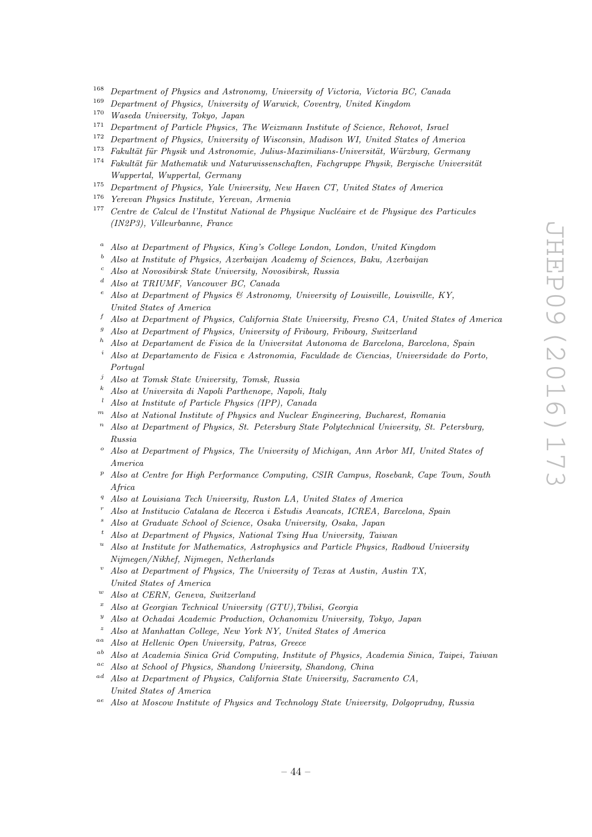- <sup>168</sup> Department of Physics and Astronomy, University of Victoria, Victoria BC, Canada<br><sup>169</sup> Department of Physics University of Wanwick Country, United Kingdom
- <sup>169</sup> Department of Physics, University of Warwick, Coventry, United Kingdom<br><sup>170</sup> Wasada University Tabya Japan
- <sup>170</sup> Waseda University, Tokyo, Japan
- <sup>171</sup> Department of Particle Physics, The Weizmann Institute of Science, Rehovot, Israel<br><sup>172</sup> Department of Physics, University of Wissensin Madison WI, United States of Amer
- <sup>172</sup> Department of Physics, University of Wisconsin, Madison WI, United States of America<br><sup>173</sup> Estativity finally and Actronomic Julius Maximilians University Winsham Compan
- <sup>173</sup> Fakultät für Physik und Astronomie, Julius-Maximilians-Universität, Würzburg, Germany<br><sup>174</sup> Fakultät für Mathematik und Naturwissenschaften, Facharunne Phusik, Bergische Universi
- $Fakultät für Mathematik und Naturwissenschaften, Fachgruppe Physik, Bergische Universität$ Wuppertal, Wuppertal, Germany
- <sup>175</sup> Department of Physics, Yale University, New Haven CT, United States of America
- <sup>176</sup> Yerevan Physics Institute, Yerevan, Armenia
- $177$  Centre de Calcul de l'Institut National de Physique Nucléaire et de Physique des Particules (IN2P3), Villeurbanne, France
	- <sup>a</sup> Also at Department of Physics, King's College London, London, United Kingdom<br> $\frac{b}{a}$  Also at Institute of Physics, Agentaion, Agedomy of Sciences, Pelu, Agentaion
	- <sup>b</sup> Also at Institute of Physics, Azerbaijan Academy of Sciences, Baku, Azerbaijan
	- <sup>c</sup> Also at Novosibirsk State University, Novosibirsk, Russia
	- <sup>d</sup> Also at TRIUMF, Vancouver BC, Canada
	- Also at Department of Physics & Astronomy, University of Louisville, Louisville, KY, United States of America
	- <sup>f</sup> Also at Department of Physics, California State University, Fresno CA, United States of America
	- <sup>9</sup> Also at Department of Physics, University of Fribourg, Fribourg, Switzerland
	- <sup>h</sup> Also at Departament de Fisica de la Universitat Autonoma de Barcelona, Barcelona, Spain
	- <sup>i</sup> Also at Departamento de Fisica e Astronomia, Faculdade de Ciencias, Universidade do Porto, Portugal
	- <sup>j</sup> Also at Tomsk State University, Tomsk, Russia
	- <sup>k</sup> Also at Universita di Napoli Parthenope, Napoli, Italy
	- <sup>l</sup> Also at Institute of Particle Physics (IPP), Canada
	- <sup>m</sup> Also at National Institute of Physics and Nuclear Engineering, Bucharest, Romania
	- $n$  Also at Department of Physics, St. Petersburg State Polytechnical University, St. Petersburg, Russia
	- $\degree$  Also at Department of Physics, The University of Michigan, Ann Arbor MI, United States of America
	- $P<sup>p</sup>$  Also at Centre for High Performance Computing, CSIR Campus, Rosebank, Cape Town, South Africa
	- Also at Louisiana Tech University, Ruston LA, United States of America
	- <sup>r</sup> Also at Institucio Catalana de Recerca i Estudis Avancats, ICREA, Barcelona, Spain
	- Also at Graduate School of Science, Osaka University, Osaka, Japan
	- <sup>t</sup> Also at Department of Physics, National Tsing Hua University, Taiwan
	- <sup>u</sup> Also at Institute for Mathematics, Astrophysics and Particle Physics, Radboud University Nijmegen/Nikhef, Nijmegen, Netherlands
	- Also at Department of Physics, The University of Texas at Austin, Austin TX, United States of America
	- <sup>w</sup> Also at CERN, Geneva, Switzerland
	- $x$  Also at Georgian Technical University (GTU), Tbilisi, Georgia
	- <sup>y</sup> Also at Ochadai Academic Production, Ochanomizu University, Tokyo, Japan
- Also at Manhattan College, New York NY, United States of America
- Also at Hellenic Open University, Patras, Greece
- ab Also at Academia Sinica Grid Computing, Institute of Physics, Academia Sinica, Taipei, Taiwan
- ac Also at School of Physics, Shandong University, Shandong, China
- ad Also at Department of Physics, California State University, Sacramento CA, United States of America
- <sup>ae</sup> Also at Moscow Institute of Physics and Technology State University, Dolgoprudny, Russia